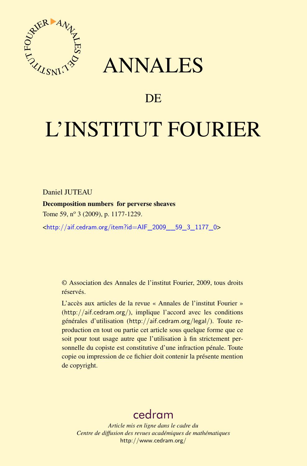

## ANNALES

## **DE**

# L'INSTITUT FOURIER

Daniel JUTEAU

Decomposition numbers for perverse sheaves

Tome 59, nº 3 (2009), p. 1177-1229.

<[http://aif.cedram.org/item?id=AIF\\_2009\\_\\_59\\_3\\_1177\\_0](http://aif.cedram.org/item?id=AIF_2009__59_3_1177_0)>

© Association des Annales de l'institut Fourier, 2009, tous droits réservés.

L'accès aux articles de la revue « Annales de l'institut Fourier » (<http://aif.cedram.org/>), implique l'accord avec les conditions générales d'utilisation (<http://aif.cedram.org/legal/>). Toute reproduction en tout ou partie cet article sous quelque forme que ce soit pour tout usage autre que l'utilisation à fin strictement personnelle du copiste est constitutive d'une infraction pénale. Toute copie ou impression de ce fichier doit contenir la présente mention de copyright.

## [cedram](http://www.cedram.org/)

*Article mis en ligne dans le cadre du Centre de diffusion des revues académiques de mathématiques* <http://www.cedram.org/>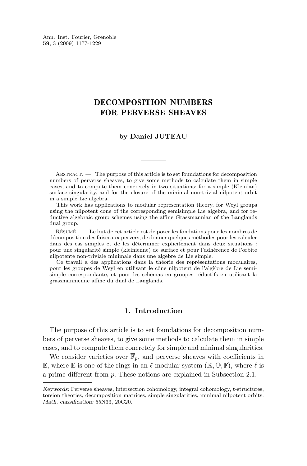Ann. Inst. Fourier, Grenoble **59**, 3 (2009) 1177-1229

### DECOMPOSITION NUMBERS FOR PERVERSE SHEAVES

#### **by Daniel JUTEAU**

Abstract. — The purpose of this article is to set foundations for decomposition numbers of perverse sheaves, to give some methods to calculate them in simple cases, and to compute them concretely in two situations: for a simple (Kleinian) surface singularity, and for the closure of the minimal non-trivial nilpotent orbit in a simple Lie algebra.

This work has applications to modular representation theory, for Weyl groups using the nilpotent cone of the corresponding semisimple Lie algebra, and for reductive algebraic group schemes using the affine Grassmannian of the Langlands dual group.

Résumé. — Le but de cet article est de poser les fondations pour les nombres de décomposition des faisceaux pervers, de donner quelques méthodes pour les calculer dans des cas simples et de les déterminer explicitement dans deux situations : pour une singularité simple (kleinienne) de surface et pour l'adhérence de l'orbite nilpotente non-triviale minimale dans une algèbre de Lie simple.

Ce travail a des applications dans la théorie des représentations modulaires, pour les groupes de Weyl en utilisant le cône nilpotent de l'algèbre de Lie semisimple correspondante, et pour les schémas en groupes réductifs en utilisant la grassmannienne affine du dual de Langlands.

#### **1. Introduction**

The purpose of this article is to set foundations for decomposition numbers of perverse sheaves, to give some methods to calculate them in simple cases, and to compute them concretely for simple and minimal singularities.

We consider varieties over  $\overline{\mathbb{F}}_p$ , and perverse sheaves with coefficients in E, where E is one of the rings in an  $\ell$ -modular system (K,  $\mathbb{O}, \mathbb{F}$ ), where  $\ell$  is a prime different from p. These notions are explained in Subsection [2.1.](#page-4-0)

*Keywords:* Perverse sheaves, intersection cohomology, integral cohomology, t-structures, torsion theories, decomposition matrices, simple singularities, minimal nilpotent orbits. *Math. classification:* 55N33, 20C20.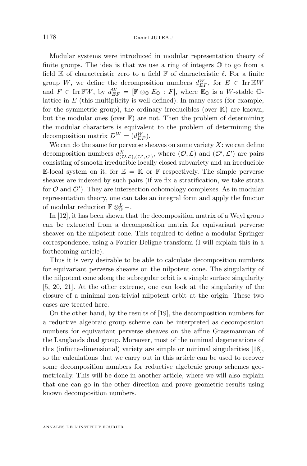Modular systems were introduced in modular representation theory of finite groups. The idea is that we use a ring of integers  $\mathbb O$  to go from a field  $\mathbb K$  of characteristic zero to a field  $\mathbb F$  of characteristic  $\ell$ . For a finite group W, we define the decomposition numbers  $d_{EF}^W$ , for  $E \in \text{Irr} \mathbb{K}W$ and  $F \in \text{Irr}\mathbb{F}W$ , by  $d_{EF}^W = [\mathbb{F} \otimes_{\mathbb{O}} E_{\mathbb{O}} : F]$ , where  $\mathbb{E}_{\mathbb{O}}$  is a W-stable  $\mathbb{O}$ lattice in  $E$  (this multiplicity is well-defined). In many cases (for example, for the symmetric group), the ordinary irreducibles (over  $K$ ) are known, but the modular ones (over  $\mathbb{F}$ ) are not. Then the problem of determining the modular characters is equivalent to the problem of determining the decomposition matrix  $D^W = (d_{EF}^W)$ .

We can do the same for perverse sheaves on some variety  $X$ : we can define decomposition numbers  $d^X_{(0,\mathcal{L}),(\mathcal{O}',\mathcal{L}')}$ , where  $(0,\mathcal{L})$  and  $(\mathcal{O}',\mathcal{L}')$  are pairs consisting of smooth irreducible locally closed subvariety and an irreducible E-local system on it, for  $\mathbb{E} = \mathbb{K}$  or F respectively. The simple perverse sheaves are indexed by such pairs (if we fix a stratification, we take strata for  $\mathcal{O}$  and  $\mathcal{O}'$ ). They are intersection cohomology complexes. As in modular representation theory, one can take an integral form and apply the functor of modular reduction  $\mathbb{F} \otimes_{\mathbb{Q}}^L$  -.

In [\[12\]](#page-52-0), it has been shown that the decomposition matrix of a Weyl group can be extracted from a decomposition matrix for equivariant perverse sheaves on the nilpotent cone. This required to define a modular Springer correspondence, using a Fourier-Deligne transform (I will explain this in a forthcoming article).

Thus it is very desirable to be able to calculate decomposition numbers for equivariant perverse sheaves on the nilpotent cone. The singularity of the nilpotent cone along the subregular orbit is a simple surface singularity [\[5,](#page-52-0) [20,](#page-53-0) [21\]](#page-53-0). At the other extreme, one can look at the singularity of the closure of a minimal non-trivial nilpotent orbit at the origin. These two cases are treated here.

On the other hand, by the results of [\[19\]](#page-53-0), the decomposition numbers for a reductive algebraic group scheme can be interpreted as decomposition numbers for equivariant perverse sheaves on the affine Grassmannian of the Langlands dual group. Moreover, most of the minimal degenerations of this (infinite-dimensional) variety are simple or minimal singularities [\[18\]](#page-53-0), so the calculations that we carry out in this article can be used to recover some decomposition numbers for reductive algebraic group schemes geometrically. This will be done in another article, where we will also explain that one can go in the other direction and prove geometric results using known decomposition numbers.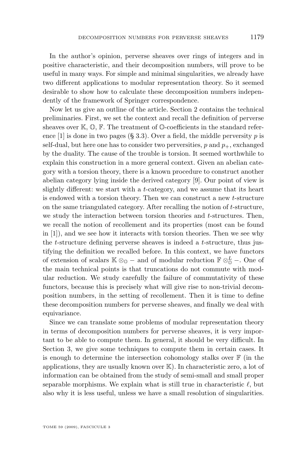In the author's opinion, perverse sheaves over rings of integers and in positive characteristic, and their decomposition numbers, will prove to be useful in many ways. For simple and minimal singularities, we already have two different applications to modular representation theory. So it seemed desirable to show how to calculate these decomposition numbers independently of the framework of Springer correspondence.

Now let us give an outline of the article. Section [2](#page-4-0) contains the technical preliminaries. First, we set the context and recall the definition of perverse sheaves over  $\mathbb{K}, \mathbb{O}, \mathbb{F}$ . The treatment of  $\mathbb{O}\text{-coefficients}$  in the standard refer-ence [\[1\]](#page-52-0) is done in two pages (§ 3.3). Over a field, the middle perversity  $p$  is self-dual, but here one has to consider two perversities,  $p$  and  $p_{+}$ , exchanged by the duality. The cause of the trouble is torsion. It seemed worthwhile to explain this construction in a more general context. Given an abelian category with a torsion theory, there is a known procedure to construct another abelian category lying inside the derived category [\[9\]](#page-52-0). Our point of view is slightly different: we start with a t-category, and we assume that its heart is endowed with a torsion theory. Then we can construct a new t-structure on the same triangulated category. After recalling the notion of  $t$ -structure, we study the interaction between torsion theories and  $t$ -structures. Then, we recall the notion of recollement and its properties (most can be found in [\[1\]](#page-52-0)), and we see how it interacts with torsion theories. Then we see why the  $t$ -structure defining perverse sheaves is indeed a  $t$ -structure, thus justifying the definition we recalled before. In this context, we have functors of extension of scalars  $\mathbb{K} \otimes_{\mathbb{O}}$  – and of modular reduction  $\mathbb{F} \otimes_{\mathbb{O}}^L$  –. One of the main technical points is that truncations do not commute with modular reduction. We study carefully the failure of commutativity of these functors, because this is precisely what will give rise to non-trivial decomposition numbers, in the setting of recollement. Then it is time to define these decomposition numbers for perverse sheaves, and finally we deal with equivariance.

Since we can translate some problems of modular representation theory in terms of decomposition numbers for perverse sheaves, it is very important to be able to compute them. In general, it should be very difficult. In Section [3,](#page-35-0) we give some techniques to compute them in certain cases. It is enough to determine the intersection cohomology stalks over  $\mathbb F$  (in the applications, they are usually known over  $K$ ). In characteristic zero, a lot of information can be obtained from the study of semi-small and small proper separable morphisms. We explain what is still true in characteristic  $\ell$ , but also why it is less useful, unless we have a small resolution of singularities.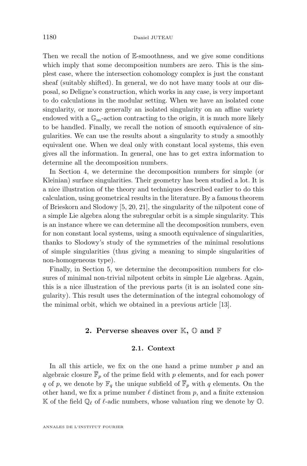<span id="page-4-0"></span>Then we recall the notion of  $E$ -smoothness, and we give some conditions which imply that some decomposition numbers are zero. This is the simplest case, where the intersection cohomology complex is just the constant sheaf (suitably shifted). In general, we do not have many tools at our disposal, so Deligne's construction, which works in any case, is very important to do calculations in the modular setting. When we have an isolated cone singularity, or more generally an isolated singularity on an affine variety endowed with a  $\mathbb{G}_m$ -action contracting to the origin, it is much more likely to be handled. Finally, we recall the notion of smooth equivalence of singularities. We can use the results about a singularity to study a smoothly equivalent one. When we deal only with constant local systems, this even gives all the information. In general, one has to get extra information to determine all the decomposition numbers.

In Section [4,](#page-40-0) we determine the decomposition numbers for simple (or Kleinian) surface singularities. Their geometry has been studied a lot. It is a nice illustration of the theory and techniques described earlier to do this calculation, using geometrical results in the literature. By a famous theorem of Brieskorn and Slodowy [\[5,](#page-52-0) [20,](#page-53-0) [21\]](#page-53-0), the singularity of the nilpotent cone of a simple Lie algebra along the subregular orbit is a simple singularity. This is an instance where we can determine all the decomposition numbers, even for non constant local systems, using a smooth equivalence of singularities, thanks to Slodowy's study of the symmetries of the minimal resolutions of simple singularities (thus giving a meaning to simple singularities of non-homogeneous type).

Finally, in Section [5,](#page-50-0) we determine the decomposition numbers for closures of minimal non-trivial nilpotent orbits in simple Lie algebras. Again, this is a nice illustration of the previous parts (it is an isolated cone singularity). This result uses the determination of the integral cohomology of the minimal orbit, which we obtained in a previous article [\[13\]](#page-52-0).

#### **2. Perverse sheaves over** K**,** O **and** F

#### **2.1. Context**

In all this article, we fix on the one hand a prime number  $p$  and an algebraic closure  $\overline{\mathbb{F}}_p$  of the prime field with p elements, and for each power q of p, we denote by  $\mathbb{F}_q$  the unique subfield of  $\overline{\mathbb{F}}_p$  with q elements. On the other hand, we fix a prime number  $\ell$  distinct from p, and a finite extension K of the field  $\mathbb{Q}_\ell$  of  $\ell$ -adic numbers, whose valuation ring we denote by  $\mathbb{O}$ .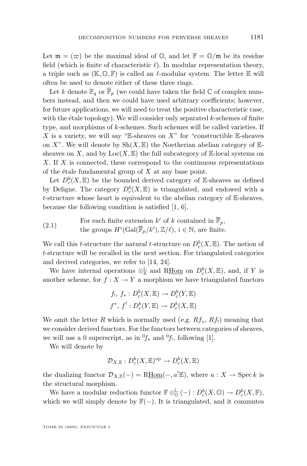Let  $\mathfrak{m} = (\varpi)$  be the maximal ideal of  $\mathbb{O}$ , and let  $\mathbb{F} = \mathbb{O}/\mathfrak{m}$  be its residue field (which is finite of characteristic  $\ell$ ). In modular representation theory, a triple such as  $(K, \mathbb{O}, F)$  is called an  $\ell$ -modular system. The letter E will often be used to denote either of these three rings.

Let k denote  $\mathbb{F}_q$  or  $\overline{\mathbb{F}}_p$  (we could have taken the field  $\mathbb C$  of complex numbers instead, and then we could have used arbitrary coefficients; however, for future applications, we will need to treat the positive characteristic case, with the étale topology). We will consider only separated  $k$ -schemes of finite type, and morphisms of  $k$ -schemes. Such schemes will be called varieties. If X is a variety, we will say "E-sheaves on  $X$ " for "constructible E-sheaves on X". We will denote by  $\text{Sh}(X, \mathbb{E})$  the Noetherian abelian category of  $\mathbb{E}$ sheaves on X, and by  $Loc(X, \mathbb{E})$  the full subcategory of  $\mathbb{E}$ -local systems on  $X$ . If  $X$  is connected, these correspond to the continuous representations of the étale fundamental group of  $X$  at any base point.

Let  $D_c^b(X, \mathbb{E})$  be the bounded derived category of E-sheaves as defined by Deligne. The category  $D_c^b(X,\mathbb{E})$  is triangulated, and endowed with a t-structure whose heart is equivalent to the abelian category of  $E$ -sheaves, because the following condition is satisfied [\[1,](#page-52-0) [6\]](#page-52-0).

(2.1) For each finite extension k' of k contained in  $\overline{\mathbb{F}}_p$ ,<br>the masses  $H^i(G_1)\overline{\mathbb{F}}_p(L)$ ,  $\mathbb{Z}/\mathbb{Z}$ , i.e. N and finite the groups  $H^i(\text{Gal}(\overline{\mathbb{F}}_p/k'), \mathbb{Z}/\ell), i \in \mathbb{N}$ , are finite.

We call this *t*-structure the *natural t*-structure on  $D_c^b(X, \mathbb{E})$ . The notion of t-structure will be recalled in the next section. For triangulated categories and derived categories, we refer to [\[14,](#page-52-0) [24\]](#page-53-0).

We have internal operations  $\otimes_{\mathbb{E}}^{\mathbb{L}}$  and R<u>Hom</u> on  $D_c^b(X,\mathbb{E})$ , and, if Y is another scheme, for  $f : X \to Y$  a morphism we have triangulated functors

$$
f_!, f_*: D_c^b(X, \mathbb{E}) \to D_c^b(Y, \mathbb{E})
$$
  

$$
f^*, f': D_c^b(Y, \mathbb{E}) \to D_c^b(X, \mathbb{E})
$$

We omit the letter R which is normally used (*e.g.*  $Rf_*, Rf_!$ ) meaning that we consider derived functors. For the functors between categories of sheaves, we will use a 0 superscript, as in  ${}^{0}f_{*}$  and  ${}^{0}f_{!}$ , following [\[1\]](#page-52-0).

We will denote by

$$
\mathcal D_{X,\mathbb E}:D^b_c(X,\mathbb E)^{\rm op}\to D^b_c(X,\mathbb E)
$$

the dualizing functor  $\mathcal{D}_{X,\mathbb{E}}(-) = \text{R\underline{Hom}}(-,a^!\mathbb{E}),$  where  $a: X \to \text{Spec } k$  is the structural morphism.

We have a modular reduction functor  $\mathbb{F} \otimes_{\mathbb{Q}}^{\mathbb{L}} (-) : D_c^b(X, \mathbb{Q}) \to D_c^b(X, \mathbb{F}),$ which we will simply denote by  $\mathbb{F}(-)$ . It is triangulated, and it commutes

TOME 59 (2009), FASCICULE 3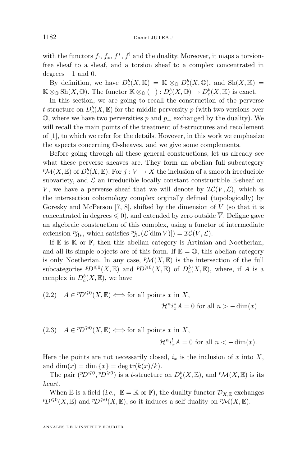<span id="page-6-0"></span>with the functors  $f_1, f_*, f^*, f^!$  and the duality. Moreover, it maps a torsionfree sheaf to a sheaf, and a torsion sheaf to a complex concentrated in degrees  $-1$  and 0.

By definition, we have  $D_c^b(X, \mathbb{K}) = \mathbb{K} \otimes_{\mathbb{O}} D_c^b(X, \mathbb{O})$ , and  $\text{Sh}(X, \mathbb{K}) =$  $\mathbb{K} \otimes_{\mathbb{O}} \text{Sh}(X, \mathbb{O})$ . The functor  $\mathbb{K} \otimes_{\mathbb{O}} (-) : D^b_c(X, \mathbb{O}) \to D^b_c(X, \mathbb{K})$  is exact.

In this section, we are going to recall the construction of the perverse t-structure on  $D_c^b(X, \mathbb{E})$  for the middle perversity p (with two versions over  $\mathbb{O}$ , where we have two perversities p and  $p_{+}$  exchanged by the duality). We will recall the main points of the treatment of t-structures and recollement of [\[1\]](#page-52-0), to which we refer for the details. However, in this work we emphasize the aspects concerning O-sheaves, and we give some complements.

Before going through all these general constructions, let us already see what these perverse sheaves are. They form an abelian full subcategory  ${}^p\mathcal{M}(X,\mathbb{E})$  of  $D^b_c(X,\mathbb{E})$ . For  $j: V \to X$  the inclusion of a smooth irreducible subvariety, and  $\mathcal L$  an irreducible locally constant constructible E-sheaf on V, we have a perverse sheaf that we will denote by  $\mathcal{IC}(\overline{V}, \mathcal{L})$ , which is the intersection cohomology complex orginally defined (topologically) by Goresky and McPerson  $[7, 8]$  $[7, 8]$  $[7, 8]$ , shifted by the dimension of  $V$  (so that it is concentrated in degrees  $\leq 0$ , and extended by zero outside  $\overline{V}$ . Deligne gave an algebraic construction of this complex, using a functor of intermediate extension  $p_{j_{!*}}$ , which satisfies  $p_{j_{!*}}(\mathcal{L}[\dim V)]) = \mathcal{IC}(\overline{V}, \mathcal{L})$ .

If  $E$  is  $K$  or  $F$ , then this abelian category is Artinian and Noetherian, and all its simple objects are of this form. If  $\mathbb{E} = \mathbb{O}$ , this abelian category is only Noetherian. In any case,  $\mathcal{P}M(X,\mathbb{E})$  is the intersection of the full subcategories  ${}^p\!D^{\leq 0}(X,\mathbb{E})$  and  ${}^p\!D^{\geq 0}(X,\mathbb{E})$  of  $D_c^b(X,\mathbb{E})$ , where, if A is a complex in  $D_c^b(X, \mathbb{E}),$  we have

(2.2) 
$$
A \in {}^{p}D^{\leq 0}(X,\mathbb{E}) \Longleftrightarrow
$$
 for all points x in X,  
 $\mathcal{H}^{n}i_{x}^{*}A = 0$  for all  $n > -\dim(x)$ 

(2.3) 
$$
A \in {}^{p}D^{\geqslant 0}(X,\mathbb{E}) \Longleftrightarrow
$$
 for all points x in X,  
 $\mathcal{H}^{n}i_{x}^!A=0$  for all  $n < -\dim(x)$ .

Here the points are not necessarily closed,  $i_x$  is the inclusion of x into X, and dim $(x) = \dim \{x\} = \deg \text{tr}(k(x)/k).$ 

The pair  $(PD^{\leqslant 0}, PD^{\geqslant 0})$  is a t-structure on  $D_c^b(X, \mathbb{E})$ , and  $^p\mathcal{M}(X, \mathbb{E})$  is its *heart*.

When E is a field (*i.e.*,  $\mathbb{E} = \mathbb{K}$  or F), the duality functor  $\mathcal{D}_{X,\mathbb{E}}$  exchanges  $p_D \leq 0(X, \mathbb{E})$  and  $p_D \geq 0(X, \mathbb{E})$ , so it induces a self-duality on  $p\mathcal{M}(X, \mathbb{E})$ .

ANNALES DE L'INSTITUT FOURIER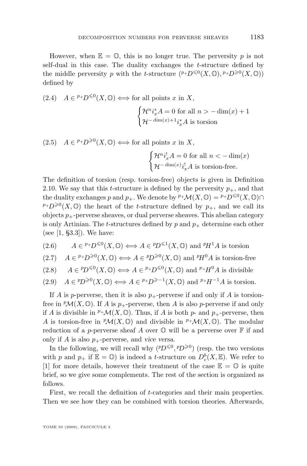<span id="page-7-0"></span>However, when  $\mathbb{E} = \mathbb{O}$ , this is no longer true. The perversity p is not self-dual in this case. The duality exchanges the t-structure defined by the middle perversity p with the t-structure  $( P + D^{\leq 0}(X, \mathbb{O}), P + D^{\geq 0}(X, \mathbb{O}))$ defined by

(2.4) 
$$
A \in {}^{p_+}D^{\leq 0}(X, \mathbb{O}) \iff
$$
 for all points  $x$  in  $X$ ,  

$$
\begin{cases} \mathcal{H}^n i_x^* A = 0 \text{ for all } n > -\dim(x) + 1 \\ \mathcal{H}^{-\dim(x)+1} i_x^* A \text{ is torsion} \end{cases}
$$

 $(2.5)$   $A \in {}^{p_+}D^{\geq 0}(X, \mathbb{O}) \Longleftrightarrow$  for all points x in X,

$$
\begin{cases} \mathcal{H}^n i_x^! A = 0 \text{ for all } n < -\dim(x) \\ \mathcal{H}^{-\dim(x)} i_x^! A \text{ is torsion-free.} \end{cases}
$$

The definition of torsion (resp. torsion-free) objects is given in Definition [2.10.](#page-12-0) We say that this t-structure is defined by the perversity  $p_{+}$ , and that the duality exchanges p and  $p_+$ . We denote by  $^{p_+}\mathcal{M}(X,\mathbb{O})=P^+D^{\leq 0}(X,\mathbb{O})\cap$  $p+D^{\geq 0}(X,\mathbb{O})$  the heart of the t-structure defined by  $p_+$ , and we call its objects  $p_{+}$ -perverse sheaves, or dual perverse sheaves. This abelian category is only Artinian. The t-structures defined by  $p$  and  $p_+$  determine each other (see [\[1,](#page-52-0) §3.3]). We have:

(2.6) 
$$
A \in {}^{p_+}D^{\leq 0}(X,\mathbb{O}) \Longleftrightarrow A \in {}^{p_1}D^{\leq 1}(X,\mathbb{O}) \text{ and } {}^{p_1}A \text{ is torsion}
$$

(2.7) 
$$
A \in {}^{p+}D^{\geq 0}(X,\mathbb{O}) \Longleftrightarrow A \in {}^{p}D^{\geq 0}(X,\mathbb{O})
$$
 and  ${}^{p}H^{0}A$  is torsion-free

(2.8) 
$$
A \in {}^{p}D^{\leq 0}(X,\mathbb{O}) \Longleftrightarrow A \in {}^{p+}D^{\leq 0}(X,\mathbb{O})
$$
 and  ${}^{p+}H^0A$  is divisible

(2.9) 
$$
A \in {}^{p}D^{\geq 0}(X, \mathbb{O}) \Longleftrightarrow A \in {}^{p+}D^{\geq -1}(X, \mathbb{O})
$$
 and  ${}^{p+}H^{-1}A$  is torsion.

If A is p-perverse, then it is also  $p_{+}$ -perverse if and only if A is torsionfree in  ${}^p\mathcal{M}(X,\mathbb{O})$ . If A is  $p_+$ -perverse, then A is also p-perverse if and only if A is divisible in  $^p+\mathcal{M}(X,\mathbb{O})$ . Thus, if A is both p- and p<sub>+</sub>-perverse, then A is torsion-free in  $\mathcal{P}M(X,\mathbb{O})$  and divisible in  $\mathcal{P}+\mathcal{M}(X,\mathbb{O})$ . The modular reduction of a p-perverse sheaf A over  $\mathbb O$  will be a perverse over  $\mathbb F$  if and only if A is also  $p_{+}$ -perverse, and *vice versa*.

In the following, we will recall why  $(2D^{\leq 0}, 2D^{\geq 0})$  (resp. the two versions with p and  $p_+$  if  $\mathbb{E} = \mathbb{O}$ ) is indeed a t-structure on  $D_c^b(X, \mathbb{E})$ . We refer to [\[1\]](#page-52-0) for more details, however their treatment of the case  $\mathbb{E} = \mathbb{O}$  is quite brief, so we give some complements. The rest of the section is organized as follows.

First, we recall the definition of t-categories and their main properties. Then we see how they can be combined with torsion theories. Afterwards,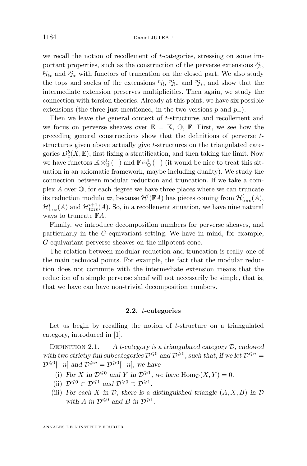<span id="page-8-0"></span>we recall the notion of recollement of t-categories, stressing on some important properties, such as the construction of the perverse extensions  $p_{j_1}$ ,  $p_{j_{!*}}$  and  $p_{j_*}$  with functors of truncation on the closed part. We also study the tops and socles of the extensions  $p_{j_1}, p_{j_{1*}}$  and  $p_{j_*}$ , and show that the intermediate extension preserves multiplicities. Then again, we study the connection with torsion theories. Already at this point, we have six possible extensions (the three just mentioned, in the two versions p and  $p_{+}$ ).

Then we leave the general context of t-structures and recollement and we focus on perverse sheaves over  $\mathbb{E} = \mathbb{K}, \mathbb{O}, \mathbb{F}$ . First, we see how the preceding general constructions show that the definitions of perverse tstructures given above actually give t-structures on the triangulated categories  $D_c^b(X, \mathbb{E})$ , first fixing a stratification, and then taking the limit. Now we have functors  $\mathbb{K} \otimes_{\mathbb{O}}^{\mathbb{L}}(-)$  and  $\mathbb{F} \otimes_{\mathbb{O}}^{\mathbb{L}}(-)$  (it would be nice to treat this situation in an axiomatic framework, maybe including duality). We study the connection between modular reduction and truncation. If we take a complex A over O, for each degree we have three places where we can truncate its reduction modulo  $\varpi$ , because  $\mathcal{H}^i(\mathbb{F}A)$  has pieces coming from  $\mathcal{H}^i_{\text{tors}}(A)$ ,  $\mathcal{H}_{\text{free}}^i(A)$  and  $\mathcal{H}_{\text{tors}}^{i+1}(A)$ . So, in a recollement situation, we have nine natural ways to truncate FA.

Finally, we introduce decomposition numbers for perverse sheaves, and particularly in the G-equivariant setting. We have in mind, for example, G-equivariant perverse sheaves on the nilpotent cone.

The relation between modular reduction and truncation is really one of the main technical points. For example, the fact that the modular reduction does not commute with the intermediate extension means that the reduction of a simple perverse sheaf will not necessarily be simple, that is, that we have can have non-trivial decomposition numbers.

#### **2.2.** t**-categories**

Let us begin by recalling the notion of  $t$ -structure on a triangulated category, introduced in [\[1\]](#page-52-0).

Definition 2.1. — *A* t*-category is a triangulated category* D*, endowed* with two strictly full subcategories  $\mathcal{D}^{\leq 0}$  and  $\mathcal{D}^{\geq 0}$ , such that, if we let  $\mathcal{D}^{\leq n}$  =  $\mathcal{D}^{\leq 0}[-n]$  and  $\mathcal{D}^{\geq n}=\mathcal{D}^{\geq 0}[-n]$ , we have

- (i) For X in  $\mathcal{D}^{\leq 0}$  and Y in  $\mathcal{D}^{\geq 1}$ , we have  $\text{Hom}_{\mathcal{D}}(X, Y) = 0$ .
- (ii)  $\mathcal{D}^{\leq 0} \subset \mathcal{D}^{\leq 1}$  and  $\mathcal{D}^{\geq 0} \supset \mathcal{D}^{\geq 1}$ .
- (iii) *For each* X in  $\mathcal{D}$ *, there is a distinguished triangle*  $(A, X, B)$  *in*  $\mathcal{D}$ with A in  $\mathcal{D}^{\leq 0}$  and B in  $\mathcal{D}^{\geq 1}$ .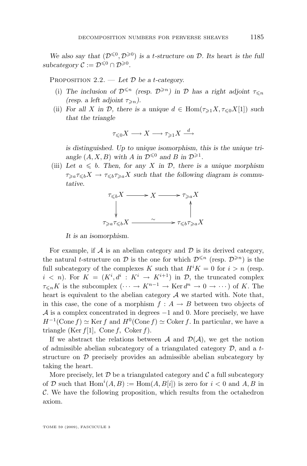<span id="page-9-0"></span>We also say that  $(D^{\leq 0}, D^{\geq 0})$  *is a t-structure on*  $D$ *. Its heart is the full*  $subcategory \mathcal{C} := \mathcal{D}^{\leq 0} \cap \mathcal{D}^{\geq 0}.$ 

Proposition 2.2. — *Let* D *be a* t*-category.*

- (i) The inclusion of  $\mathcal{D}^{\leq n}$  (resp.  $\mathcal{D}^{\geq n}$ ) in  $\mathcal D$  has a right adjoint  $\tau_{\leq n}$ *(resp. a left adjoint*  $\tau_{\geq n}$ *).*
- (ii) *For all* X in D, there is a unique  $d \in \text{Hom}(\tau_{\geq 1}X, \tau_{\leq 0}X[1])$  *such that the triangle*

$$
\tau_{\leqslant 0}X\longrightarrow X\longrightarrow \tau_{\geqslant 1}X\stackrel{d}{\longrightarrow}
$$

*is distinguished. Up to unique isomorphism, this is the unique tri*angle  $(A, X, B)$  with A in  $\mathcal{D}^{\leq 0}$  and B in  $\mathcal{D}^{\geq 1}$ .

(iii) Let  $a \leq b$ . Then, for any X in D, there is a unique morphism  $\tau_{\geq a}\tau_{\leq b}X \to \tau_{\leq b}\tau_{\geq a}X$  such that the following diagram is commu*tative.*

$$
\tau_{\leq b}X \longrightarrow X \longrightarrow \tau_{\geq a}X
$$
  
\n
$$
\downarrow \qquad \qquad \uparrow
$$
  
\n
$$
\tau_{\geq a}\tau_{\leq b}X \longrightarrow \tau_{\leq b}\tau_{\geq a}X
$$

*It is an isomorphism.*

For example, if  $A$  is an abelian category and  $D$  is its derived category, the natural t-structure on  $\mathcal D$  is the one for which  $\mathcal D^{\leq n}$  (resp.  $\mathcal D^{\geq n}$ ) is the full subcategory of the complexes K such that  $H^{i}K = 0$  for  $i > n$  (resp.  $i \leq n$ ). For  $K = (K^i, d^i : K^i \rightarrow K^{i+1})$  in  $\mathcal{D}$ , the truncated complex  $\tau_{\leq n}K$  is the subcomplex  $(\cdots \to K^{n-1} \to \text{Ker } d^n \to 0 \to \cdots)$  of K. The heart is equivalent to the abelian category  $A$  we started with. Note that, in this case, the cone of a morphism  $f : A \rightarrow B$  between two objects of  $\mathcal A$  is a complex concentrated in degrees  $-1$  and 0. More precisely, we have  $H^{-1}(\text{Cone } f) \simeq \text{Ker } f$  and  $H^0(\text{Cone } f) \simeq \text{Coker } f$ . In particular, we have a triangle (Ker  $f[1]$ , Cone f, Coker f).

If we abstract the relations between A and  $\mathcal{D}(\mathcal{A})$ , we get the notion of admissible abelian subcategory of a triangulated category  $D$ , and a tstructure on D precisely provides an admissible abelian subcategory by taking the heart.

More precisely, let  $\mathcal D$  be a triangulated category and  $\mathcal C$  a full subcategory of D such that  $\text{Hom}^i(A, B) := \text{Hom}(A, B[i])$  is zero for  $i < 0$  and  $A, B$  in  $\mathcal{C}$ . We have the following proposition, which results from the octahedron axiom.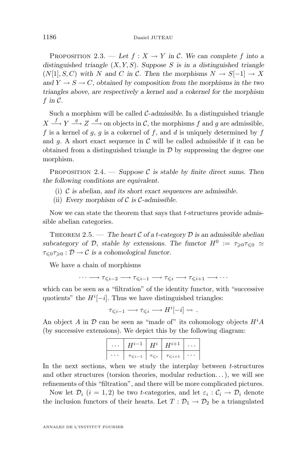PROPOSITION 2.3. — Let  $f: X \to Y$  in C. We can complete f into a *distinguished triangle* (X, Y, S)*. Suppose* S *is in a distinguished triangle*  $(N[1], S, C)$  with N and C in C. Then the morphisms  $N \to S[-1] \to X$ and  $Y \to S \to C$ , obtained by composition from the morphisms in the two *triangles above, are respectively a kernel and a cokernel for the morphism*  $f$  in  $\mathcal{C}$ .

Such a morphism will be called C-admissible. In a distinguished triangle  $X \stackrel{f}{\longrightarrow} Y \stackrel{g}{\longrightarrow} Z \stackrel{d}{\longrightarrow}$  on objects in C, the morphisms f and g are admissible, f is a kernel of  $g, g$  is a cokernel of f, and d is uniquely determined by f and  $g$ . A short exact sequence in  $\mathcal C$  will be called *admissible* if it can be obtained from a distinguished triangle in  $\mathcal D$  by suppressing the degree one morphism.

PROPOSITION 2.4. — *Suppose*  $\mathcal{C}$  *is stable by finite direct sums. Then the following conditions are equivalent.*

- (i) C *is abelian, and its short exact sequences are admissible.*
- (ii) *Every morphism of* C *is* C*-admissible.*

Now we can state the theorem that says that  $t$ -structures provide admissible abelian categories.

THEOREM 2.5. — The heart  $\mathcal C$  of a *t*-category  $\mathcal D$  is an admissible abelian  $subcategory$  of  $\mathcal{D}$ , stable by extensions. The functor  $H^0 := \tau_{\geq 0} \tau_{\leq 0} \approx$  $\tau_{\leq 0}\tau_{\geq 0} : \mathcal{D} \to \mathcal{C}$  is a cohomological functor.

We have a chain of morphisms

$$
\cdots \longrightarrow \tau_{\leqslant i-2} \longrightarrow \tau_{\leqslant i-1} \longrightarrow \tau_{\leqslant i} \longrightarrow \tau_{\leqslant i+1} \longrightarrow \cdots
$$

which can be seen as a "filtration" of the identity functor, with "successive quotients" the  $H^{i}[-i]$ . Thus we have distinguished triangles:

$$
\tau_{\leqslant i-1} \longrightarrow \tau_{\leqslant i} \longrightarrow H^i[-i] \rightsquigarrow.
$$

An object A in  $\mathcal D$  can be seen as "made of" its cohomology objects  $H^iA$ (by successive extensions). We depict this by the following diagram:

| $\cdots$   $H^{i-1}$   $H^i$   $H^{i+1}$            |  |  |
|-----------------------------------------------------|--|--|
| $\tau_{\leq i-1}$ $\tau_{\leq i}$ $\tau_{\leq i+1}$ |  |  |

In the next sections, when we study the interplay between  $t$ -structures and other structures (torsion theories, modular reduction...), we will see refinements of this "filtration", and there will be more complicated pictures.

Now let  $\mathcal{D}_i$   $(i = 1, 2)$  be two t-categories, and let  $\varepsilon_i : \mathcal{C}_i \to \mathcal{D}_i$  denote the inclusion functors of their hearts. Let  $T: \mathcal{D}_1 \to \mathcal{D}_2$  be a triangulated

ANNALES DE L'INSTITUT FOURIER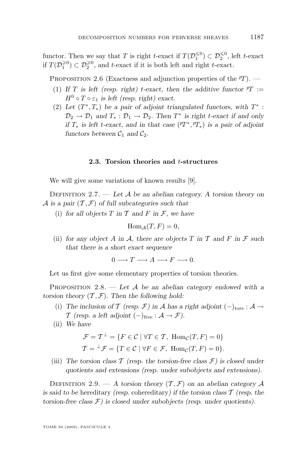<span id="page-11-0"></span>functor. Then we say that T is right t-exact if  $T(\mathcal{D}_1^{\leq 0}) \subset \mathcal{D}_2^{\leq 0}$ , left t-exact if  $T(\mathcal{D}_1^{\geq 0}) \subset \mathcal{D}_2^{\geq 0}$ , and t-exact if it is both left and right t-exact.

PROPOSITION 2.6 (Exactness and adjunction properties of the  $\eta$ ). —

- (1) If T is left (resp. right) t-exact, then the additive functor  $T :=$  $H^0 \circ T \circ \varepsilon_1$  *is left (resp. right) exact.*
- (2) Let  $(T^*, T_*)$  be a pair of adjoint triangulated functors, with  $T^*$ :  $\mathcal{D}_2 \to \mathcal{D}_1$  and  $T_* : \mathcal{D}_1 \to \mathcal{D}_2$ . Then  $T^*$  is right *t*-exact if and only *if*  $T_*$  *is left t-exact, and in that case* ( $^pT^*,^pT_*$ ) *is a pair of adjoint functors between*  $C_1$  *and*  $C_2$ *.*

#### **2.3. Torsion theories and** t**-structures**

We will give some variations of known results [\[9\]](#page-52-0).

Definition 2.7. — *Let* A *be an abelian category. A torsion theory on* A is a pair  $(\mathcal{T}, \mathcal{F})$  of full subcategories such that

(i) for all objects  $T$  in  $T$  and  $F$  in  $\mathcal{F}$ , we have

$$
\operatorname{Hom}_{\mathcal{A}}(T, F) = 0,
$$

(ii) for any object A in A, there are objects  $T$  in  $T$  and  $F$  in  $\mathcal F$  such *that there is a short exact sequence*

 $0 \longrightarrow T \longrightarrow A \longrightarrow F \longrightarrow 0.$ 

Let us first give some elementary properties of torsion theories.

Proposition 2.8. — *Let* A *be an abelian category endowed with a torsion theory*  $(\mathcal{T}, \mathcal{F})$ *. Then the following hold:* 

- (i) *The inclusion of*  $\mathcal T$  *(resp.*  $\mathcal F$ *)* in  $\mathcal A$  *has a right adjoint*  $(-)_{\text{tors}} : \mathcal A \to$  $\mathcal{T}$  *(resp. a left adjoint*  $(-)_{\text{free}} : \mathcal{A} \to \mathcal{F}$ ).
- (ii) *We have*

$$
\mathcal{F} = \mathcal{T}^{\perp} = \{ F \in \mathcal{C} \mid \forall T \in \mathcal{T}, \text{ Hom}_{\mathcal{C}}(T, F) = 0 \}
$$

$$
\mathcal{T} = {}^{\perp}\mathcal{F} = \{ T \in \mathcal{C} \mid \forall F \in \mathcal{F}, \text{ Hom}_{\mathcal{C}}(T, F) = 0 \}.
$$

(iii) The torsion class  $\mathcal T$  (resp. the torsion-free class  $\mathcal F$ ) is closed under *quotients and extensions (resp. under subobjects and extensions).*

DEFINITION 2.9. — A torsion theory  $(\mathcal{T}, \mathcal{F})$  on an abelian category A *is said to be* hereditary *(resp.* cohereditary*) if the torsion class* T *(resp. the torsion-free class* F*) is closed under subobjects (resp. under quotients).*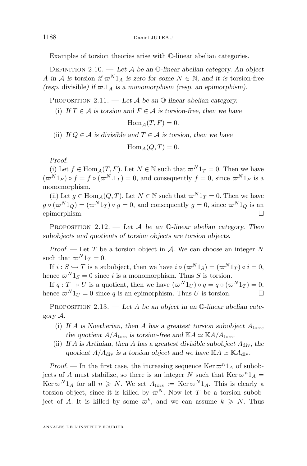<span id="page-12-0"></span>Examples of torsion theories arise with O-linear abelian categories.

Definition 2.10. — *Let* A *be an* O*-linear abelian category. An object* A in A is torsion if  $\varpi^{N}1_{A}$  is zero for some  $N \in \mathbb{N}$ , and it is torsion-free *(resp.* divisible*)* if  $\varpi.1_A$  is a monomorphism *(resp. an epimorphism)*.

Proposition 2.11. — *Let* A *be an* O*-linear abelian category.*

(i) *If*  $T \in \mathcal{A}$  *is torsion and*  $F \in \mathcal{A}$  *is torsion-free, then we have* 

$$
\operatorname{Hom}_{\mathcal{A}}(T,F)=0.
$$

(ii) *If*  $Q \in \mathcal{A}$  *is divisible and*  $T \in \mathcal{A}$  *is torsion, then we have* 

$$
\text{Hom}_{\mathcal{A}}(Q, T) = 0.
$$

*Proof.*

(i) Let  $f \in \text{Hom}_{A}(T, F)$ . Let  $N \in \mathbb{N}$  such that  $\varpi^{N} 1_{T} = 0$ . Then we have  $(\varpi^{N} 1_{F}) \circ f = f \circ (\varpi^{N} .1_{T}) = 0$ , and consequently  $f = 0$ , since  $\varpi^{N} 1_{F}$  is a monomorphism.

(ii) Let  $g \in \text{Hom}_{\mathcal{A}}(Q, T)$ . Let  $N \in \mathbb{N}$  such that  $\varpi^N 1_T = 0$ . Then we have  $g \circ (\varpi^{N} 1_{Q}) = (\varpi^{N} 1_{T}) \circ g = 0$ , and consequently  $g = 0$ , since  $\varpi^{N} 1_{Q}$  is an epimorphism.

Proposition 2.12. — *Let* A *be an* O*-linear abelian category. Then subobjects and quotients of torsion objects are torsion objects.*

*Proof.* — Let T be a torsion object in A. We can choose an integer N such that  $\varpi^N 1_T = 0$ .

If  $i : S \hookrightarrow T$  is a subobject, then we have  $i \circ (\varpi^{N} 1_S) = (\varpi^{N} 1_T) \circ i = 0$ , hence  $\varpi^{N} 1_{S} = 0$  since i is a monomorphism. Thus S is torsion.

If  $q: T \to U$  is a quotient, then we have  $(\varpi^{N} 1_{U}) \circ q = q \circ (\varpi^{N} 1_{T}) = 0$ , hence  $\varpi^{N} 1_{U} = 0$  since q is an epimorphism. Thus U is torsion.

Proposition 2.13. — *Let* A *be an object in an* O*-linear abelian category* A*.*

- (i) *If* A *is Noetherian, then* A *has a greatest torsion subobject* Ators*,* the quotient  $A/A_{\text{tors}}$  *is torsion-free and*  $\mathbb{K}A \simeq \mathbb{K}A/A_{\text{tors}}$ *.*
- (ii) *If* A *is Artinian, then* A *has a greatest divisible subobject* Adiv*, the* quotient  $A/A_{\text{div}}$  *is a torsion object and we have*  $\mathbb{K}A \simeq \mathbb{K}A_{\text{div}}$ *.*

*Proof.* — In the first case, the increasing sequence  $\text{Ker } \pi^n 1_A$  of subobjects of A must stabilize, so there is an integer N such that  $\text{Ker } \varpi^{n}1_{A} =$ Ker  $\varpi^{N} 1_{A}$  for all  $n \geq N$ . We set  $A_{\text{tors}} := \text{Ker} \varpi^{N} 1_{A}$ . This is clearly a torsion object, since it is killed by  $\varpi^N$ . Now let T be a torsion subobject of A. It is killed by some  $\varpi^k$ , and we can assume  $k \geq N$ . Thus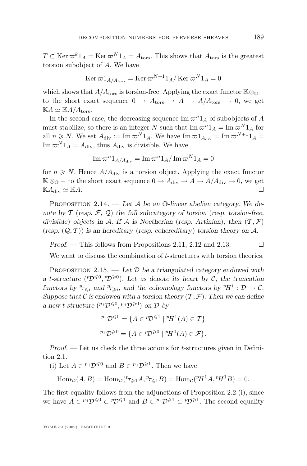<span id="page-13-0"></span> $T \subset \text{Ker } \varpi^{k}1_{A} = \text{Ker } \varpi^{N}1_{A} = A_{\text{tors}}.$  This shows that  $A_{\text{tors}}$  is the greatest torsion subobject of A. We have

$$
\operatorname{Ker} \varpi 1_{A/A_{\operatorname{tors}}} = \operatorname{Ker} \varpi^{N+1} 1_A / \operatorname{Ker} \varpi^N 1_A = 0
$$

which shows that  $A/A<sub>tors</sub>$  is torsion-free. Applying the exact functor  $\mathbb{K} \otimes_{\mathbb{Q}}$ to the short exact sequence  $0 \rightarrow A_{\text{tors}} \rightarrow A \rightarrow A/A_{\text{tors}} \rightarrow 0$ , we get  $\mathbb{K}A \simeq \mathbb{K}A/A_{\text{tors}}.$ 

In the second case, the decreasing sequence  $\text{Im }\pi^{n}1_{A}$  of subobjects of A must stabilize, so there is an integer N such that  $\text{Im }\varpi^n 1_A = \text{Im }\varpi^N 1_A$  for all  $n \geq N$ . We set  $A_{\text{div}} := \text{Im} \,\varpi^N 1_A$ . We have  $\text{Im} \,\varpi 1_{A_{\text{div}}} = \text{Im} \,\varpi^{N+1} 1_A =$  $\text{Im }\varpi^N 1_A = A_{\text{div}}$ , thus  $A_{\text{div}}$  is divisible. We have

$$
\operatorname{Im} \varpi^{n} 1_{A/A_{\operatorname{div}}} = \operatorname{Im} \varpi^{n} 1_{A}/\operatorname{Im} \varpi^{N} 1_{A} = 0
$$

for  $n \geq N$ . Hence  $A/A_{\text{div}}$  is a torsion object. Applying the exact functor  $\mathbb{K} \otimes_{\mathbb{O}}$  – to the short exact sequence  $0 \to A_{\text{div}} \to A \to A/A_{\text{div}} \to 0$ , we get  $\mathbb{K}A_{\text{div}} \simeq \mathbb{K}A.$ 

Proposition 2.14. — *Let* A *be an* O*-linear abelian category. We denote by* T (*resp.* F*,* Q) *the full subcategory of torsion* (*resp. torsion-free, divisible*) *objects* in A. If A is Noetherian (*resp. Artinian*)*, then*  $(T, \mathcal{F})$  $(r \exp \left( Q, \mathcal{T} \right))$  *is an hereditary* (*resp. cohereditary*) *torsion theory on* A.

*Proof.* − This follows from Propositions [2.11,](#page-12-0) [2.12](#page-12-0) and [2.13.](#page-12-0) □

We want to discuss the combination of t-structures with torsion theories.

Proposition 2.15. — *Let* D *be a triangulated category endowed with a t*-structure ( $^{p}D^{\leq 0}, ^{p}D^{\geq 0}$ ). Let us denote its heart by C, the truncation *functors by*  ${}^p\mathcal{T}_{\leq i}$  and  ${}^p\mathcal{T}_{\geq i}$ , and the cohomology functors by  ${}^pH^i$  :  $\mathcal{D} \to \mathcal{C}$ . *Suppose that*  $\mathcal C$  *is endowed with a torsion theory*  $(\mathcal T, \mathcal F)$ *. Then we can define a* new *t*-structure  $(P+D^{\leq 0}, P+D^{\geq 0})$  on D by

$$
{}^{p}D^{\leq 0} = \{ A \in {}^{p}D^{\leq 1} \mid {}^{p}H^{1}(A) \in T \}
$$

$$
{}^{p}D^{\geq 0} = \{ A \in {}^{p}D^{\geq 0} \mid {}^{p}H^{0}(A) \in \mathcal{F} \}.
$$

*Proof.* — Let us check the three axioms for *t*-structures given in Definition [2.1.](#page-8-0)

(i) Let  $A \in {}^{p_+}D^{\leq 0}$  and  $B \in {}^{p_+}D^{\geq 1}$ . Then we have

 $\text{Hom}_{\mathcal{D}}(A, B) = \text{Hom}_{\mathcal{D}}(^{p}{}_{\mathcal{T}\geqslant 1} A, {}^{p}{}_{\mathcal{T}\leqslant 1} B) = \text{Hom}_{\mathcal{C}}(^{p}{}_{\mathcal{H}}^1 A, {}^{p}{}_{\mathcal{H}}^1 B) = 0.$ 

The first equality follows from the adjunctions of Proposition [2.2](#page-9-0) [\(i\)](#page-9-0), since we have  $A \in P^+D^{\leq 0} \subset P\mathcal{D}^{\leq 1}$  and  $B \in P^+D^{\geq 1} \subset P\mathcal{D}^{\geq 1}$ . The second equality

TOME 59 (2009), FASCICULE 3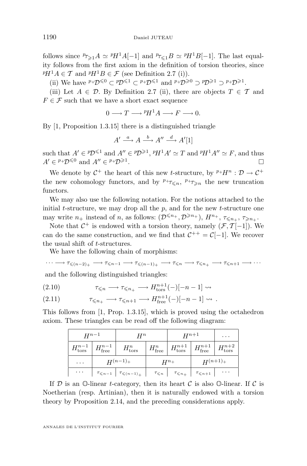<span id="page-14-0"></span>follows since  ${}^p\tau_{\geqslant1}A \simeq {}^pH^1A[-1]$  and  ${}^p\tau_{\leqslant1}B \simeq {}^pH^1B[-1]$ . The last equality follows from the first axiom in the definition of torsion theories, since  $P H^1 A \in \mathcal{T}$  and  $P H^1 B \in \mathcal{F}$  (see Definition [2.7](#page-11-0) [\(i\)](#page-11-0)).

(ii) We have  ${}^{p} \dagger \mathcal{D}^{\leq 0} \subset {}^{p} \mathcal{D}^{\leq 1} \subset {}^{p} \dagger \mathcal{D}^{\leq 1}$  and  ${}^{p} \dagger \mathcal{D}^{\geq 0} \supset {}^{p} \mathcal{D}^{\geq 1} \supset {}^{p} \dagger \mathcal{D}^{\geq 1}$ .

(iii) Let  $A \in \mathcal{D}$ . By Definition [2.7](#page-11-0) [\(ii\)](#page-11-0), there are objects  $T \in \mathcal{T}$  and  $F \in \mathcal{F}$  such that we have a short exact sequence

$$
0 \longrightarrow T \longrightarrow {}^{p}H^{1}A \longrightarrow F \longrightarrow 0.
$$

By [\[1,](#page-52-0) Proposition 1.3.15] there is a distinguished triangle

$$
A' \xrightarrow{a} A \xrightarrow{b} A'' \xrightarrow{d} A'[1]
$$

such that  $A' \in \mathcal{P}D^{\leq 1}$  and  $A'' \in \mathcal{P}D^{\geq 1}$ ,  $\mathcal{P}H^1A' \simeq T$  and  $\mathcal{P}H^1A'' \simeq F$ , and thus  $A' \in {}^{p_+}D^{\leq 0}$  and  $A'' \in {}^{p_+}D^{\geq 1}$ .

We denote by  $C^+$  the heart of this new *t*-structure, by  $P^+H^n$ :  $\mathcal{D} \to C^+$ the new cohomology functors, and by  $P^+\tau_{\leq n}$ ,  $P^+\tau_{\geq n}$  the new truncation functors.

We may also use the following notation. For the notions attached to the initial  $t$ -structure, we may drop all the  $p$ , and for the new  $t$ -structure one may write  $n_+$  instead of n, as follows:  $(\mathcal{D}^{\leq n_+}, \mathcal{D}^{\geq n_+}), H^{n_+}, \tau_{\leq n_+}, \tau_{\geq n_+}.$ 

Note that  $C^+$  is endowed with a torsion theory, namely  $(\mathcal{F}, \mathcal{T}[-1])$ . We can do the same construction, and we find that  $C^{++} = C[-1]$ . We recover the usual shift of t-structures.

We have the following chain of morphisms:

$$
\cdots \longrightarrow \tau_{\leqslant (n-2)_+} \longrightarrow \tau_{\leqslant n-1} \longrightarrow \tau_{\leqslant (n-1)_+} \longrightarrow \tau_{\leqslant n} \longrightarrow \tau_{\leqslant n_+} \longrightarrow \tau_{\leqslant n+1} \longrightarrow \cdots
$$
  
and the following distinguished triangles:

(2.10)  $\tau_{\leq n} \longrightarrow \tau_{\leq n_+} \longrightarrow H_{\text{tors}}^{n+1}(-)[-n-1] \rightsquigarrow$ 

τ<sup>6</sup>n<sup>+</sup> −→ τ<sup>6</sup>n+1 −→ H n+1 free (2.11) (−)[−<sup>n</sup> <sup>−</sup> 1] .

This follows from [\[1,](#page-52-0) Prop. 1.3.15], which is proved using the octahedron axiom. These triangles can be read off the following diagram:

| $H^{n-1}$ |                                                 | $H^n$                                               |           | $H^{n+1}$                                                          | $\cdots$                                                                                    |                              |
|-----------|-------------------------------------------------|-----------------------------------------------------|-----------|--------------------------------------------------------------------|---------------------------------------------------------------------------------------------|------------------------------|
|           | $H_{\text{tors}}^{n-1}$ $H_{\text{free}}^{n-1}$ | $H^n_{\text{tors}}$                                 |           |                                                                    | $H_{\text{free}}^n$ $H_{\text{tors}}^{n+1}$ $H_{\text{free}}^{n+1}$ $H_{\text{tors}}^{n+2}$ |                              |
| $\cdots$  | $H^{(n-1)}+$                                    |                                                     | $H^{n_+}$ |                                                                    | $H^{(n+1)}+$                                                                                |                              |
| $\cdots$  |                                                 | $\tau_{\leqslant n-1}$ $\tau_{\leqslant (n-1)_{+}}$ |           | $\tau_{\leqslant n}$ $\tau_{\leqslant n_+}$ $\tau_{\leqslant n+1}$ |                                                                                             | $\sim$ 100 $\sim$ 100 $\sim$ |

If  $D$  is an  $\mathbb{O}\text{-linear }t$ -category, then its heart  $C$  is also  $\mathbb{O}\text{-linear}$ . If  $C$  is Noetherian (resp. Artinian), then it is naturally endowed with a torsion theory by Proposition [2.14,](#page-13-0) and the preceding considerations apply.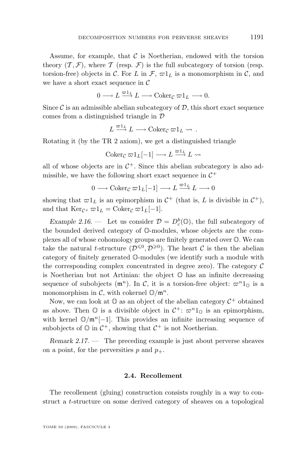<span id="page-15-0"></span>Assume, for example, that  $\mathcal C$  is Noetherian, endowed with the torsion theory  $(\mathcal{T}, \mathcal{F})$ , where  $\mathcal{T}$  (resp.  $\mathcal{F}$ ) is the full subcategory of torsion (resp. torsion-free) objects in C. For L in  $\mathcal{F}, \varpi 1_L$  is a monomorphism in C, and we have a short exact sequence in  $\mathcal C$ 

$$
0 \longrightarrow L \stackrel{\varpi 1_L}{\longrightarrow} L \longrightarrow \operatorname{Coker}_{\mathcal{C}} \varpi 1_L \longrightarrow 0.
$$

Since  $\mathcal C$  is an admissible abelian subcategory of  $\mathcal D$ , this short exact sequence comes from a distinguished triangle in D

$$
L \xrightarrow{\varpi 1_L} L \longrightarrow \text{Coker}_{\mathcal{C}} \varpi 1_L \rightsquigarrow .
$$

Rotating it (by the TR 2 axiom), we get a distinguished triangle

$$
Coker_{\mathcal{C}} \varpi 1_L[-1] \longrightarrow L \stackrel{\varpi 1_L}{\longrightarrow} L \rightsquigarrow
$$

all of whose objects are in  $C^+$ . Since this abelian subcategory is also admissible, we have the following short exact sequence in  $\mathcal{C}^+$ 

 $0 \longrightarrow \operatorname{Coker}_{\mathcal{C}} \varpi 1_L[-1] \longrightarrow L \stackrel{\varpi 1_L}{\longrightarrow} L \longrightarrow 0$ 

showing that  $\varpi 1_L$  is an epimorphism in  $\mathcal{C}^+$  (that is, L is divisible in  $\mathcal{C}^+$ ), and that  $\text{Ker}_{\mathcal{C}^+} \varpi 1_L = \text{Coker}_{\mathcal{C}} \varpi 1_L[-1].$ 

*Example 2.16.* — Let us consider  $\mathcal{D} = D_c^b(\mathbb{O})$ , the full subcategory of the bounded derived category of O-modules, whose objects are the complexes all of whose cohomology groups are finitely generated over O. We can take the natural *t*-structure  $(\mathcal{D}^{\leq 0}, \mathcal{D}^{\geq 0})$ . The heart C is then the abelian category of finitely generated O-modules (we identify such a module with the corresponding complex concentrated in degree zero). The category  $\mathcal C$ is Noetherian but not Artinian: the object  $\mathbb O$  has an infinite decreasing sequence of subobjects  $(m^n)$ . In C, it is a torsion-free object:  $\varpi^n 1_{\mathbb{O}}$  is a monomorphism in C, with cokernel  $\mathbb{O}/\mathfrak{m}^n$ .

Now, we can look at  $\mathbb O$  as an object of the abelian category  $\mathcal{C}^+$  obtained as above. Then  $\mathbb O$  is a divisible object in  $\mathcal C^+$ :  $\varpi^n 1_{\mathbb O}$  is an epimorphism, with kernel  $\mathbb{O}/m^n[-1]$ . This provides an infinite increasing sequence of subobjects of  $\mathbb O$  in  $\mathcal C^+$ , showing that  $\mathcal C^+$  is not Noetherian.

*Remark 2.17. —* The preceding example is just about perverse sheaves on a point, for the perversities p and  $p_+$ .

#### **2.4. Recollement**

The recollement (gluing) construction consists roughly in a way to construct a t-structure on some derived category of sheaves on a topological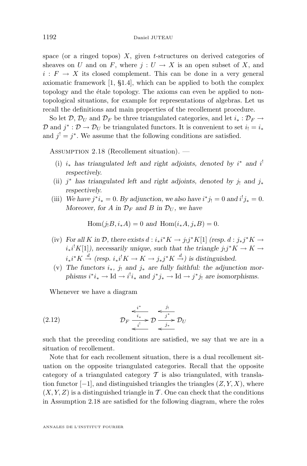<span id="page-16-0"></span>space (or a ringed topos)  $X$ , given t-structures on derived categories of sheaves on U and on F, where  $j: U \to X$  is an open subset of X, and  $i: F \to X$  its closed complement. This can be done in a very general axiomatic framework [\[1,](#page-52-0) §1.4], which can be applied to both the complex topology and the étale topology. The axioms can even be applied to nontopological situations, for example for representations of algebras. Let us recall the definitions and main properties of the recollement procedure.

So let D,  $\mathcal{D}_U$  and  $\mathcal{D}_F$  be three triangulated categories, and let  $i_* : \mathcal{D}_F \to$ D and  $j^* : \mathcal{D} \to \mathcal{D}_U$  be triangulated functors. It is convenient to set  $i_! = i_*$ and  $j' = j^*$ . We assume that the following conditions are satisfied.

ASSUMPTION 2.18 (Recollement situation). —

- (i)  $i_*$  has triangulated left and right adjoints, denoted by  $i^*$  and  $i^!$ *respectively.*
- (ii) j<sup>\*</sup> has triangulated left and right adjoints, denoted by j<sub>!</sub> and j<sub>\*</sub> *respectively.*
- (iii) We have  $j^*i_* = 0$ . By adjunction, we also have  $i^*j_! = 0$  and  $i^!j_* = 0$ . *Moreover, for* A *in*  $\mathcal{D}_F$  *and* B *in*  $\mathcal{D}_U$ *, we have*

 $Hom(j_1B, i_*A) = 0$  *and*  $Hom(i_*A, j_*B) = 0$ .

- (iv) For all K in D, there exists  $d : i_*i^*K \to j_!j^*K[1]$  *(resp.*  $d : j_*j^*K \to j_!j^*K$  $i_*i^!K[1]$ , necessarily unique, such that the triangle  $j_!j^*K \to K \to$  $i_*i^*K \stackrel{d}{\rightarrow}$  (resp.  $i_*i^!K \rightarrow K \rightarrow j_*j^*K \stackrel{d}{\rightarrow}$ ) is distinguished.
- (v) The functors  $i_*$ ,  $j_!$  and  $j_*$  are fully faithful: the adjunction mor*phisms*  $i^*i_* \to \text{Id} \to i^i i_*$  *and*  $j^*j_* \to \text{Id} \to j^*j_!$  *are isomorphisms.*

Whenever we have a diagram

$$
(2.12) \t\t \mathcal{D}_F \xrightarrow{\epsilon_i^* \atop i^!} \mathcal{D} \xrightarrow{j^*} \mathcal{D}_U
$$

such that the preceding conditions are satisfied, we say that we are in a situation of recollement.

Note that for each recollement situation, there is a dual recollement situation on the opposite triangulated categories. Recall that the opposite category of a triangulated category  $\mathcal T$  is also triangulated, with translation functor  $[-1]$ , and distinguished triangles the triangles  $(Z, Y, X)$ , where  $(X, Y, Z)$  is a distinguished triangle in T. One can check that the conditions in Assumption 2.18 are satisfied for the following diagram, where the roles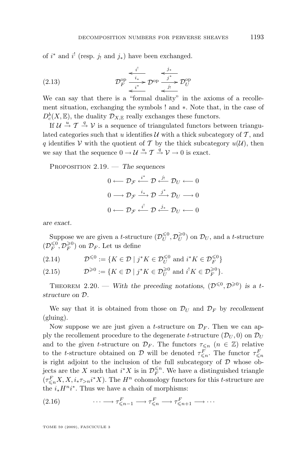<span id="page-17-0"></span>of  $i^*$  and  $i^!$  (resp.  $j_!$  and  $j_*)$  have been exchanged.

$$
(2.13) \t\t\t\t\t\t\mathcal{D}_F^{\text{op}} \xrightarrow{\begin{array}{c}i^!\\i^*\\i^*\end{array}} \mathcal{D}^{\text{op}} \xrightarrow{\begin{array}{c}j^*\\j^*\end{array}} \mathcal{D}_U^{\text{op}}
$$

We can say that there is a "formal duality" in the axioms of a recollement situation, exchanging the symbols ! and ∗. Note that, in the case of  $D^b_c(X, \mathbb{E}),$  the duality  $\mathcal{D}_{X,\mathbb{E}}$  really exchanges these functors.

If  $\mathcal{U} \stackrel{u}{\rightarrow} \mathcal{T} \stackrel{q}{\rightarrow} \mathcal{V}$  is a sequence of triangulated functors between triangulated categories such that u identifies  $\mathcal U$  with a thick subcategory of  $\mathcal T$ , and q identifies V with the quotient of T by the thick subcategory  $u(\mathcal{U})$ , then we say that the sequence  $0 \to \mathcal{U} \stackrel{u}{\to} \mathcal{T} \stackrel{q}{\to} \mathcal{V} \to 0$  is exact.

Proposition 2.19. — *The sequences*

$$
0 \longleftarrow \mathcal{D}_{\mathcal{F}} \xleftarrow{i^*} \mathcal{D} \xleftarrow{j_1} \mathcal{D}_U \longleftarrow 0
$$

$$
0 \longrightarrow \mathcal{D}_{\mathcal{F}} \xrightarrow{i_*} \mathcal{D} \xrightarrow{j^*} \mathcal{D}_U \longrightarrow 0
$$

$$
0 \longleftarrow \mathcal{D}_{\mathcal{F}} \xleftarrow{i^!} \mathcal{D} \xleftarrow{j_*} \mathcal{D}_U \longleftarrow 0
$$

*are exact.*

Suppose we are given a *t*-structure  $(\mathcal{D}_{U}^{\leq 0}, \mathcal{D}_{U}^{\geq 0})$  on  $\mathcal{D}_{U}$ , and a *t*-structure  $(\mathcal{D}_F^{\leqslant 0},\mathcal{D}_F^{\geqslant 0})$  on  $\mathcal{D}_F.$  Let us define

$$
(2.14) \hspace{1cm} \mathcal{D}^{\leqslant 0}:=\{K\in \mathcal{D} \mid j^*K\in \mathcal{D}_U^{\leqslant 0} \text{ and } i^*K\in \mathcal{D}_F^{\leqslant 0}\}
$$

(2.15) 
$$
\mathcal{D}^{\geqslant 0} := \{ K \in \mathcal{D} \mid j^*K \in \mathcal{D}_U^{\geqslant 0} \text{ and } i^!K \in \mathcal{D}_F^{\geqslant 0} \}.
$$

THEOREM 2.20. — With the preceding notations,  $(\mathcal{D}^{\leq 0}, \mathcal{D}^{\geq 0})$  is a t*structure on* D*.*

We say that it is obtained from those on  $\mathcal{D}_U$  and  $\mathcal{D}_F$  by *recollement* (gluing).

Now suppose we are just given a *t*-structure on  $\mathcal{D}_F$ . Then we can apply the recollement procedure to the degenerate t-structure  $(\mathcal{D}_{U}, 0)$  on  $\mathcal{D}_{U}$ and to the given t-structure on  $\mathcal{D}_F$ . The functors  $\tau_{\leq n}$  ( $n \in \mathbb{Z}$ ) relative to the t-structure obtained on D will be denoted  $\tau_{\leq n}^F$ . The functor  $\tau_{\leq n}^F$ is right adjoint to the inclusion of the full subcategory of  $D$  whose objects are the X such that  $i^*X$  is in  $\mathcal{D}_F^{\leq n}$ . We have a distinguished triangle  $(\tau_{\leq n}^F X, X, i_* \tau_{>n} i^* X)$ . The  $H^n$  cohomology functors for this t-structure are the  $i_* H^n i^*$ . Thus we have a chain of morphisms:

(2.16) 
$$
\cdots \longrightarrow \tau_{\leq n-1}^F \longrightarrow \tau_{\leq n}^F \longrightarrow \tau_{\leq n+1}^F \longrightarrow \cdots
$$

TOME 59 (2009), FASCICULE 3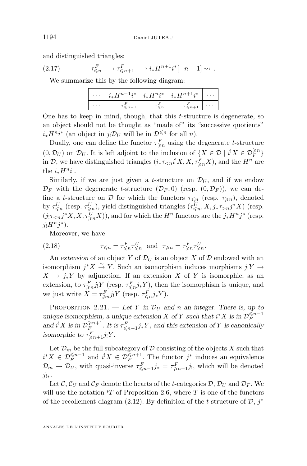<span id="page-18-0"></span>and distinguished triangles:

(2.17) 
$$
\tau_{\leq n}^F \longrightarrow \tau_{\leq n+1}^F \longrightarrow i_* H^{n+1} i^* [-n-1] \rightsquigarrow.
$$

We summarize this by the following diagram:

|          | $\cdots  i_*H^{n-1}i^* i_*H^n i^* i_*H^{n+1}i^* $ |          |                                     |  |
|----------|---------------------------------------------------|----------|-------------------------------------|--|
| $\cdots$ | $\leqslant n-1$                                   | $\leq n$ | $\tau_{\leqslant n+1}^F$   $\cdots$ |  |

One has to keep in mind, though, that this  $t$ -structure is degenerate, so an object should not be thought as "made of" its "successive quotients"  $i_* H^n i^*$  (an object in  $j_! \mathcal{D}_U$  will be in  $\mathcal{D}^{\leq n}$  for all n).

Dually, one can define the functor  $\tau_{\geq n}^F$  using the degenerate t-structure  $(0,\mathcal{D}_U)$  on  $\mathcal{D}_U$ . It is left adjoint to the inclusion of  $\{X\in\mathcal{D}\mid i^!X\in\mathcal{D}_F^{\geqslant n}\}$ in  $\mathcal{D}$ , we have distinguished triangles  $(i_{*}\tau_{\leq n}i^{!}X, X, \tau_{\geq n}^{F}X)$ , and the  $H^{n}$  are the  $i_* H^{n} i^!$ .

Similarly, if we are just given a t-structure on  $\mathcal{D}_U$ , and if we endow  $\mathcal{D}_F$  with the degenerate *t*-structure  $(\mathcal{D}_F, 0)$  (resp.  $(0, \mathcal{D}_F)$ ), we can define a t-structure on D for which the functors  $\tau_{\leq n}$  (resp.  $\tau_{\geq n}$ ), denoted by  $\tau_{\leq n}^U$  (resp.  $\tau_{\geq n}^U$ ), yield distinguished triangles  $(\tau_{\leq n}^U, X, j_* \tau_{> n} j^* X)$  (resp.  $(j_! \tau_{\leq n} j^* X, X, \tau_{\geq n}^U X)$ , and for which the  $H^n$  functors are the  $j_* H^n j^*$  (resp.  $j_!H^nj^*$ ).

Moreover, we have

(2.18) 
$$
\tau_{\leq n} = \tau_{\leq n}^F \tau_{\leq n}^U \text{ and } \tau_{\geq n} = \tau_{\geq n}^F \tau_{\geq n}^U.
$$

An extension of an object Y of  $\mathcal{D}_U$  is an object X of D endowed with an isomorphism  $j^*X \stackrel{\sim}{\to} Y$ . Such an isomorphism induces morphisms  $j_!Y \to Y$  $X \to j_* Y$  by adjunction. If an extension X of Y is isomorphic, as an extension, to  $\tau_{\geq n}^F j_! Y$  (resp.  $\tau_{\leq n}^F j_* Y$ ), then the isomorphism is unique, and we just write  $X = \tau_{\geq n}^F j_! Y$  (resp.  $\tau_{\leq n}^F j_* Y$ ).

PROPOSITION 2.21. — Let Y in  $\mathcal{D}_U$  and n an integer. There is, up to *unique isomorphism, a unique extension* X of Y *such that*  $i^*X$  *is in*  $\mathcal{D}_F^{\leq n-1}$ and  $i^!X$  is in  $\mathcal{D}_F^{\geq n+1}$ . It is  $\tau_{\leq n-1}^F j_*Y$ , and this extension of Y is canonically *isomorphic to*  $\tau_{\geqslant n+1}^F j_! Y$ *.* 

Let  $\mathcal{D}_m$  be the full subcategory of  $\mathcal D$  consisting of the objects X such that  $i^*X \in \mathcal{D}_F^{\leq n-1}$  and  $i^!X \in \mathcal{D}_F^{\leq n+1}$ . The functor  $j^*$  induces an equivalence  $\mathcal{D}_m \to \mathcal{D}_U$ , with quasi-inverse  $\tau_{\leq n-1}^F j_* = \tau_{\geq n+1}^F j_!,$  which will be denoted  $j_{!*}$ .

Let C,  $\mathcal{C}_U$  and  $\mathcal{C}_F$  denote the hearts of the t-categories D,  $\mathcal{D}_U$  and  $\mathcal{D}_F$ . We will use the notation  $^pT$  of Proposition [2.6,](#page-11-0) where T is one of the functors of the recollement diagram [\(2.12\)](#page-16-0). By definition of the t-structure of  $\mathcal{D}, j^*$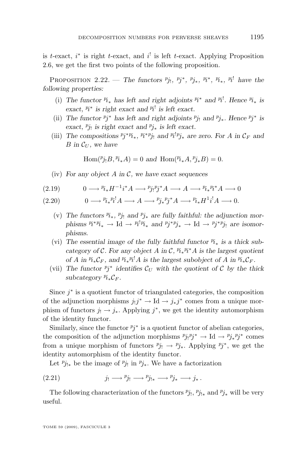<span id="page-19-0"></span>is t-exact,  $i^*$  is right t-exact, and  $i^!$  is left t-exact. Applying Proposition [2.6,](#page-11-0) we get the first two points of the following proposition.

**PROPOSITION** 2.22. — *The functors*  $^{p}j_1$ *,*  $^{p}j^*$ *,*  $^{p}j_*$ *,*  $^{p}i^*$ *,*  $^{p}i_*$ *,*  $^{p}i^!$  have the *following properties:*

- (i) The functor  $P_{i*}$  has left and right adjoints  $P_i^*$  and  $P_i^!$ . Hence  $P_{i*}$  is exact,  $P_i^*$  is right exact and  $P_i^!$  is left exact.
- (ii) The functor  $p_j^*$  has left and right adjoints  $p_{j_1}$  and  $p_{j_*}$ *. Hence*  $p_j^*$  is  $\frac{1}{2}$  *exact,*  $\frac{p_j}{p_i}$  *is right exact and*  $\frac{p_j}{p^*}$  *is left exact.*
- (iii) The compositions  $p_j^* \nrightarrow p_{k*}$ ,  $p_i^* \nrightarrow p_j$  and  $p_i^* \nrightarrow p_{k*}$  are zero. For A in  $\mathcal{C}_F$  and *B* in  $\mathcal{C}_U$ , we have

 $\text{Hom}(^{p}j_{!}B,^{p}i_{*}A) = 0$  and  $\text{Hom}(^{p}i_{*}A,^{p}j_{*}B) = 0.$ 

(iv) *For any object* A *in* C*, we have exact sequences*

(2.19) 
$$
0 \longrightarrow {}^{p_i} {}_*H^{-1}i^*A \longrightarrow {}^{p_j}P_j{}^*A \longrightarrow A \longrightarrow {}^{p_i}{}_*{}^{p_i}A \longrightarrow 0
$$

$$
(2.20) \t 0 \longrightarrow {}^{p_i} {}_*{}^{p_i} {}^! A \longrightarrow A \longrightarrow {}^{p_j} {}_*{}^{p_j} {}^* A \longrightarrow {}^{p_i} {}_* H^1 i^! A \longrightarrow 0.
$$

- (v) The functors  $\ddot{p}_*, \ddot{p}_j$  and  $\ddot{p}_*$  are fully faithful: the adjunction morphisms  $P_i^*P_{i*} \to \text{Id} \to P_i^!P_{i*}$  and  $P_j^*P_{j*} \to \text{Id} \to P_j^*P_{j!}$  are isomor*phisms.*
- (vi) The essential image of the fully faithful functor  $P_{i*}$  is a thick subcategory of  $\mathcal{C}$ *.* For any object A in  $\mathcal{C}$ *,*  $\mathbb{N}_* \mathbb{N}^* A$  is the largest quotient *of A* in  $\mathbb{P}_{i*}^i \mathcal{C}_F$ , and  $\mathbb{P}_{i*}^i \mathbb{P}_i^i A$  is the largest subobject of *A* in  $\mathbb{P}_{i*}^i \mathcal{C}_F$ .
- (vii) The functor  $p_j^*$  identifies  $\mathcal{C}_U$  with the quotient of  $\mathcal{C}$  by the thick  $subcategory P_{i_*}C_F$ .

Since  $j^*$  is a quotient functor of triangulated categories, the composition of the adjunction morphisms  $j_!j^* \to \text{Id} \to j_*j^*$  comes from a unique morphism of functors  $j_! \rightarrow j_*$ . Applying  $j^*$ , we get the identity automorphism of the identity functor.

Similarly, since the functor  $p_j^*$  is a quotient functor of abelian categories, the composition of the adjunction morphisms  $p_{j}p_{j} \rightarrow \text{Id} \rightarrow p_{j*}p_{j*}$  comes from a unique morphism of functors  $p_{j} \rightarrow p_{j*}$ . Applying  $p_j^*$ , we get the identity automorphism of the identity functor.

Let  $p_{j|*}$  be the image of  $p_{j|}$  in  $p_{j*}$ . We have a factorization

(2.21) 
$$
j_! \longrightarrow p_{j_!} \longrightarrow p_{j_{!*}} \longrightarrow p_{j_*} \longrightarrow j_*.
$$

The following characterization of the functors  $p_{j_1}, p_{j_{1*}}$  and  $p_{j_*}$  will be very useful.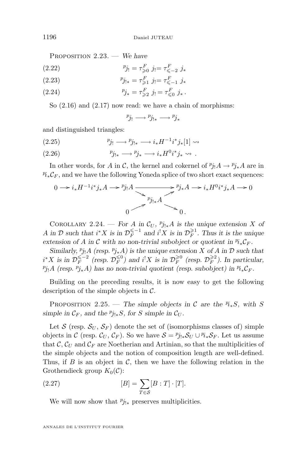<span id="page-20-0"></span>Proposition 2.23. — *We have*

(2.22) 
$$
{}^{p}j_{!} = \tau_{\geq 0}^{F} j_{!} = \tau_{\leq -2}^{F} j_{*}
$$

(2.23) 
$$
p_{j_{!*}} = \tau_{\geq 1}^F \ j_! = \tau_{\leq -1}^F \ j_*
$$

(2.24) 
$$
{}^{p}j_{*} = \tau_{\geqslant 2}^{F} j_{!} = \tau_{\leqslant 0}^{F} j_{*}.
$$

So  $(2.16)$  and  $(2.17)$  now read: we have a chain of morphisms:

$$
p_{j_!} \longrightarrow p_{j_{!*}} \longrightarrow p_{j_*}
$$

and distinguished triangles:

(2.25) 
$$
p_{j} \longrightarrow p_{j} \longrightarrow i_* H^{-1} i^* j_* [1] \longrightarrow
$$

(2.26) 
$$
p_{j_{!*}} \longrightarrow p_{j_*} \longrightarrow i_* H^0 i^* j_* \longrightarrow .
$$

In other words, for A in C, the kernel and cokernel of  ${}^p j_! A \to {}^p j_* A$  are in  $\mathcal{P}_{k*} \mathcal{C}_F$ , and we have the following Yoneda splice of two short exact sequences:

$$
0 \longrightarrow i_* H^{-1} i^* j_* A \longrightarrow {^{p} j_! A} \longrightarrow {^{p} j_{!*} A} \longrightarrow {^{p} j_* A} \longrightarrow i_* H^{0} i^* j_* A \longrightarrow 0
$$
  

$$
0 \longrightarrow {^{p} j_{!*} A} \longrightarrow 0.
$$

COROLLARY 2.24. — *For* A in  $\mathcal{C}_U$ ,  $p_{j|*}A$  *is the unique extension* X *of* A in D such that  $i^*X$  is in  $\mathcal{D}_F^{\leq -1}$  and  $i^!X$  is in  $\mathcal{D}_F^{\geq 1}$ . Thus it is the unique extension of A in C with no non-trivial subobject or quotient in  $\mathbb{F}_{*}\mathcal{C}_F$ .

*Similarly,*  $p_{j}$ <sub>1</sub>A (resp.  $p_{j*}A$ ) is the unique extension X of A in D such that  $i^*X$  is in  $\mathcal{D}_F^{\leq -2}$  (resp.  $\mathcal{D}_F^{\leq 0}$ ) and  $i^!X$  is in  $\mathcal{D}_F^{\geq 0}$  (resp.  $\mathcal{D}_F^{\geq 2}$ ). In particular,  $p_{j_1}A$  (resp.  $p_{j_*}A$ ) has no non-trivial quotient (resp. subobject) in  $p_{i_*}C_F$ .

Building on the preceding results, it is now easy to get the following description of the simple objects in  $\mathcal{C}$ .

PROPOSITION 2.25. — *The simple objects in*  $\mathcal{C}$  *are the*  $\mathbb{P}_{i*}S$ *, with* S *simple in*  $\mathcal{C}_F$ *, and the*  $p_{j!*}S$ *, for S simple in*  $\mathcal{C}_U$ *.* 

Let S (resp.  $S_U$ ,  $S_F$ ) denote the set of (isomorphisms classes of) simple objects in C (resp.  $\mathcal{C}_U, \mathcal{C}_F$ ). So we have  $\mathcal{S} = \mathcal{C}_{j!*} \mathcal{S}_U \cup \mathcal{C}_{**} \mathcal{S}_F$ . Let us assume that  $\mathcal{C}, \mathcal{C}_U$  and  $\mathcal{C}_F$  are Noetherian and Artinian, so that the multiplicities of the simple objects and the notion of composition length are well-defined. Thus, if  $B$  is an object in  $C$ , then we have the following relation in the Grothendieck group  $K_0(\mathcal{C})$ :

(2.27) 
$$
[B] = \sum_{T \in \mathcal{S}} [B : T] \cdot [T].
$$

We will now show that  $p_{j|*}$  preserves multiplicities.

ANNALES DE L'INSTITUT FOURIER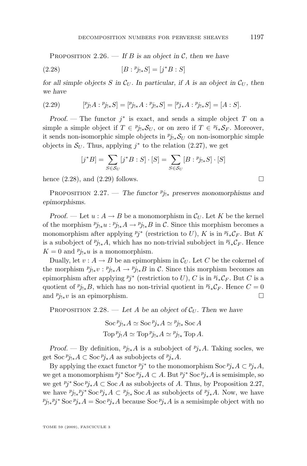<span id="page-21-0"></span>PROPOSITION 2.26. — If B is an object in  $\mathcal{C}$ , then we have

(2.28) 
$$
[B : {}^{p}j_{!*}S] = [j^*B : S]
$$

*for all simple objects* S in  $\mathcal{C}_U$ . In particular, if A is an object in  $\mathcal{C}_U$ , then *we have*

(2.29) 
$$
[^{p}j_{!}A : ^{p}j_{!*}S] = [^{p}j_{!*}A : ^{p}j_{!*}S] = [^{p}j_{*}A : ^{p}j_{!*}S] = [A : S].
$$

*Proof.* — The functor  $j^*$  is exact, and sends a simple object T on a simple a simple object if  $T \in \mathcal{P}_{j_{\sharp}*}S_U$ , or on zero if  $T \in \mathcal{P}_{i_{\ast}}S_F$ . Moreover, it sends non-isomorphic simple objects in  $p_{j\downarrow *} S_U$  on non-isomorphic simple objects in  $S_U$ . Thus, applying  $j^*$  to the relation [\(2.27\)](#page-20-0), we get

$$
[j^*B] = \sum_{S \in \mathcal{S}_U} [j^*B : S] \cdot [S] = \sum_{S \in \mathcal{S}_U} [B : {^p}j_{!*}S] \cdot [S]
$$

hence  $(2.28)$ , and  $(2.29)$  follows.

PROPOSITION 2.27. — *The functor*  $p_{j_{!*}}$  *preserves monomorphisms and epimorphisms.*

*Proof.* — Let  $u : A \to B$  be a monomorphism in  $\mathcal{C}_U$ . Let K be the kernel of the morphism  $p_{j_{!*}}u : p_{j_{!*}}A \to p_{j_{!*}}B$  in C. Since this morphism becomes a monomorphism after applying  $p_j^*$  (restriction to U), K is in  $r_i^* C_F$ . But K is a subobject of  $p_{j|*}A$ , which has no non-trivial subobject in  $p_{i*}C_F$ . Hence  $K = 0$  and  $p_{j|*}u$  is a monomorphism.

Dually, let  $v : A \to B$  be an epimorphism in  $\mathcal{C}_U$ . Let C be the cokernel of the morphism  $p_{j|*}v : p_{j|*}A \to p_{j|*}B$  in C. Since this morphism becomes an epimorphism after applying  $p_j^*$  (restriction to U), C is in  $\mathbb{F}_*\mathcal{C}_F$ . But C is a quotient of  $p_{j|*}B$ , which has no non-trivial quotient in  $\mathcal{P}_{i*}\mathcal{C}_F$ . Hence  $C=0$ and  $p_{j|*}v$  is an epimorphism.

PROPOSITION 2.28. — Let A be an object of  $\mathcal{C}_U$ . Then we have

$$
\operatorname{Soc}^p j_{!*} A \simeq \operatorname{Soc}^p j_* A \simeq {}^p j_{!*} \operatorname{Soc} A
$$
  

$$
\operatorname{Top}^p j_! A \simeq \operatorname{Top}^p j_{!*} A \simeq {}^p j_{!*} \operatorname{Top} A.
$$

*Proof.* — By definition,  ${}^p j_{!*}A$  is a subobject of  ${}^p j_{*}A$ . Taking socles, we get Soc<sup>*p*</sup>j<sub>\*</sub> $A \subset$  Soc<sup>*p*</sup>j<sub>\*</sub> $A$  as subobjects of  $p_{j*}$  $A$ .

By applying the exact functor  $p_j^*$  to the monomorphism Soc  $p_{j*}A \subset p_{j*}A$ , we get a monomorphism  $p_j^*$  Soc  $p_{j*}A \subset A$ . But  $p_j^*$  Soc  $p_{j*}A$  is semisimple, so we get  $p_j^*$  Soc  $p_{j*}A \subset$  Soc A as subobjects of A. Thus, by Proposition 2.27, we have  $p_{j*}p_j^*Soc p_{j*}A \subset p_{j!*}Soc A$  as subobjects of  $p_{j*}A$ . Now, we have  $p_{j_{!*}}p_j^*$  Soc  $p_{j_*}A = \text{Soc }p_{j_*}A$  because Soc  $p_{j_*}A$  is a semisimple object with no

TOME 59 (2009), FASCICULE 3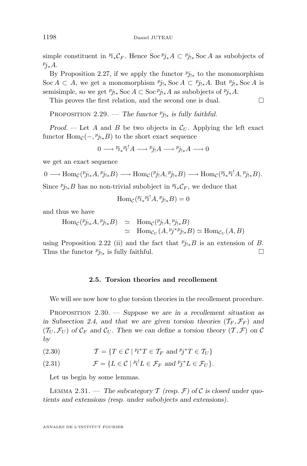<span id="page-22-0"></span>simple constituent in  $\mathcal{P}i_*\mathcal{C}_F$ . Hence Soc $\mathcal{P}j_*A \subset \mathcal{P}j_{!*}$  Soc A as subobjects of  $p_{j_*A}$ .

By Proposition [2.27,](#page-21-0) if we apply the functor  $\frac{p_{j}}{s}$  to the monomorphism Soc  $A \subset A$ , we get a monomorphism  $^p j_{!*}$  Soc  $A \subset {}^p j_{!*}A$ . But  $^p j_{!*}$  Soc A is semisimple, so we get  $p_{j_{!*}}$ Soc  $A \subset$  Soc  $p_{j_{!*}}A$  as subobjects of  $p_{j_{!*}}A$ .

This proves the first relation, and the second one is dual.

PROPOSITION 2.29. — *The functor*  $p_{j|*}$  *is fully faithful.* 

*Proof.* — Let A and B be two objects in  $\mathcal{C}_U$ . Applying the left exact functor  $\text{Hom}_{\mathcal{C}}(-, {}^p j_{!*}B)$  to the short exact sequence

$$
0 \longrightarrow \overset{p_i}{\longrightarrow} \overset{p_i}{\longrightarrow} A \longrightarrow \overset{p_{j}}{\longrightarrow} A \longrightarrow \overset{p_{j}}{\longrightarrow} A \longrightarrow 0
$$

we get an exact sequence

 $0 \longrightarrow \text{Hom}_{\mathcal{C}}(^{p}j_{!*}A, {}^{p}j_{!*}B) \longrightarrow \text{Hom}_{\mathcal{C}}({}^{p}j_{!}A, {}^{p}j_{!*}B) \longrightarrow \text{Hom}_{\mathcal{C}}({}^{p}i_{*}{}^{p}i^{!}A, {}^{p}j_{!*}B).$ 

Since  $p_{j|*}B$  has no non-trivial subobject in  $\mathbb{P}_{i*}C_F$ , we deduce that

 $\text{Hom}_{\mathcal{C}}(^{p_i} \ast^{p_i} A, ^{p_j} \ast^{p_j} B) = 0$ 

and thus we have

 $\text{Hom}_{\mathcal{C}}(^p j_{!*} A, ^p j_{!*} B) \cong \text{Hom}_{\mathcal{C}}(^p j_! A, ^p j_{!*} B)$  $\cong \text{Hom}_{\mathcal{C}_U}(A, \mathcal{P}_j^* \mathcal{P}_{j|*}B) \simeq \text{Hom}_{\mathcal{C}_U}(A, B)$ 

using Proposition [2.22](#page-19-0) [\(ii\)](#page-19-0) and the fact that  $p_{j!*}B$  is an extension of B. Thus the functor  $p_{j_{!*}}$  is fully faithful.  $\Box$ 

#### **2.5. Torsion theories and recollement**

We will see now how to glue torsion theories in the recollement procedure.

Proposition 2.30. — *Suppose we are in a recollement situation as* in Subsection [2.4,](#page-15-0) and that we are given torsion theories  $(\mathcal{T}_F, \mathcal{F}_F)$  and  $(\mathcal{T}_U, \mathcal{F}_U)$  of  $\mathcal{C}_F$  and  $\mathcal{C}_U$ . Then we can define a torsion theory  $(\mathcal{T}, \mathcal{F})$  on  $\mathcal{C}$ *by*

(2.30) 
$$
\mathcal{T} = \{ T \in \mathcal{C} \mid {}^{p_i}T \in \mathcal{T}_F \text{ and } {}^{p_j}T \in \mathcal{T}_U \}
$$

(2.31)  $\mathcal{F} = \{ L \in \mathcal{C} \mid {}^{p_i!}L \in \mathcal{F}_F \text{ and } {}^{p_j*}L \in \mathcal{F}_U \}.$ 

Let us begin by some lemmas.

LEMMA 2.31. — The subcategory  $\mathcal T$  (resp.  $\mathcal F$ ) of  $\mathcal C$  is closed under quo*tients and extensions (resp. under subobjects and extensions).*

ANNALES DE L'INSTITUT FOURIER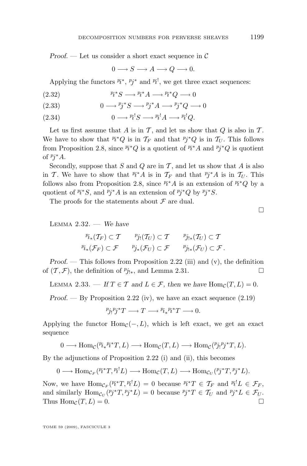<span id="page-23-0"></span>*Proof. —* Let us consider a short exact sequence in C

$$
0 \longrightarrow S \longrightarrow A \longrightarrow Q \longrightarrow 0.
$$

Applying the functors  $\mathbb{F}_t^*, \mathbb{F}_j^*$  and  $\mathbb{F}_t^!$ , we get three exact sequences:

(2.32) 
$$
p_i^*S \longrightarrow p_i^*A \longrightarrow p_i^*Q \longrightarrow 0
$$

(2.33) 
$$
0 \longrightarrow {}^{p}j^{*}S \longrightarrow {}^{p}j^{*}A \longrightarrow {}^{p}j^{*}Q \longrightarrow 0
$$

(2.34) 
$$
0 \longrightarrow {}^{p_i!}S \longrightarrow {}^{p_i!}A \longrightarrow {}^{p_i!}Q.
$$

Let us first assume that A is in  $\mathcal T$ , and let us show that  $Q$  is also in  $\mathcal T$ . We have to show that  $P_i^*Q$  is in  $\mathcal{T}_F$  and that  $P_j^*Q$  is in  $\mathcal{T}_U$ . This follows from Proposition [2.8,](#page-11-0) since  $\ell_i^*Q$  is a quotient of  $\ell_i^*A$  and  $\ell_j^*Q$  is quotient of  $p^*A$ .

Secondly, suppose that S and Q are in T, and let us show that A is also in T. We have to show that  $P_i^*A$  is in  $\mathcal{T}_F$  and that  $P_j^*A$  is in  $\mathcal{T}_U$ . This follows also from Proposition [2.8,](#page-11-0) since  $\mathbb{P}i^*A$  is an extension of  $\mathbb{P}i^*Q$  by a quotient of  $P_i^*S$ , and  $P_j^*A$  is an extension of  $P_j^*Q$  by  $P_j^*S$ .

The proofs for the statements about  $\mathcal F$  are dual.

Lemma 2.32. — *We have*

$$
p_{i_*}(\mathcal{T}_F) \subset \mathcal{T} \qquad p_{j_!}(\mathcal{T}_U) \subset \mathcal{T} \qquad p_{j_{!*}}(\mathcal{T}_U) \subset \mathcal{T}
$$
  

$$
p_{i_*}(\mathcal{F}_F) \subset \mathcal{F} \qquad p_{j_*}(\mathcal{F}_U) \subset \mathcal{F} \qquad p_{j_{!*}}(\mathcal{F}_U) \subset \mathcal{F}.
$$

*Proof.* — This follows from Proposition [2.22](#page-19-0) [\(iii\)](#page-19-0) and [\(v\)](#page-19-0), the definition of  $(\mathcal{T}, \mathcal{F})$ , the definition of  $p_{j!*}$ , and Lemma [2.31.](#page-22-0) □

LEMMA 2.33. — If  $T \in \mathcal{T}$  and  $L \in \mathcal{F}$ , then we have  $\text{Hom}_{\mathcal{C}}(T, L) = 0$ .

*Proof.* — By Proposition [2.22](#page-19-0) [\(iv\)](#page-19-0), we have an exact sequence  $(2.19)$ 

$$
Pj_!Pj^*T \longrightarrow T \longrightarrow Pi_*Pi^*T \longrightarrow 0.
$$

Applying the functor  $\text{Hom}_{\mathcal{C}}(-, L)$ , which is left exact, we get an exact sequence

 $0 \longrightarrow \text{Hom}_{\mathcal{C}}(^p_i *^{p_i * T}, L) \longrightarrow \text{Hom}_{\mathcal{C}}(T, L) \longrightarrow \text{Hom}_{\mathcal{C}}(^p_j *^{p_j * T}, L).$ 

By the adjunctions of Proposition [2.22](#page-19-0) [\(i\)](#page-19-0) and [\(ii\)](#page-19-0), this becomes

 $0 \longrightarrow \text{Hom}_{\mathcal{C}_F}(\mathcal{P}_\ell^* T, \mathcal{P}_\ell^! L) \longrightarrow \text{Hom}_{\mathcal{C}}(T, L) \longrightarrow \text{Hom}_{\mathcal{C}_U}(\mathcal{P}_\ell^* T, \mathcal{P}_\ell^* L).$ 

Now, we have  $\text{Hom}_{\mathcal{C}_F}(^{p^*T},^{p^!L}) = 0$  because  $^{p^*T} \in \mathcal{T}_F$  and  $^{p^!L} \in \mathcal{F}_F$ , and similarly  $\text{Hom}_{\mathcal{C}_U}(^pj^*T, ^pj^*L) = 0$  because  $^pj^*T \in \mathcal{T}_U$  and  $^pj^*L \in \mathcal{F}_U$ . Thus  $\text{Hom}_{\mathcal{C}}(T, L) = 0.$ 

TOME 59 (2009), FASCICULE 3

 $\Box$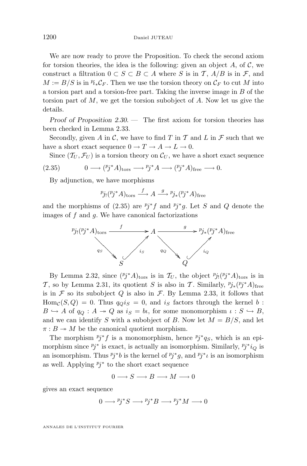We are now ready to prove the Proposition. To check the second axiom for torsion theories, the idea is the following: given an object  $A$ , of  $C$ , we construct a filtration  $0 \subset S \subset B \subset A$  where S is in T,  $A/B$  is in F, and  $M := B/S$  is in  $\mathbb{F}_* \mathcal{C}_F$ . Then we use the torsion theory on  $\mathcal{C}_F$  to cut M into a torsion part and a torsion-free part. Taking the inverse image in B of the torsion part of M, we get the torsion subobject of A. Now let us give the details.

*Proof of Proposition [2.30.](#page-22-0) —* The first axiom for torsion theories has been checked in Lemma [2.33.](#page-23-0)

Secondly, given A in C, we have to find T in T and L in  $\mathcal F$  such that we have a short exact sequence  $0 \to T \to A \to L \to 0$ .

Since  $(\mathcal{T}_U, \mathcal{F}_U)$  is a torsion theory on  $\mathcal{C}_U$ , we have a short exact sequence

(2.35) 
$$
0 \longrightarrow (^{p}j^*A)_{\text{tors}} \longrightarrow {^{p}j^*A} \longrightarrow ({^{p}j^*A})_{\text{free}} \longrightarrow 0.
$$

By adjunction, we have morphisms

$$
{}^p j_! ({}^p j^* A)_{\text{tors}} \xrightarrow{f} A \xrightarrow{g} {}^p j_* ({}^p j^* A)_{\text{free}}
$$

and the morphisms of  $(2.35)$  are  $\ell_j^* f$  and  $\ell_j^* g$ . Let S and Q denote the images of  $f$  and  $g$ . We have canonical factorizations



By Lemma [2.32,](#page-23-0) since  $(p_j^*A)_{\text{tors}}$  is in  $\mathcal{T}_U$ , the object  $p_{j} (p_j^*A)_{\text{tors}}$  is in T, so by Lemma [2.31,](#page-22-0) its quotient S is also in T. Similarly,  $p_{j*}(p_{j}^*A)_{\text{free}}$ is in  $\mathcal F$  so its subobject  $Q$  is also in  $\mathcal F$ . By Lemma [2.33,](#page-23-0) it follows that  $\text{Hom}_{\mathcal{C}}(S, Q) = 0$ . Thus  $q_Q i_S = 0$ , and  $i_S$  factors through the kernel b:  $B \hookrightarrow A$  of  $q_Q : A \twoheadrightarrow Q$  as  $i_S = bl$ , for some monomorphism  $\iota : S \hookrightarrow B$ , and we can identify S with a subobject of B. Now let  $M = B/S$ , and let  $\pi : B \to M$  be the canonical quotient morphism.

The morphism  $p_j^*f$  is a monomorphism, hence  $p_j^*q_S$ , which is an epimorphism since  $p_j^*$  is exact, is actually an isomorphism. Similarly,  $p_j^*i_Q$  is an isomorphism. Thus  $p_j^*b$  is the kernel of  $p_j^*g$ , and  $p_j^*\iota$  is an isomorphism as well. Applying  $p_j^*$  to the short exact sequence

$$
0 \longrightarrow S \longrightarrow B \longrightarrow M \longrightarrow 0
$$

gives an exact sequence

$$
0 \longrightarrow {}^{p}j^*S \longrightarrow {}^{p}j^*B \longrightarrow {}^{p}j^*M \longrightarrow 0
$$

ANNALES DE L'INSTITUT FOURIER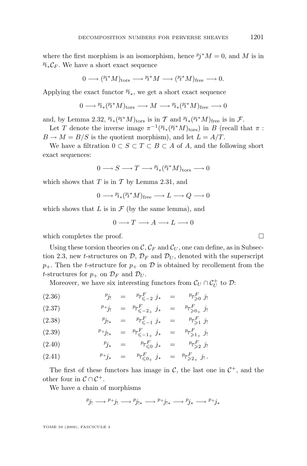where the first morphism is an isomorphism, hence  $Pj^*M = 0$ , and M is in  $\mathcal{P}_{i*} \mathcal{C}_F$ . We have a short exact sequence

$$
0\longrightarrow ({}^p\! i^*M)_{\rm tors}\longrightarrow {}^p\! i^*M\longrightarrow ({}^p\! i^*M)_{\rm free}\longrightarrow 0.
$$

Applying the exact functor  $\mathcal{P}_{i*}$ , we get a short exact sequence

$$
0\longrightarrow{{}^{p}\!i}_*({}^{p}\!i}{}^*M)_{\operatorname{tors}}\longrightarrow M\longrightarrow{{}^{p}\!i}_*({}^{p}\!i}{}^*M)_{\operatorname{free}}\longrightarrow0
$$

and, by Lemma [2.32,](#page-23-0)  $\mathcal{P}_{i*}(\mathcal{P}_{i}^*M)_{\text{tors}}$  is in T and  $\mathcal{P}_{i*}(\mathcal{P}_{i}^*M)_{\text{free}}$  is in F.

Let T denote the inverse image  $\pi^{-1}(P_{i*}(P_i^*M)_{tors})$  in B (recall that  $\pi$ :  $B \to M = B/S$  is the quotient morphism), and let  $L = A/T$ .

We have a filtration  $0 \subset S \subset T \subset B \subset A$  of A, and the following short exact sequences:

$$
0\longrightarrow S\longrightarrow T\longrightarrow \mathop{^{p}\!}\nolimits_{*}(\mathop{^{p}\!}\nolimits_{*}^*M)_{\rm tors}\longrightarrow0
$$

which shows that  $T$  is in  $T$  by Lemma [2.31,](#page-22-0) and

$$
0 \longrightarrow {}^{p_i}{}_*(^{p_i*}M)_{\text{free}} \longrightarrow L \longrightarrow Q \longrightarrow 0
$$

which shows that  $L$  is in  $\mathcal F$  (by the same lemma), and

$$
0\longrightarrow T\longrightarrow A\longrightarrow L\longrightarrow 0
$$

which completes the proof.  $\Box$ 

Using these torsion theories on  $\mathcal{C}, \mathcal{C}_F$  and  $\mathcal{C}_U$ , one can define, as in Subsec-tion [2.3,](#page-11-0) new *t*-structures on  $\mathcal{D}, \mathcal{D}_F$  and  $\mathcal{D}_U$ , denoted with the superscript  $p_{+}$ . Then the *t*-structure for  $p_{+}$  on  $D$  is obtained by recollement from the t-structures for  $p_+$  on  $\mathcal{D}_F$  and  $\mathcal{D}_U$ .

Moreover, we have six interesting functors from  $\mathcal{C}_U \cap \mathcal{C}_U^+$  to  $\mathcal{D}$ :

(2.36) 
$$
p_{j_1} = p_{\mathcal{T}^F_{\leq -2} j_*} = p_{\mathcal{T}^F_{\geq 0} j_!}
$$

(2.37) 
$$
p_{+j_1} = p_{\tau_{\leq -2_+}^F j_*} = p_{\tau_{\geq 0_+}^F j_!}
$$

(2.38) 
$$
{}^{p}j_{!*} = {}^{p}r_{\leq -1}^{F} j_{*} = {}^{p}r_{\geq 1}^{F} j_{!}
$$

p τ F j<sup>∗</sup> = 6−1<sup>+</sup> p τ F >1<sup>+</sup> (2.39) j!

p j<sup>∗</sup> = p τ F 60 j<sup>∗</sup> = p τ F >2 (2.40) j!

(2.41) 
$$
{}^{p+}j_* = {}^{p}T^F_{\leq 0_+} j_* = {}^{p}T^F_{\geq 2_+} j_!.
$$

The first of these functors has image in  $\mathcal{C}$ , the last one in  $\mathcal{C}^+$ , and the other four in  $C \cap C^+$ .

We have a chain of morphisms

$$
p_{j_!} \longrightarrow p_{+j_!} \longrightarrow p_{j_{!*}} \longrightarrow p_{+j_{!*}} \longrightarrow p_{j_*} \longrightarrow p_{+j_*}
$$

TOME 59 (2009), FASCICULE 3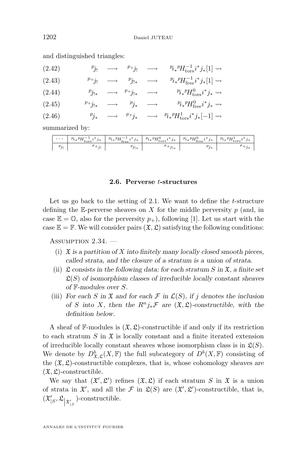| (2.42) |  | $p_{j_!} \longrightarrow p_{+j_!} \longrightarrow$       | $\left. \begin{array}{c} p_{i_{*}} \textrm{P} H_{\textrm{tors}}^{-1} i^{*} j_{*}[1] \rightarrow \end{array} \right.$ |
|--------|--|----------------------------------------------------------|----------------------------------------------------------------------------------------------------------------------|
| (2.43) |  | $p_{+j_!} \longrightarrow p_{j_{!*}} \longrightarrow$    | ${}^{p_i} {}^p H_{\text{free}}^{-1} i^* j_* [1] \leadsto$                                                            |
| (2.44) |  | $p_{j_{!*}} \longrightarrow p_{+j_{!*}} \longrightarrow$ | $p_{i*}^{\phantom i}^{\phantom i}p_{H_{\rm tors}^0}^{\phantom i}i^*j_*\leadsto$                                      |
| (2.45) |  | $p_{+j_{!*}} \longrightarrow p_{j_{*}} \longrightarrow$  | $p_{i*}^{\phantom i}p_H^{\phantom i}H_{\text{free}}^0i^*j_*\leadsto$                                                 |
| (2.46) |  |                                                          | $p_{j_*} \longrightarrow p_{+j_*} \longrightarrow p_{i_*} p_{H^1_{\text{tors}}} i^* j_*[-1] \leadsto$                |

<span id="page-26-0"></span>and distinguished triangles:

summarized by:

#### **2.6. Perverse** t**-structures**

Let us go back to the setting of [2.1.](#page-4-0) We want to define the  $t$ -structure defining the E-perverse sheaves on X for the middle perversity  $p$  (and, in case  $\mathbb{E} = \mathbb{O}$ , also for the perversity  $p_{+}$ ), following [\[1\]](#page-52-0). Let us start with the case  $\mathbb{E} = \mathbb{F}$ . We will consider pairs  $(\mathfrak{X}, \mathfrak{L})$  satisfying the following conditions:

ASSUMPTION  $2.34.$  -

- (i) X *is a partition of* X *into finitely many locally closed smooth pieces, called strata, and the closure of a stratum is a union of strata.*
- (ii)  $\mathfrak L$  *consists in the following data: for each stratum* S in  $\mathfrak X$ *, a finite set*  $\mathfrak{L}(S)$  of isomorphism classes of irreducible locally constant sheaves *of* F*-modules over* S*.*
- (iii) *For each* S in  $\mathfrak X$  *and* for each  $\mathcal F$  in  $\mathcal L(S)$ *, if i* denotes the inclusion *of* S into X, then the  $R^n j_* \mathcal{F}$  are  $(\mathfrak{X}, \mathfrak{L})$ -constructible, with the *definition below.*

A sheaf of  $\mathbb{F}\text{-modules}$  is  $(\mathfrak{X}, \mathfrak{L})$ -constructible if and only if its restriction to each stratum  $S$  in  $\mathfrak X$  is locally constant and a finite iterated extension of irreducible locally constant sheaves whose isomorphism class is in  $\mathfrak{L}(S)$ . We denote by  $D^b_{\mathfrak{X},\mathfrak{L}}(X,\mathbb{F})$  the full subcategory of  $D^b(X,\mathbb{F})$  consisting of the  $(\mathfrak{X}, \mathfrak{L})$ -constructible complexes, that is, whose cohomology sheaves are  $(\mathfrak{X}, \mathfrak{L})$ -constructible.

We say that  $(\mathfrak{X}', \mathfrak{L}')$  refines  $(\mathfrak{X}, \mathfrak{L})$  if each stratum S in  $\mathfrak{X}$  is a union of strata in  $\mathfrak{X}'$ , and all the F in  $\mathfrak{L}(S)$  are  $(\mathfrak{X}', \mathfrak{L}')$ -constructible, that is,  $(\mathfrak{X}_{|S}', \mathfrak{L}_{\mathfrak{X}_{|S}})$ -constructible.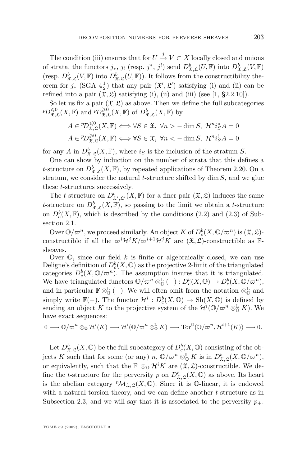The condition [\(iii\)](#page-26-0) ensures that for  $U \stackrel{j}{\hookrightarrow} V \subset X$  locally closed and unions of strata, the functors  $j_*, j_!$  (resp.  $j^*, j^!$ ) send  $D^b_{\mathfrak{X}, \mathfrak{L}}(U, \mathbb{F})$  into  $D^b_{\mathfrak{X}, \mathfrak{L}}(V, \mathbb{F})$ (resp.  $D^b_{\mathfrak{X},\mathfrak{L}}(V,\mathbb{F})$  into  $D^b_{\mathfrak{X},\mathfrak{L}}(U,\mathbb{F})$ ). It follows from the constructibility theorem for  $j_*$  (SGA  $4\frac{1}{2}$ ) that any pair  $({\mathfrak{X}}', {\mathfrak{L}}')$  satisfying [\(i\)](#page-26-0) and [\(ii\)](#page-26-0) can be refined into a pair  $(\mathfrak{X}, \mathfrak{L})$  satisfying [\(i\)](#page-26-0), [\(ii\)](#page-26-0) and [\(iii\)](#page-26-0) (see [\[1,](#page-52-0) §2.2.10]).

So let us fix a pair  $(\mathfrak{X}, \mathfrak{L})$  as above. Then we define the full subcategories  ${}^p\!D_{\mathfrak{X},\mathfrak{L}}^{\leq 0}(X,\mathbb{F})$  and  ${}^p\!D_{\mathfrak{X},\mathfrak{L}}^{\geq 0}(X,\mathbb{F})$  of  $D_{\mathfrak{X},\mathfrak{L}}^b(X,\mathbb{F})$  by

$$
A \in {}^{p}D^{\leq 0}_{\mathfrak{X},\mathfrak{L}}(X,\mathbb{F}) \Longleftrightarrow \forall S \in \mathfrak{X}, \ \forall n > -\dim S, \ \mathcal{H}^{n}i_{S}^{*}A = 0
$$

$$
A \in {}^{p}D^{\geq 0}_{\mathfrak{X},\mathfrak{L}}(X,\mathbb{F}) \Longleftrightarrow \forall S \in \mathfrak{X}, \ \forall n < -\dim S, \ \mathcal{H}^{n}i_{S}^{!}A = 0
$$

for any A in  $D^b_{\mathfrak{X},\mathfrak{L}}(X,\mathbb{F})$ , where  $i_S$  is the inclusion of the stratum S.

One can show by induction on the number of strata that this defines a t-structure on  $D^b_{\mathfrak{X},\mathfrak{L}}(X,\mathbb{F})$ , by repeated applications of Theorem [2.20.](#page-17-0) On a stratum, we consider the natural  $t$ -structure shifted by  $\dim S$ , and we glue these t-structures successively.

The *t*-structure on  $D^b_{\mathfrak{X}',\mathfrak{L}'}(X,\mathbb{F})$  for a finer pair  $(\mathfrak{X},\mathfrak{L})$  induces the same t-structure on  $D^b_{\mathfrak{X},\mathfrak{L}}(X,\mathbb{F})$ , so passing to the limit we obtain a t-structure on  $D_c^b(X, \mathbb{F})$ , which is described by the conditions [\(2.2\)](#page-6-0) and [\(2.3\)](#page-6-0) of Subsection [2.1.](#page-4-0)

Over  $\mathbb{O}/\varpi^n$ , we proceed similarly. An object K of  $D^b_c(X, \mathbb{O}/\varpi^n)$  is  $(\mathfrak{X}, \mathfrak{L})$ constructible if all the  $\overline{\omega}^i\mathcal{H}^jK/\overline{\omega}^{i+1}\mathcal{H}^jK$  are  $(\mathfrak{X},\mathfrak{L})$ -constructible as Fsheaves.

Over  $\mathbb{O}$ , since our field k is finite or algebraically closed, we can use Deligne's definition of  $D_c^b(X, \mathbb{O})$  as the projective 2-limit of the triangulated categories  $D_c^b(X, \mathbb{O}/\varpi^n)$ . The assumption insures that it is triangulated. We have triangulated functors  $\mathbb{O}/\varpi^n \otimes_{\mathbb{O}}^{\mathbb{L}} (-) : D_c^b(X, \mathbb{O}) \to D_c^b(X, \mathbb{O}/\varpi^n)$ , and in particular  $\mathbb{F} \otimes_{\mathbb{Q}}^{\mathbb{L}} (-)$ . We will often omit from the notation  $\otimes_{\mathbb{Q}}^{\mathbb{L}}$  and simply write  $\mathbb{F}(-)$ . The functor  $\mathcal{H}^i: D_c^b(X, \mathbb{O}) \to Sh(X, \mathbb{O})$  is defined by sending an object K to the projective system of the  $\mathcal{H}^i(\mathbb{O}/\varpi^n \otimes^{\mathbb{L}}_{\mathbb{O}} K)$ . We have exact sequences:

$$
0 \longrightarrow \mathbb{O}/\varpi^n \otimes_{\mathbb{O}} \mathcal{H}^i(K) \longrightarrow \mathcal{H}^i(\mathbb{O}/\varpi^n \otimes_{\mathbb{O}}^{\mathbb{L}} K) \longrightarrow \mathrm{Tor}_1^{\mathbb{O}}(\mathbb{O}/\varpi^n, \mathcal{H}^{i+1}(K)) \longrightarrow 0.
$$

Let  $D^b_{\mathfrak{X},\mathfrak{L}}(X,\mathbb{O})$  be the full subcategory of  $D^b_c(X,\mathbb{O})$  consisting of the objects K such that for some (or any)  $n, \mathbb{O}/\varpi^n \otimes_{\mathbb{O}}^{\mathbb{L}} K$  is in  $D^b_{\mathfrak{X},\mathfrak{L}}(X,\mathbb{O}/\varpi^n)$ , or equivalently, such that the  $\mathbb{F} \otimes_{\mathbb{Q}} \mathcal{H}^i K$  are  $(\mathfrak{X}, \mathfrak{L})$ -constructible. We define the *t*-structure for the perversity p on  $D^b_{\mathfrak{X},\mathfrak{L}}(X,\mathbb{O})$  as above. Its heart is the abelian category  ${}^p\mathcal{M}_{\mathfrak{X},\mathfrak{L}}(X,\mathbb{O})$ . Since it is  $\mathbb{O}\text{-linear}$ , it is endowed with a natural torsion theory, and we can define another t-structure as in Subsection [2.3,](#page-11-0) and we will say that it is associated to the perversity  $p_+$ .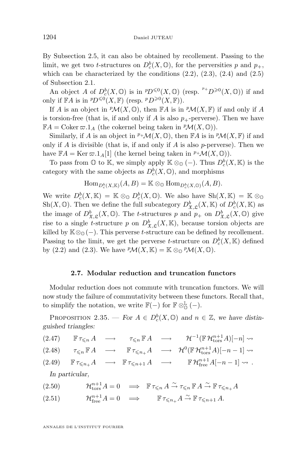<span id="page-28-0"></span>By Subsection [2.5,](#page-22-0) it can also be obtained by recollement. Passing to the limit, we get two *t*-structures on  $D_c^b(X, \mathbb{O})$ , for the perversities p and  $p_+$ , which can be characterized by the conditions  $(2.2)$ ,  $(2.3)$ ,  $(2.4)$  and  $(2.5)$ of Subsection [2.1.](#page-4-0)

An object A of  $D_c^b(X, \mathbb{O})$  is in  ${}^pD^{\leq 0}(X, \mathbb{O})$  (resp.  ${}^{p_+}D^{\geq 0}(X, \mathbb{O})$ ) if and only if  $\mathbb{F}A$  is in  ${}^pD^{\leq 0}(X,\mathbb{F})$  (resp.  ${}^pD^{\geq 0}(X,\mathbb{F})$ ).

If A is an object in  ${}^p\mathcal{M}(X,\mathbb{O})$ , then  $\mathbb{F}A$  is in  ${}^p\mathcal{M}(X,\mathbb{F})$  if and only if A is torsion-free (that is, if and only if A is also  $p_{+}$ -perverse). Then we have  $\mathbb{F}A = \text{Coker}\,\varpi.1_A$  (the cokernel being taken in  $^p\mathcal{M}(X, \mathbb{O})$ ).

Similarly, if A is an object in  $P^+ \mathcal{M}(X, \mathbb{O})$ , then  $\mathbb{F} A$  is in  $P \mathcal{M}(X, \mathbb{F})$  if and only if  $A$  is divisible (that is, if and only if  $A$  is also  $p$ -perverse). Then we have  $\mathbb{F}A = \text{Ker } \varpi.1_A[1]$  (the kernel being taken in  $P^+ \mathcal{M}(X, \mathbb{O})$ ).

To pass from  $\mathbb O$  to K, we simply apply  $\mathbb K \otimes_{\mathbb O} (-)$ . Thus  $D^b_c(X,\mathbb K)$  is the category with the same objects as  $D_c^b(X, \mathbb{O})$ , and morphisms

$$
\operatorname{Hom}_{D_c^b(X,\mathbb{K})}(A,B)=\mathbb{K}\otimes_{\mathbb{O}}\operatorname{Hom}_{D_c^b(X,\mathbb{O})}(A,B).
$$

We write  $D_c^b(X, \mathbb{K}) = \mathbb{K} \otimes_{\mathbb{O}} D_c^b(X, \mathbb{O})$ . We also have  $\text{Sh}(X, \mathbb{K}) = \mathbb{K} \otimes_{\mathbb{O}}$ Sh(X,  $\mathbb{O}$ ). Then we define the full subcategory  $D^b_{\mathfrak{X}, \mathfrak{L}}(X, \mathbb{K})$  of  $D^b_c(X, \mathbb{K})$  as the image of  $D^b_{\mathfrak{X},\mathfrak{L}}(X,\mathbb{O})$ . The t-structures p and  $p_+$  on  $D^b_{\mathfrak{X},\mathfrak{L}}(X,\mathbb{O})$  give rise to a single t-structure p on  $D^b_{\mathfrak{X},\mathfrak{L}}(X,\mathbb{K})$ , because torsion objects are killed by  $K\otimes_{\mathbb{Q}} (-)$ . This perverse t-structure can be defined by recollement. Passing to the limit, we get the perverse t-structure on  $D_c^b(X, \mathbb{K})$  defined by [\(2.2\)](#page-6-0) and [\(2.3\)](#page-6-0). We have  ${}^p\mathcal{M}(X,\mathbb{K}) = \mathbb{K} \otimes_{\mathbb{O}} {}^p\mathcal{M}(X,\mathbb{O}).$ 

#### **2.7. Modular reduction and truncation functors**

Modular reduction does not commute with truncation functors. We will now study the failure of commutativity between these functors. Recall that, to simplify the notation, we write  $\mathbb{F}(-)$  for  $\mathbb{F} \otimes_{\mathbb{Q}}^{\mathbb{L}}(-)$ .

PROPOSITION 2.35. — *For*  $A \in D_c^b(X, \mathbb{O})$  and  $n \in \mathbb{Z}$ , we have distin*guished triangles:*

$$
(2.47) \qquad \mathbb{F} \tau_{\leqslant n} A \quad \longrightarrow \qquad \tau_{\leqslant n} \mathbb{F} A \quad \longrightarrow \qquad \mathcal{H}^{-1}(\mathbb{F} \mathcal{H}_{\text{tors}}^{n+1} A)[-n] \rightsquigarrow
$$

(2.48)  $\tau_{\leq n} \mathbb{F} A \longrightarrow \mathbb{F} \tau_{\leq n_{+}} A \longrightarrow \mathcal{H}^{0}(\mathbb{F} \mathcal{H}_{\text{tors}}^{n+1} A)[-n-1] \rightsquigarrow$ 

(2.49) 
$$
\mathbb{F}\tau_{\leq n_{+}}A \longrightarrow \mathbb{F}\tau_{\leq n+1}A \longrightarrow \mathbb{F}\mathcal{H}_{free}^{n+1}A[-n-1] \rightsquigarrow
$$
.  
In particular

*In particular,*

(2.50) 
$$
\mathcal{H}_{\text{tors}}^{n+1} A = 0 \implies \mathbb{F} \tau_{\leq n} A \stackrel{\sim}{\to} \tau_{\leq n} \mathbb{F} A \stackrel{\sim}{\to} \mathbb{F} \tau_{\leq n+} A
$$

(2.51) 
$$
\mathcal{H}_{\text{free}}^{n+1} A = 0 \implies \mathbb{F} \tau_{\leq n+1} A \stackrel{\sim}{\to} \mathbb{F} \tau_{\leq n+1} A.
$$

ANNALES DE L'INSTITUT FOURIER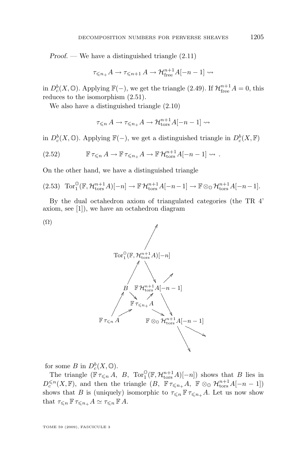<span id="page-29-0"></span>*Proof.* — We have a distinguished triangle  $(2.11)$ 

$$
\tau_{\leq n+}A \to \tau_{\leq n+1}A \to \mathcal{H}_{\text{free}}^{n+1}A[-n-1] \rightsquigarrow
$$

in  $D_c^b(X, \mathbb{O})$ . Applying  $\mathbb{F}(-)$ , we get the triangle [\(2.49\)](#page-28-0). If  $\mathcal{H}_{\text{free}}^{n+1}A = 0$ , this reduces to the isomorphism [\(2.51\)](#page-28-0).

We also have a distinguished triangle [\(2.10\)](#page-14-0)

$$
\tau_{\leqslant n} A \to \tau_{\leqslant n_+} A \to \mathcal{H}_{\text{tors}}^{n+1} A[-n-1] \rightsquigarrow
$$

in  $D_c^b(X, \mathbb{O})$ . Applying  $\mathbb{F}(-)$ , we get a distinguished triangle in  $D_c^b(X, \mathbb{F})$ 

(2.52) 
$$
\mathbb{F}\tau_{\leq n} A \to \mathbb{F}\tau_{\leq n_{+}} A \to \mathbb{F}\mathcal{H}_{\text{tors}}^{n+1} A[-n-1] \rightsquigarrow.
$$

On the other hand, we have a distinguished triangle

$$
(2.53)\quad \text{Tor}_{1}^{\mathbb{O}}(\mathbb{F},\mathcal{H}_{\text{tors}}^{n+1}A)[-n] \to \mathbb{F}\mathcal{H}_{\text{tors}}^{n+1}A[-n-1] \to \mathbb{F}\otimes_{\mathbb{O}}\mathcal{H}_{\text{tors}}^{n+1}A[-n-1].
$$

By the dual octahedron axiom of triangulated categories (the TR 4' axiom, see [\[1\]](#page-52-0)), we have an octahedron diagram





for some B in  $D_c^b(X, \mathbb{O})$ .

The triangle  $(\mathbb{F} \tau_{\leq n} A, B, \operatorname{Tor}^0_1(\mathbb{F}, \mathcal{H}_{\text{tors}}^{n+1} A)[-n])$  shows that B lies in  $D_c^{\leq n}(X,\mathbb{F})$ , and then the triangle  $(B, \mathbb{F} \tau_{\leq n_{+}} A, \mathbb{F} \otimes_{\mathbb{O}} \mathcal{H}_{\text{tors}}^{n+1} A[-n-1])$ shows that B is (uniquely) isomorphic to  $\tau_{\leq n} \mathbb{F} \tau_{\leq n+} A$ . Let us now show that  $\tau_{\leq n} \mathbb{F} \tau_{\leq n+} A \simeq \tau_{\leq n} \mathbb{F} A$ .

TOME 59 (2009), FASCICULE 3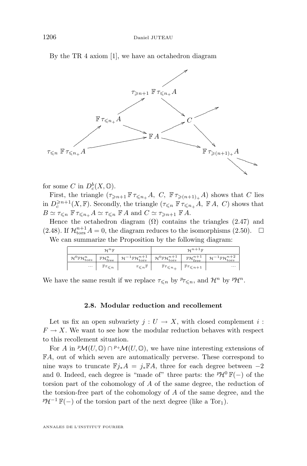<span id="page-30-0"></span>By the TR 4 axiom [\[1\]](#page-52-0), we have an octahedron diagram



for some C in  $D_c^b(X, \mathbb{O})$ .

First, the triangle  $(\tau_{\geq n+1} \mathbb{F} \tau_{\leq n+} A, C, \mathbb{F} \tau_{\geq (n+1)+} A)$  shows that C lies in  $D_c^{\geq n+1}(X,\mathbb{F})$ . Secondly, the triangle  $(\tau_{\leq n} \mathbb{F} \tau_{\leq n+} A, \mathbb{F} A, C)$  shows that  $B \simeq \tau_{\leq n} \mathbb{F} \tau_{\leq n+} A \simeq \tau_{\leq n} \mathbb{F} A$  and  $C \simeq \tau_{\geq n+1} \mathbb{F} A$ .

Hence the octahedron diagram  $(\Omega)$  contains the triangles  $(2.47)$  and [\(2.48\)](#page-28-0). If  $\mathcal{H}_{\text{tors}}^{n+1} A = 0$ , the diagram reduces to the isomorphisms [\(2.50\)](#page-28-0).  $\Box$ We can summarize the Proposition by the following diagram:

| $\mathcal{H}^n\mathbb{F}$                                                      |                                         |                                                                                       | $\mathcal{H}^{n+1}$ F                                 |                                  |                                                          |
|--------------------------------------------------------------------------------|-----------------------------------------|---------------------------------------------------------------------------------------|-------------------------------------------------------|----------------------------------|----------------------------------------------------------|
| $\boldsymbol{\mathcal{H}}^0 \mathbb{F} \boldsymbol{\mathcal{H}}^n_\text{tors}$ | $\mathbb{F}\mathcal{H}^n_{\text{free}}$ | $\displaystyle{{}^1\mathbb{F}}\mathcal{H}^{n+1}_{\rm tors}$<br>$\sim$ $\mathcal{H}^-$ | $\mathcal{H}^0\mathbb{F}\mathcal{H}^{n+1}_{\rm tors}$ | $n+1$<br>$\cdot$ $\cdot$ free    | $\mathcal{H}^{-1}\mathbb{F}\mathcal{H}_{\rm tors}^{n+2}$ |
| $\cdots$                                                                       | $\mathbb{F}\tau_{\leqslant n}$          | $\tau_{\leqslant n}\mathbb F$                                                         | $\mathbb{F}\tau_{\leqslant n_+}$                      | $\mathbb{F}\tau_{\leqslant n+1}$ | $\cdots$                                                 |

We have the same result if we replace  $\tau_{\leq n}$  by  $^p\tau_{\leq n}$ , and  $\mathcal{H}^n$  by  $^p\mathcal{H}^n$ .

#### **2.8. Modular reduction and recollement**

Let us fix an open subvariety  $j: U \to X$ , with closed complement i:  $F \to X$ . We want to see how the modular reduction behaves with respect to this recollement situation.

For A in  $^p\mathcal{M}(U, \mathbb{O}) \cap \mathbb{P}^+\mathcal{M}(U, \mathbb{O})$ , we have nine interesting extensions of FA, out of which seven are automatically perverse. These correspond to nine ways to truncate  $\mathbb{F}j_*A = j_*\mathbb{F}A$ , three for each degree between -2 and 0. Indeed, each degree is "made of" three parts: the  $\mathcal{H}^0 \mathbb{F}(-)$  of the torsion part of the cohomology of A of the same degree, the reduction of the torsion-free part of the cohomology of A of the same degree, and the  $\mathbb{P}\mathcal{H}^{-1}\mathbb{F}(-)$  of the torsion part of the next degree (like a Tor<sub>1</sub>).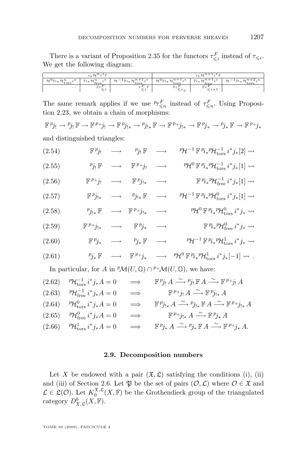<span id="page-31-0"></span>There is a variant of Proposition [2.35](#page-28-0) for the functors  $\tau_{\leq i}^F$  instead of  $\tau_{\leq i}$ . We get the following diagram:

|                                                          | $i_{\cdot \cdot} \mathcal{H}^n i^* \mathbb{F}$ |                                                            |                                                            | $\lambda^*$ Tr<br>2471    |                                        |
|----------------------------------------------------------|------------------------------------------------|------------------------------------------------------------|------------------------------------------------------------|---------------------------|----------------------------------------|
| $\mathcal{H}^{\mathbf{U}}$ $\mathbb{F}i$ $*$ ?<br>'*tors | $-$<br>$Fi_*7$<br>free                         | $\rightarrow$ 500<br>$\sim$<br>$i^i * \mathcal{H}$<br>tors | . *<br>$\mathcal{H}^{\mathrm{U}}\mathbb{F}i_{*}$ ,<br>tors | $+1.7*$<br>$Fi_*$<br>free | $\sim$<br>$\mathbb{r} \iota_*$<br>tors |
| $\cdots$                                                 | $\mathbb{R}^n$                                 |                                                            |                                                            |                           | $\cdots$                               |

The same remark applies if we use  ${}^p\tau^F_{\leq n}$  instead of  $\tau^F_{\leq n}$ . Using Proposition [2.23,](#page-19-0) we obtain a chain of morphisms:

 $\mathbb{F}^p j_! \to^p j_! \mathbb{F} \to \mathbb{F}^p j_! \to^p \mathbb{F}^p j_{!*} \to^p \mathbb{F}^p j_{!*} \to^p \mathbb{F}^p j_{!*} \to^p \mathbb{F}^p j_* \mathbb{F} \to^p \mathbb{F}^p j_{!*}$ 

and distinguished triangles:

| ${}^p\mathcal{H}^{-1} \mathbb{F}^p i_*{}^p\mathcal{H}^{-1}_{\text{tors}} i^* j_*[2] \leadsto$       | $\mathbb{F}^{p} j_! \longrightarrow p_{j_!} \mathbb{F} \longrightarrow$                                       |                        | (2.54) |
|-----------------------------------------------------------------------------------------------------|---------------------------------------------------------------------------------------------------------------|------------------------|--------|
| ${}^p\!\mathcal{H}^0\,\mathbb{F}\,{}^p\!i_*{}^p\!\mathcal{H}_\mathrm{tors}^{-1}\,i^*j_*[1]\leadsto$ | $\longrightarrow \mathbb{F}^{p+1}j! \longrightarrow$                                                          | $p_{j_!}$ $\mathbb{F}$ | (2.55) |
| $\mathbb{F}^{p_i} \mathcal{H}^{-1}_{\text{free}} i^* j_* [1] \rightsquigarrow$                      | $\mathbb{F}^{p_+}j_! \longrightarrow \mathbb{F}^{p_j}j_{!*} \longrightarrow$                                  |                        | (2.56) |
| ${}^p\!\mathcal{H}^{-1}\,\mathbb{F}\,{}^p\!i_*{}^p\!\mathcal{H}_\text{tors}^0\,i^*j_*[1]\leadsto$   | $\mathbb{F}^{p}j_{!*} \longrightarrow p_{j_{!*}}\mathbb{F} \longrightarrow$                                   |                        | (2.57) |
| ${}^p\!\mathcal{H}^0\,\mathbb{F}\,{}^p\! i_*{}^p\!\mathcal{H}^0_{\rm tors}\,i^*j_*\leadsto$         | $p_{j_{!*}} \mathbb{F} \longrightarrow \mathbb{F}^{p_{+j_{!*}}} \longrightarrow$                              |                        | (2.58) |
| $\mathbb{F}^{p_i} \mathbb{Z}^{p_i} \mathcal{H}^0_{\text{free}} i^* j_* \rightsquigarrow$            | $\mathbb{F}^{p_+}j_{!*} \quad \longrightarrow \quad \mathbb{F}^{p_j}_* \quad \longrightarrow$                 |                        | (2.59) |
| ${}^p\!\mathcal{H}^{-1}\,\mathbb{F}\,{}^p\! i_*{}^p\!\mathcal{H}^1_{\rm tors}\,i^*j_*\leadsto$      | $\mathbb{F}\,{}^p\! j_*\quad \, \longrightarrow\quad \  \  \, {}^p\! j_*\,\mathbb{F}\quad \, \longrightarrow$ |                        | (2.60) |
|                                                                                                     |                                                                                                               |                        |        |

(2.61)  $p_{j*} \mathbb{F} \longrightarrow \mathbb{F}^{p+j_*} \longrightarrow p_{\mathcal{H}}^0 \mathbb{F}^{p_i}{}_*{}^p \mathcal{H}^1_{\text{tors}} i^* j_*[-1] \rightsquigarrow.$ 

In particular, for A in  ${}^p\mathcal{M}(U,\mathbb{O}) \cap {}^{p_+}\mathcal{M}(U,\mathbb{O})$ , we have:

| $(2.62)$ ${}^{p}\mathcal{H}_{\text{tors}}^{-1} i^*j_*A = 0$   | $\implies$ | $\mathbb{F}^{p}j_!A \stackrel{\sim}{\longrightarrow}^p j_! \mathbb{F} A \stackrel{\sim}{\longrightarrow} \mathbb{F}^{p+1}j_!A$                                           |
|---------------------------------------------------------------|------------|--------------------------------------------------------------------------------------------------------------------------------------------------------------------------|
| $(2.63)$ ${}^{p}\mathcal{H}_{\text{free}}^{-1} i^* j_* A = 0$ |            | $\implies$ $\mathbb{F}^{p+1}j_!A \stackrel{\sim}{\longrightarrow} \mathbb{F}^{p}j_{!*}A$                                                                                 |
| $(2.64)$ ${}^{p}\mathcal{H}^{0}_{\text{tors}}i^{*}j_{*}A = 0$ | $\implies$ | $\mathbb{F}^{p_{j_{!*}}}\mathcal{A} \stackrel{\sim}{\longrightarrow} {^{p_{j_{!*}}}}\mathbb{F}^{A} \stackrel{\sim}{\longrightarrow} \mathbb{F}^{p_{+j_{!*}}}\mathcal{A}$ |
| $(2.65)$ ${}^{p}\mathcal{H}_{\text{free}}^{0} i^* j_* A = 0$  |            | $\implies$ $\mathbb{F}^{p_{+}}j_{!*}A \stackrel{\sim}{\longrightarrow} \mathbb{F}^{p_{j_{*}}}\n A$                                                                       |
| $(2.66)$ ${}^{p}\mathcal{H}^1_{\text{tors}}i^*j_*A = 0$       | $\implies$ | $\mathbb{F}^{p}j_{*} A \xrightarrow{\sim} p_{j*} \mathbb{F} A \xrightarrow{\sim} \mathbb{F}^{p_{+}}j_{*} A.$                                                             |

#### **2.9. Decomposition numbers**

Let X be endowed with a pair  $(\mathfrak{X}, \mathfrak{L})$  satisfying the conditions [\(i\)](#page-26-0), [\(ii\)](#page-26-0) and [\(iii\)](#page-26-0) of Section [2.6.](#page-26-0) Let  $\mathfrak P$  be the set of pairs  $(\mathcal O, \mathcal L)$  where  $\mathcal O \in \mathfrak X$  and  $\mathcal{L} \in \mathfrak{L}(\mathcal{O})$ . Let  $K_0^{\mathfrak{X},\mathfrak{L}}(X,\mathbb{F})$  be the Grothendieck group of the triangulated category  $D^b_{\mathfrak{X},\mathfrak{L}}(X,\mathbb{F})$ .

TOME 59 (2009), FASCICULE 3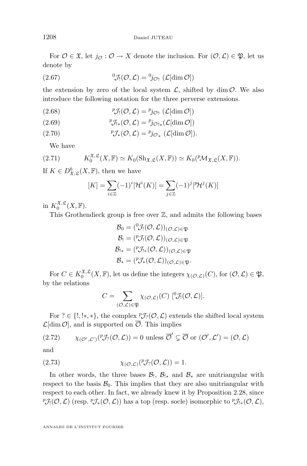For  $\mathcal{O} \in \mathfrak{X}$ , let  $j_{\mathcal{O}} : \mathcal{O} \to X$  denote the inclusion. For  $(\mathcal{O}, \mathcal{L}) \in \mathfrak{P}$ , let us denote by

(2.67) 
$$
\mathcal{J}_!(\mathcal{O},\mathcal{L}) = \mathcal{V}_{\mathcal{O}!}(\mathcal{L}[\dim \mathcal{O}])
$$

the extension by zero of the local system  $\mathcal{L}$ , shifted by dim  $\mathcal{O}$ . We also introduce the following notation for the three perverse extensions.

(2.68) 
$$
{}^{p} \mathcal{J}_{!}(\mathcal{O}, \mathcal{L}) = {}^{p} j_{\mathcal{O}!} (\mathcal{L}[\dim \mathcal{O}])
$$

(2.69) 
$$
{}^p\mathcal{J}_{!*}(\mathcal{O}, \mathcal{L}) = {}^p j_{\mathcal{O}_{!*}}(\mathcal{L}[\dim \mathcal{O}])
$$

(2.70) 
$$
{}^p \mathcal{J}_*(\mathcal{O}, \mathcal{L}) = {}^p j_{\mathcal{O}_*} (\mathcal{L}[\dim \mathcal{O}]).
$$

We have

$$
(2.71) \tK_0^{\mathfrak{X}, \mathfrak{L}}(X, \mathbb{F}) \simeq K_0(\mathrm{Sh}_{\mathfrak{X}, \mathfrak{L}}(X, \mathbb{F})) \simeq K_0(\mathcal{PM}_{\mathfrak{X}, \mathfrak{L}}(X, \mathbb{F})).
$$

If  $K \in D^b_{\mathfrak{X}, \mathfrak{L}}(X, \mathbb{F})$ , then we have

$$
[K] = \sum_{i \in \mathbb{Z}} (-1)^i [\mathcal{H}^i(K)] = \sum_{j \in \mathbb{Z}} (-1)^j [^p \mathcal{H}^j(K)]
$$

in  $K_0^{\mathfrak{X}, \mathfrak{L}}(X, \mathbb{F}).$ 

This Grothendieck group is free over  $\mathbb{Z}$ , and admits the following bases

$$
\mathcal{B}_0 = (\mathcal{O}_\mathcal{I}(\mathcal{O}, \mathcal{L}))_{(\mathcal{O}, \mathcal{L}) \in \mathfrak{P}}
$$
  
\n
$$
\mathcal{B}_! = (\mathcal{V}_\mathcal{I}(\mathcal{O}, \mathcal{L}))_{(\mathcal{O}, \mathcal{L}) \in \mathfrak{P}}
$$
  
\n
$$
\mathcal{B}_{!*} = (\mathcal{V}_\mathcal{I*}(\mathcal{O}, \mathcal{L}))_{(\mathcal{O}, \mathcal{L}) \in \mathfrak{P}}
$$
  
\n
$$
\mathcal{B}_* = (\mathcal{V}_\mathcal{I*}(\mathcal{O}, \mathcal{L}))_{(\mathcal{O}, \mathcal{L}) \in \mathfrak{P}}.
$$

For  $C \in K_0^{\mathfrak{X}, \mathfrak{L}}(X, \mathbb{F})$ , let us define the integers  $\chi_{(\mathcal{O}, \mathcal{L})}(C)$ , for  $(\mathcal{O}, \mathcal{L}) \in \mathfrak{P}$ , by the relations

$$
C = \sum_{(\mathcal{O},\mathcal{L}) \in \mathfrak{P}} \chi_{(\mathcal{O},\mathcal{L})}(C) \, [\,^0\mathcal{J}_!(\mathcal{O},\mathcal{L})].
$$

For ?  $\in \{!, !*,*\},$  the complex  ${}^p\mathcal{J}_2(\mathcal{O}, \mathcal{L})$  extends the shifted local system  $\mathcal{L}[\dim \mathcal{O}]$ , and is supported on  $\overline{\mathcal{O}}$ . This implies

(2.72) 
$$
\chi_{(\mathcal{O}',\mathcal{L}')}(^p\mathcal{J}_?(\mathcal{O},\mathcal{L}))=0 \text{ unless } \overline{\mathcal{O}}'\subsetneq \overline{\mathcal{O}} \text{ or } (\mathcal{O}',\mathcal{L}')=(\mathcal{O},\mathcal{L})
$$

and

(2.73) 
$$
\chi(\mathcal{O},\mathcal{L})\big(\mathcal{V}\mathcal{J}_?(\mathcal{O},\mathcal{L})\big)=1.
$$

In other words, the three bases  $\mathcal{B}_1$ ,  $\mathcal{B}_{!*}$  and  $\mathcal{B}_{*}$  are unitriangular with respect to the basis  $\mathcal{B}_0$ . This implies that they are also unitriangular with respect to each other. In fact, we already knew it by Proposition [2.28,](#page-21-0) since  ${}^{p}\mathcal{J}_{!}(\mathcal{O},\mathcal{L})$  (resp.  ${}^{p}\mathcal{J}_{*}(\mathcal{O},\mathcal{L})$ ) has a top (resp. socle) isomorphic to  ${}^{p}\mathcal{J}_{!*}(\mathcal{O},\mathcal{L})$ ,

ANNALES DE L'INSTITUT FOURIER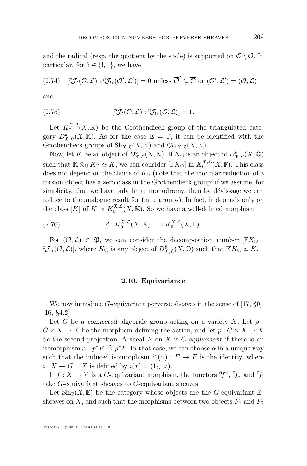<span id="page-33-0"></span>and the radical (resp. the quotient by the socle) is supported on  $\overline{\mathcal{O}} \setminus \mathcal{O}$ . In particular, for  $? \in \{!, * \}$ , we have

$$
(2.74) \quad [{}^p\mathcal{J}_?(\mathcal{O}, \mathcal{L}): {}^p\mathcal{J}_{!*}(\mathcal{O}', \mathcal{L}')] = 0 \text{ unless } \overline{\mathcal{O}}' \subsetneq \overline{\mathcal{O}} \text{ or } (\mathcal{O}', \mathcal{L}') = (\mathcal{O}, \mathcal{L})
$$

and

(2.75) 
$$
[{}^p\mathcal{J}_?(\mathcal{O}, \mathcal{L}) : {}^p\mathcal{J}_{!*}(\mathcal{O}, \mathcal{L})] = 1.
$$

Let  $K_0^{\mathfrak{X}, \mathfrak{L}}(X, \mathbb{K})$  be the Grothendieck group of the triangulated category  $D^b_{\mathfrak{X},\mathfrak{L}}(X,\mathbb{K})$ . As for the case  $\mathbb{E} = \mathbb{F}$ , it can be identified with the Grothendieck groups of  $\text{Sh}_{\mathfrak{X},\mathfrak{L}}(X,\mathbb{K})$  and  ${}^p\mathcal{M}_{\mathfrak{X},\mathfrak{L}}(X,\mathbb{K})$ .

Now, let K be an object of  $D^b_{\mathfrak{X},\mathcal{L}}(X,\mathbb{K})$ . If  $K_\mathbb{O}$  is an object of  $D^b_{\mathfrak{X},\mathcal{L}}(X,\mathbb{O})$ such that  $\mathbb{K} \otimes_{\mathbb{O}} K_{\mathbb{O}} \simeq K$ , we can consider  $[\mathbb{F}K_{\mathbb{O}}]$  in  $K_0^{\mathfrak{X}, \mathcal{L}}(X, \mathbb{F})$ . This class does not depend on the choice of  $K_{\mathbb{Q}}$  (note that the modular reduction of a torsion object has a zero class in the Grothendieck group: if we assume, for simplicity, that we have only finite monodromy, then by dévissage we can reduce to the analogue result for finite groups). In fact, it depends only on the class [K] of K in  $K_0^{\mathfrak{X},\mathcal{L}}(X,\mathbb{K})$ . So we have a well-defined morphism

(2.76) 
$$
d: K_0^{\mathfrak{X}, \mathcal{L}}(X, \mathbb{K}) \longrightarrow K_0^{\mathfrak{X}, \mathcal{L}}(X, \mathbb{F}).
$$

For  $(0, \mathcal{L}) \in \mathfrak{P}$ , we can consider the decomposition number  $\mathbb{F}K_0$ :  ${}^p\mathcal{J}_{!*}(\mathcal{O},\mathcal{L})]$ , where  $K_{\mathbb{O}}$  is any object of  $D^b_{\mathfrak{X},\mathcal{L}}(X,\mathbb{O})$  such that  $\mathbb{K}K_{\mathbb{O}} \simeq K$ .

#### **2.10. Equivariance**

We now introduce G-equivariant perverse sheaves in the sense of  $[17, §0]$  $[17, §0]$ , [\[16,](#page-52-0) §4.2].

Let G be a *connected* algebraic group acting on a variety X. Let  $\rho$ :  $G \times X \to X$  be the morphism defining the action, and let  $p : G \times X \to X$ be the second projection. A sheaf F on X is G-*equivariant* if there is an isomorphism  $\alpha : p^*F \overset{\sim}{\to} \rho^*F$ . In that case, we can choose  $\alpha$  in a unique way such that the induced isomorphism  $i^*(\alpha) : F \to F$  is the identity, where  $i: X \to G \times X$  is defined by  $i(x) = (1_G, x)$ .

If  $f: X \to Y$  is a G-equivariant morphism, the functors  ${}^{0}f^*$ ,  ${}^{0}f_*$  and  ${}^{0}f_!$ take G-equivariant sheaves to G-equivariant sheaves.

Let  $\text{Sh}_G(X,\mathbb{E})$  be the category whose objects are the G-equivariant  $\mathbb{E}$ sheaves on X, and such that the morphisms between two objects  $F_1$  and  $F_2$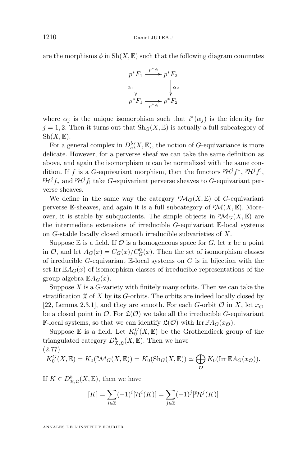are the morphisms  $\phi$  in  $\mathrm{Sh}(X,\mathbb{E})$  such that the following diagram commutes



where  $\alpha_j$  is the unique isomorphism such that  $i^*(\alpha_j)$  is the identity for  $j = 1, 2$ . Then it turns out that  $\text{Sh}_G(X, \mathbb{E})$  is actually a full subcategory of  $\mathrm{Sh}(X,\mathbb{E}).$ 

For a general complex in  $D_c^b(X, \mathbb{E})$ , the notion of G-equivariance is more delicate. However, for a perverse sheaf we can take the same definition as above, and again the isomorphism  $\alpha$  can be normalized with the same condition. If f is a G-equivariant morphism, then the functors  $\mathcal{P}H^{j}f^{*}$ ,  $\mathcal{P}H^{j}f^{!}$ ,  $P\mathcal{H}^{j}f_{*}$  and  $P\mathcal{H}^{j}f_{!}$  take G-equivariant perverse sheaves to G-equivariant perverse sheaves.

We define in the same way the category  ${}^p\mathcal{M}_G(X,\mathbb{E})$  of G-equivariant perverse E-sheaves, and again it is a full subcategory of  $\mathcal{P}M(X,\mathbb{E})$ . Moreover, it is stable by subquotients. The simple objects in  ${}^p\mathcal{M}_G(X,\mathbb{E})$  are the intermediate extensions of irreducible  $G$ -equivariant  $E$ -local systems on G-stable locally closed smooth irreducible subvarieties of X.

Suppose  $E$  is a field. If  $O$  is a homogeneous space for  $G$ , let x be a point in  $\mathcal{O}$ , and let  $A_G(x) = C_G(x)/C_G^0(x)$ . Then the set of isomorphism classes of irreducible G-equivariant  $\mathbb{E}$ -local systems on G is in bijection with the set Irr $\mathbb{E}A_G(x)$  of isomorphism classes of irreducible representations of the group algebra  $\mathbb{E} A_G(x)$ .

Suppose  $X$  is a  $G$ -variety with finitely many orbits. Then we can take the stratification  $\mathfrak X$  of X by its G-orbits. The orbits are indeed locally closed by [\[22,](#page-53-0) Lemma 2.3.1], and they are smooth. For each G-orbit  $\mathcal O$  in X, let  $x_{\mathcal O}$ be a closed point in  $\mathcal{O}$ . For  $\mathfrak{L}(\mathcal{O})$  we take all the irreducible G-equivariant **F-local systems, so that we can identify**  $\mathfrak{L}(\mathcal{O})$  **with Irr**  $\mathbb{F}A_G(x_{\mathcal{O}})$ **.** 

Suppose  $\mathbb E$  is a field. Let  $K_0^G(X,\mathbb{E})$  be the Grothendieck group of the triangulated category  $D^b_{\mathfrak{X}, \mathfrak{L}}(X, \mathbb{E})$ . Then we have (2.77)

$$
K_0^G(X, \mathbb{E}) = K_0(^p \mathcal{M}_G(X, \mathbb{E})) = K_0(\mathrm{Sh}_G(X, \mathbb{E})) \simeq \bigoplus_{\mathcal{O}} K_0(\mathrm{Irr} \, \mathbb{E} A_G(x_{\mathcal{O}})).
$$

If  $K \in D^b_{\mathfrak{X}, \mathfrak{L}}(X, \mathbb{E})$ , then we have

$$
[K] = \sum_{i \in \mathbb{Z}} (-1)^i [\mathcal{H}^i(K)] = \sum_{j \in \mathbb{Z}} (-1)^j [^p \mathcal{H}^j(K)]
$$

ANNALES DE L'INSTITUT FOURIER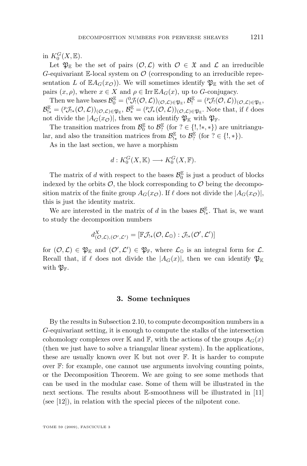<span id="page-35-0"></span>in  $K_0^G(X,\mathbb{E}).$ 

Let  $\mathfrak{P}_{\mathbb{E}}$  be the set of pairs  $(\mathcal{O}, \mathcal{L})$  with  $\mathcal{O} \in \mathfrak{X}$  and  $\mathcal{L}$  an irreducible G-equivariant E-local system on  $\mathcal O$  (corresponding to an irreducible representation L of  $\mathbb{E}A_G(x_{\mathcal{O}})$ . We will sometimes identify  $\mathfrak{P}_\mathbb{E}$  with the set of pairs  $(x, \rho)$ , where  $x \in X$  and  $\rho \in \text{Irr }\mathbb{E} A_G(x)$ , up to G-conjugacy.

Then we have bases  $\mathcal{B}_0^{\mathbb{E}} = ({}^0\mathcal{J}_! (\mathcal{O}, \mathcal{L}))_{(\mathcal{O}, \mathcal{L}) \in \mathfrak{P}_{\mathbb{E}}}, \mathcal{B}_!^{\mathbb{E}} = ({}^p\mathcal{J}_! (\mathcal{O}, \mathcal{L}))_{(\mathcal{O}, \mathcal{L}) \in \mathfrak{P}_{\mathbb{E}}},$  $\mathcal{B}_{!*}^{\mathbb{E}} = ({}^p \mathcal{J}_{!*}(\mathcal{O}, \mathcal{L}))_{(\mathcal{O}, \mathcal{L}) \in \mathfrak{P}_{\mathbb{E}}}, \mathcal{B}_*^{\mathbb{E}} = ({}^p \mathcal{J}_{*}(\mathcal{O}, \mathcal{L}))_{(\mathcal{O}, \mathcal{L}) \in \mathfrak{P}_{\mathbb{E}}}.$  Note that, if  $\ell$  does not divide the  $|A_G(x_{\mathcal{O}})|$ , then we can identify  $\mathfrak{P}_{\mathbb{K}}$  with  $\mathfrak{P}_{\mathbb{F}}$ .

The transition matrices from  $\mathcal{B}_0^{\mathbb{E}}$  to  $\mathcal{B}_?^{\mathbb{E}}$  (for  $? \in \{!, !*, *\}$ ) are unitriangular, and also the transition matrices from  $\mathcal{B}_{!*}^{\mathbb{E}}$  to  $\mathcal{B}_{?}^{\mathbb{E}}$  (for  $? \in \{!,*\}$ ).

As in the last section, we have a morphism

$$
d: K_0^G(X, \mathbb{K}) \longrightarrow K_0^G(X, \mathbb{F}).
$$

The matrix of  $d$  with respect to the bases  $\mathcal{B}_0^{\mathbb{E}}$  is just a product of blocks indexed by the orbits  $\mathcal{O}$ , the block corresponding to  $\mathcal O$  being the decomposition matrix of the finite group  $A_G(x_{\mathcal{O}})$ . If  $\ell$  does not divide the  $|A_G(x_{\mathcal{O}})|$ , this is just the identity matrix.

We are interested in the matrix of d in the bases  $\mathcal{B}_{!*}^{\mathbb{E}}$ . That is, we want to study the decomposition numbers

$$
d^X_{(\mathcal{O},\mathcal{L}),(\mathcal{O}',\mathcal{L}')}=[\mathbb{F}\mathcal{J}_{!*}(\mathcal{O},\mathcal{L}_{\mathbb{O}}):\mathcal{J}_{!*}(\mathcal{O}',\mathcal{L}')]\\
$$

for  $(\mathcal{O}, \mathcal{L}) \in \mathfrak{P}_{\mathbb{K}}$  and  $(\mathcal{O}', \mathcal{L}') \in \mathfrak{P}_{\mathbb{F}}$ , where  $\mathcal{L}_0$  is an integral form for  $\mathcal{L}$ . Recall that, if  $\ell$  does not divide the  $|A_G(x)|$ , then we can identify  $\mathfrak{P}_\mathbb{K}$ with  $\mathfrak{P}_{\mathbb{F}}$ .

#### **3. Some techniques**

By the results in Subsection [2.10,](#page-33-0) to compute decomposition numbers in a G-equivariant setting, it is enough to compute the stalks of the intersection cohomology complexes over K and F, with the actions of the groups  $A_G(x)$ (then we just have to solve a triangular linear system). In the applications, these are usually known over  $K$  but not over  $F$ . It is harder to compute over  $\mathbb{F}$ : for example, one cannot use arguments involving counting points, or the Decomposition Theorem. We are going to see some methods that can be used in the modular case. Some of them will be illustrated in the next sections. The results about E-smoothness will be illustrated in [\[11\]](#page-52-0) (see [\[12\]](#page-52-0)), in relation with the special pieces of the nilpotent cone.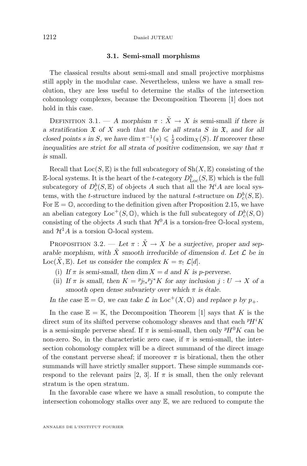#### **3.1. Semi-small morphisms**

The classical results about semi-small and small projective morphisms still apply in the modular case. Nevertheless, unless we have a small resolution, they are less useful to determine the stalks of the intersection cohomology complexes, because the Decomposition Theorem [\[1\]](#page-52-0) does not hold in this case.

DEFINITION 3.1. — *A* morphism  $\pi$  :  $\tilde{X} \to X$  is semi-small *if there is a stratification* X *of* X *such that the for all strata* S *in* X*, and for all closed points s* in *S*, we have dim  $\pi^{-1}(s) \leq \frac{1}{2} \operatorname{codim}_X(S)$ *. If moreover these inequalities are strict for all strata of positive codimension, we say that*  $\pi$ *is* small*.*

Recall that  $Loc(S, \mathbb{E})$  is the full subcategory of  $Sh(X, \mathbb{E})$  consisting of the E-local systems. It is the heart of the *t*-category  $D_{\text{Loc}}^b(S, \mathbb{E})$  which is the full subcategory of  $D_c^b(S, \mathbb{E})$  of objects A such that all the  $\mathcal{H}^iA$  are local systems, with the *t*-structure induced by the natural *t*-structure on  $D_c^b(S, \mathbb{E})$ . For  $\mathbb{E} = \mathbb{O}$ , according to the definition given after Proposition [2.15,](#page-13-0) we have an abelian category Loc<sup>+</sup>(S,  $\circledcirc$ ), which is the full subcategory of  $D_c^b(S, \circledcirc)$ consisting of the objects A such that  $\mathcal{H}^0 A$  is a torsion-free  $\mathbb{O}$ -local system, and  $\mathcal{H}^1 A$  is a torsion  $\mathbb{O}$ -local system.

PROPOSITION 3.2. — Let  $\pi : \tilde{X} \to X$  be a surjective, proper and separable morphism, with  $\tilde{X}$  *smooth irreducible of dimension* d. Let  $\mathcal{L}$  be in Loc( $\hat{X}, \mathbb{E}$ ). Let us consider the complex  $K = \pi_1 \mathcal{L}[d]$ .

- (i) If  $\pi$  is semi-small, then dim  $X = d$  and K is p-perverse.
- (ii) If  $\pi$  is small, then  $K = \frac{p_{j|*}}{p_j^*K}$  for any inclusion  $j: U \to X$  of a *smooth open dense subvariety over which* π *is étale.*

*In the case*  $\mathbb{E} = \mathbb{O}$ , we can take  $\mathcal{L}$  *in* Loc<sup>+</sup>(X,  $\mathbb{O}$ ) and replace p by  $p_{+}$ .

In the case  $\mathbb{E} = \mathbb{K}$ , the Decomposition Theorem [\[1\]](#page-52-0) says that K is the direct sum of its shifted perverse cohomology sheaves and that each  $\mathbb{P}H^{i}K$ is a semi-simple perverse sheaf. If  $\pi$  is semi-small, then only  $P H^{0} K$  can be non-zero. So, in the characteristic zero case, if  $\pi$  is semi-small, the intersection cohomology complex will be a direct summand of the direct image of the constant perverse sheaf; if moreover  $\pi$  is birational, then the other summands will have strictly smaller support. These simple summands cor-respond to the relevant pairs [\[2,](#page-52-0) [3\]](#page-52-0). If  $\pi$  is small, then the only relevant stratum is the open stratum.

In the favorable case where we have a small resolution, to compute the intersection cohomology stalks over any E, we are reduced to compute the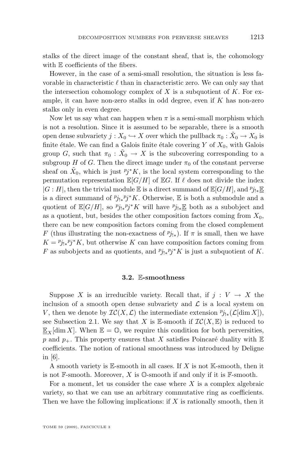stalks of the direct image of the constant sheaf, that is, the cohomology with E coefficients of the fibers.

However, in the case of a semi-small resolution, the situation is less favorable in characteristic  $\ell$  than in characteristic zero. We can only say that the intersection cohomology complex of  $X$  is a subquotient of  $K$ . For example, it can have non-zero stalks in odd degree, even if  $K$  has non-zero stalks only in even degree.

Now let us say what can happen when  $\pi$  is a semi-small morphism which is not a resolution. Since it is assumed to be separable, there is a smooth open dense subvariety  $j: X_0 \hookrightarrow X$  over which the pullback  $\pi_0: \tilde{X}_0 \to X_0$  is finite étale. We can find a Galois finite étale covering  $Y$  of  $X_0$ , with Galois group G, such that  $\pi_0$ :  $\tilde{X}_0 \to X$  is the subcovering corresponding to a subgroup H of G. Then the direct image under  $\pi_0$  of the constant perverse sheaf on  $\tilde{X}_0$ , which is just  $Pj^*K$ , is the local system corresponding to the permutation representation  $\mathbb{E}[G/H]$  of  $\mathbb{E}G$ . If  $\ell$  does not divide the index  $|G:H|$ , then the trivial module E is a direct summand of  $\mathbb{E}[G/H]$ , and  $p_{j!*}$ is a direct summand of  $p_{j\downarrow *} p_j^* K$ . Otherwise, E is both a submodule and a quotient of  $\mathbb{E}[G/H]$ , so  $p_{j,*}p_j^*K$  will have  $p_{j**}E$  both as a subobject and as a quotient, but, besides the other composition factors coming from  $X_0$ , there can be new composition factors coming from the closed complement F (thus illustrating the non-exactness of  $p_{j_{\mathfrak{t}}},$  If  $\pi$  is small, then we have  $K = \frac{p_{j|*} p_j}{K}$ , but otherwise K can have composition factors coming from F as subobjects and as quotients, and  $p_{j|x}^* p_j^* K$  is just a subquotient of K.

#### **3.2.** E**-smoothness**

Suppose X is an irreducible variety. Recall that, if  $j: V \to X$  the inclusion of a smooth open dense subvariety and  $\mathcal L$  is a local system on V, then we denote by  $\mathcal{IC}(X, \mathcal{L})$  the intermediate extension  ${}^p j_{!*}(\mathcal{L}[\dim X]),$ see Subsection [2.1.](#page-4-0) We say that X is E-smooth if  $\mathcal{IC}(X,\mathbb{E})$  is reduced to  $\underline{\mathbb{E}}_X[\dim X]$ . When  $\mathbb{E} = \mathbb{O}$ , we require this condition for both perversities, p and  $p_{+}$ . This property ensures that X satisfies Poincaré duality with E coefficients. The notion of rational smoothness was introduced by Deligne in [\[6\]](#page-52-0).

A smooth variety is  $\mathbb{E}$ -smooth in all cases. If X is not  $\mathbb{K}$ -smooth, then it is not  $\mathbb{F}$ -smooth. Moreover, X is  $\mathbb{O}$ -smooth if and only if it is  $\mathbb{F}$ -smooth.

For a moment, let us consider the case where  $X$  is a complex algebraic variety, so that we can use an arbitrary commutative ring as coefficients. Then we have the following implications: if  $X$  is rationally smooth, then it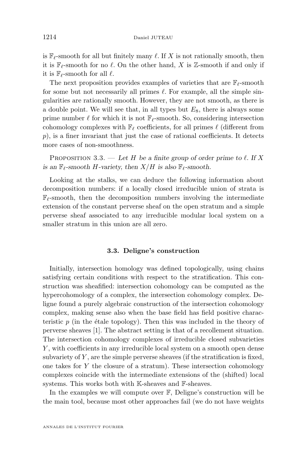is  $\mathbb{F}_{\ell}$ -smooth for all but finitely many  $\ell$ . If X is not rationally smooth, then it is  $\mathbb{F}_{\ell}$ -smooth for no  $\ell$ . On the other hand, X is Z-smooth if and only if it is  $\mathbb{F}_{\ell}$ -smooth for all  $\ell$ .

The next proposition provides examples of varieties that are  $\mathbb{F}_{\ell}$ -smooth for some but not necessarily all primes  $\ell$ . For example, all the simple singularities are rationally smooth. However, they are not smooth, as there is a double point. We will see that, in all types but  $E_8$ , there is always some prime number  $\ell$  for which it is not  $\mathbb{F}_{\ell}$ -smooth. So, considering intersection cohomology complexes with  $\mathbb{F}_{\ell}$  coefficients, for all primes  $\ell$  (different from  $p$ ), is a finer invariant that just the case of rational coefficients. It detects more cases of non-smoothness.

PROPOSITION 3.3. — Let H be a finite group of order prime to  $\ell$ . If X *is an*  $\mathbb{F}_{\ell}$ -smooth H-variety, then  $X/H$  *is also*  $\mathbb{F}_{\ell}$ -smooth.

Looking at the stalks, we can deduce the following information about decomposition numbers: if a locally closed irreducible union of strata is  $\mathbb{F}_{\ell}$ -smooth, then the decomposition numbers involving the intermediate extension of the constant perverse sheaf on the open stratum and a simple perverse sheaf associated to any irreducible modular local system on a smaller stratum in this union are all zero.

#### **3.3. Deligne's construction**

Initially, intersection homology was defined topologically, using chains satisfying certain conditions with respect to the stratification. This construction was sheafified: intersection cohomology can be computed as the hypercohomology of a complex, the intersection cohomology complex. Deligne found a purely algebraic construction of the intersection cohomology complex, making sense also when the base field has field positive characteristic  $p$  (in the étale topology). Then this was included in the theory of perverse sheaves [\[1\]](#page-52-0). The abstract setting is that of a recollement situation. The intersection cohomology complexes of irreducible closed subvarieties Y , with coefficients in any irreducible local system on a smooth open dense subvariety of  $Y$ , are the simple perverse sheaves (if the stratification is fixed, one takes for  $Y$  the closure of a stratum). These intersection cohomology complexes coincide with the intermediate extensions of the (shifted) local systems. This works both with K-sheaves and F-sheaves.

In the examples we will compute over  $\mathbb{F}$ , Deligne's construction will be the main tool, because most other approaches fail (we do not have weights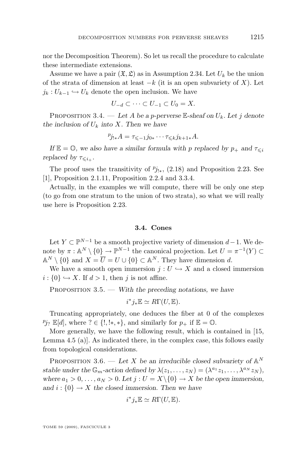<span id="page-39-0"></span>nor the Decomposition Theorem). So let us recall the procedure to calculate these intermediate extensions.

Assume we have a pair  $(\mathfrak{X}, \mathfrak{L})$  as in Assumption [2.34.](#page-26-0) Let  $U_k$  be the union of the strata of dimension at least  $-k$  (it is an open subvariety of X). Let  $j_k : U_{k-1} \hookrightarrow U_k$  denote the open inclusion. We have

$$
U_{-d} \subset \cdots \subset U_{-1} \subset U_0 = X.
$$

PROPOSITION 3.4. — Let A be a p-perverse  $\mathbb{E}$ -sheaf on  $U_k$ . Let j denote *the inclusion of*  $U_k$  *into* X. Then we have

$$
p_{j_{!*}} = \tau_{\leq -1} j_{0*} \cdots \tau_{\leq k} j_{k+1*} A.
$$

*If*  $\mathbb{E} = \mathbb{O}$ , we also have a similar formula with p replaced by  $p_{+}$  and  $\tau_{\leq i}$ *replaced by*  $\tau_{\leq i_{+}}$ *.* 

The proof uses the transitivity of  $p_{j|*}$ , [\(2.18\)](#page-18-0) and Proposition [2.23.](#page-19-0) See [\[1\]](#page-52-0), Proposition 2.1.11, Proposition 2.2.4 and 3.3.4.

Actually, in the examples we will compute, there will be only one step (to go from one stratum to the union of two strata), so what we will really use here is Proposition [2.23.](#page-19-0)

#### **3.4. Cones**

Let  $Y \subset \mathbb{P}^{N-1}$  be a smooth projective variety of dimension  $d-1$ . We denote by  $\pi : \mathbb{A}^N \setminus \{0\} \to \mathbb{P}^{N-1}$  the canonical projection. Let  $U = \pi^{-1}(Y) \subset$  $\mathbb{A}^N \setminus \{0\}$  and  $X = \overline{U} = U \cup \{0\} \subset \mathbb{A}^N$ . They have dimension d.

We have a smooth open immersion  $j: U \hookrightarrow X$  and a closed immersion  $i: \{0\} \hookrightarrow X$ . If  $d > 1$ , then j is not affine.

PROPOSITION 3.5. — *With the preceding notations, we have* 

$$
i^*j_*\mathbb{E} \simeq R\Gamma(U,\mathbb{E}).
$$

Truncating appropriately, one deduces the fiber at 0 of the complexes  $p_j$ <sub>?</sub>  $\mathbb{E}[d]$ , where ?  $\in \{!, !*, *\}$ , and similarly for  $p_+$  if  $\mathbb{E} = \mathbb{O}$ .

More generally, we have the following result, which is contained in [\[15,](#page-52-0) Lemma 4.5 (a)]. As indicated there, in the complex case, this follows easily from topological considerations.

PROPOSITION 3.6. — Let X be an irreducible closed subvariety of  $\mathbb{A}^N$ stable under the  $\mathbb{G}_m$ -action defined by  $\lambda(z_1, \ldots, z_N) = (\lambda^{a_1} z_1, \ldots, \lambda^{a_N} z_N)$ *, where*  $a_1 > 0, \ldots, a_N > 0$ . Let  $j : U = X \setminus \{0\} \to X$  be the open immersion, and  $i: \{0\} \rightarrow X$  the closed immersion. Then we have

$$
i^*j_*\mathbb{E} \simeq R\Gamma(U,\mathbb{E}).
$$

TOME 59 (2009), FASCICULE 3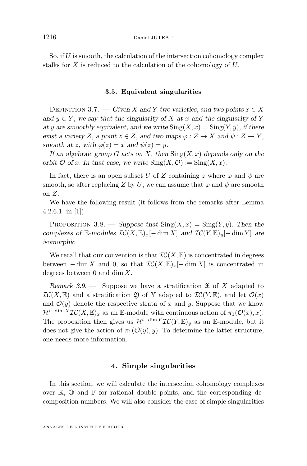<span id="page-40-0"></span>So, if  $U$  is smooth, the calculation of the intersection cohomology complex stalks for X is reduced to the calculation of the cohomology of U.

#### **3.5. Equivalent singularities**

DEFINITION 3.7. — *Given* X and Y *two varieties, and two points*  $x \in X$ and  $y \in Y$ , we say that the singularity of X at x and the singularity of Y *at* y are smoothly equivalent, and we write  $\text{Sing}(X, x) = \text{Sing}(Y, y)$ , if there *exist a variety* Z, a point  $z \in Z$ , and two maps  $\varphi : Z \to X$  and  $\psi : Z \to Y$ , *smooth at z, with*  $\varphi(z) = x$  *and*  $\psi(z) = y$ *.* 

*If an algebraic group* G *acts on* X*, then* Sing(X, x) *depends only on the orbit*  $\mathcal O$  *of* x*.* In that case, we write  $\text{Sing}(X, \mathcal O) := \text{Sing}(X, x)$ *.* 

In fact, there is an open subset U of Z containing z where  $\varphi$  and  $\psi$  are smooth, so after replacing Z by U, we can assume that  $\varphi$  and  $\psi$  are smooth on Z.

We have the following result (it follows from the remarks after Lemma 4.2.6.1. in  $[1]$ ).

PROPOSITION 3.8. — *Suppose that*  $\text{Sing}(X, x) = \text{Sing}(Y, y)$ *. Then the complexes of* E-modules  $\mathcal{IC}(X, \mathbb{E})_x[-\dim X]$  *and*  $\mathcal{IC}(Y, \mathbb{E})_y[-\dim Y]$  *are isomorphic.*

We recall that our convention is that  $\mathcal{IC}(X,\mathbb{E})$  is concentrated in degrees between  $-\dim X$  and 0, so that  $\mathcal{IC}(X,\mathbb{E})_x[-\dim X]$  is concentrated in degrees between 0 and dim  $X$ .

*Remark 3.9.* — Suppose we have a stratification  $\mathfrak{X}$  of X adapted to  $\mathcal{IC}(X,\mathbb{E})$  and a stratification  $\mathfrak{Y}$  of Y adapted to  $\mathcal{IC}(Y,\mathbb{E})$ , and let  $\mathcal{O}(x)$ and  $\mathcal{O}(y)$  denote the respective strata of x and y. Suppose that we know  $\mathcal{H}^{i-\dim X}\mathcal{IC}(X,\mathbb{E})_x$  as an E-module with continuous action of  $\pi_1(\mathcal{O}(x),x)$ . The proposition then gives us  $\mathcal{H}^{i-\dim Y}\mathcal{IC}(Y,\mathbb{E})_y$  as an E-module, but it does not give the action of  $\pi_1(\mathcal{O}(y), y)$ . To determine the latter structure, one needs more information.

#### **4. Simple singularities**

In this section, we will calculate the intersection cohomology complexes over  $\mathbb{K}, \mathbb{O}$  and  $\mathbb{F}$  for rational double points, and the corresponding decomposition numbers. We will also consider the case of simple singularities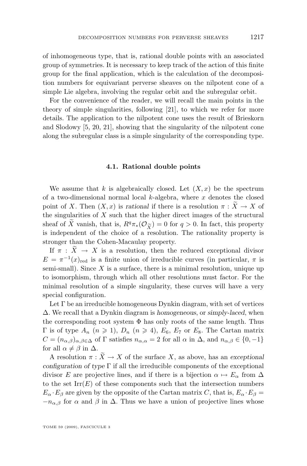of inhomogeneous type, that is, rational double points with an associated group of symmetries. It is necessary to keep track of the action of this finite group for the final application, which is the calculation of the decomposition numbers for equivariant perverse sheaves on the nilpotent cone of a simple Lie algebra, involving the regular orbit and the subregular orbit.

For the convenience of the reader, we will recall the main points in the theory of simple singularities, following [\[21\]](#page-53-0), to which we refer for more details. The application to the nilpotent cone uses the result of Brieskorn and Slodowy [\[5,](#page-52-0) [20,](#page-53-0) [21\]](#page-53-0), showing that the singularity of the nilpotent cone along the subregular class is a simple singularity of the corresponding type.

#### **4.1. Rational double points**

We assume that k is algebraically closed. Let  $(X, x)$  be the spectrum of a two-dimensional normal local  $k$ -algebra, where  $x$  denotes the closed point of X. Then  $(X, x)$  is *rational* if there is a resolution  $\pi : X \to X$  of the singularities of  $X$  such that the higher direct images of the structural sheaf of  $\overline{X}$  vanish, that is,  $R^q \pi_*(\mathcal{O}_{\widetilde{X}}) = 0$  for  $q > 0$ . In fact, this property is independent of the choice of a resolution. The rationality property is is independent of the choice of a resolution. The rationality property is stronger than the Cohen-Macaulay property.

If  $\pi$  :  $\overline{X} \rightarrow X$  is a resolution, then the reduced exceptional divisor  $E = \pi^{-1}(x)_{\text{red}}$  is a finite union of irreducible curves (in particular,  $\pi$  is semi-small). Since  $X$  is a surface, there is a minimal resolution, unique up to isomorphism, through which all other resolutions must factor. For the minimal resolution of a simple singularity, these curves will have a very special configuration.

Let  $\Gamma$  be an irreducible homogeneous Dynkin diagram, with set of vertices ∆. We recall that a Dynkin diagram is *homogeneous*, or *simply-laced*, when the corresponding root system  $\Phi$  has only roots of the same length. Thus  $Γ$  is of type  $A_n$   $(n \ge 1)$ ,  $D_n$   $(n \ge 4)$ ,  $E_6$ ,  $E_7$  or  $E_8$ . The Cartan matrix  $C = (n_{\alpha,\beta})_{\alpha,\beta \in \Delta}$  of  $\Gamma$  satisfies  $n_{\alpha,\alpha} = 2$  for all  $\alpha$  in  $\Delta$ , and  $n_{\alpha,\beta} \in \{0,-1\}$ for all  $\alpha \neq \beta$  in  $\Delta$ .

A resolution  $\pi : X \to X$  of the surface X, as above, has an *exceptional configuration of type* Γ if all the irreducible components of the exceptional divisor E are projective lines, and if there is a bijection  $\alpha \mapsto E_{\alpha}$  from  $\Delta$ to the set  $\mathrm{Irr}(E)$  of these components such that the intersection numbers  $E_{\alpha} \cdot E_{\beta}$  are given by the opposite of the Cartan matrix C, that is,  $E_{\alpha} \cdot E_{\beta} =$  $-n_{\alpha,\beta}$  for  $\alpha$  and  $\beta$  in  $\Delta$ . Thus we have a union of projective lines whose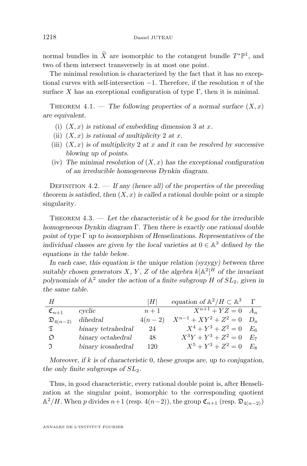normal bundles in  $\widetilde{X}$  are isomorphic to the cotangent bundle  $T^*\mathbb{P}^1$ , and two of them intersect transversely in at most one point.

The minimal resolution is characterized by the fact that it has no exceptional curves with self-intersection  $-1$ . Therefore, if the resolution  $\pi$  of the surface X has an exceptional configuration of type  $\Gamma$ , then it is minimal.

THEOREM  $4.1.$  — The following properties of a normal surface  $(X, x)$ *are equivalent.*

- (i)  $(X, x)$  *is rational of embedding dimension* 3 *at* x.
- (ii)  $(X, x)$  *is rational of multiplicity* 2 *at x*.
- (iii)  $(X, x)$  *is of multiplicity* 2 *at* x *and it can be resolved by successive blowing up of points.*
- (iv) The minimal resolution of  $(X, x)$  has the exceptional configuration *of an irreducible homogeneous Dynkin diagram.*

DEFINITION 4.2. — If any (hence all) of the properties of the preceding *theorem is satisfied, then*  $(X, x)$  *is called a* rational double point *or a* simple singularity*.*

THEOREM  $4.3.$  — Let the characteristic of k be good for the irreducible *homogeneous Dynkin diagram* Γ*. Then there is exactly one rational double point of type* Γ *up to isomorphism of Henselizations. Representatives of the individual classes are given by the local varieties at*  $0 \in \mathbb{A}^3$  *defined by the equations in the table below.*

*In each case, this equation is the unique relation (syzygy) between three* suitably chosen generators  $X, Y, Z$  of the algebra  $k[\mathbb{A}^2]^H$  of the invariant *polynomials of* A <sup>2</sup> *under the action of a finite subgroup* H *of* SL2*, given in the same table.*

| H                       |                    | $H_1$    | equation of $\mathbb{A}^2/H \subset \mathbb{A}^3$ |  |
|-------------------------|--------------------|----------|---------------------------------------------------|--|
| $\mathfrak{C}_{n+1}$    | cyclic             | $n+1$    | $X^{n+1} + YZ = 0$ $A_n$                          |  |
| $\mathfrak{D}_{4(n-2)}$ | dihedral           | $4(n-2)$ | $X^{n-1} + XY^2 + Z^2 = 0$ $D_n$                  |  |
| $\mathfrak{T}$          | binary tetrahedral | 24       | $X^4 + Y^3 + Z^2 = 0$ $E_6$                       |  |
| $\mathfrak{D}$          | binary octahedral  | 48       | $X^3Y + Y^3 + Z^2 = 0$ $E_7$                      |  |
| $\mathfrak I$           | binary icosahedral | 120      | $X^5 + Y^3 + Z^2 = 0$ $E_8$                       |  |

*Moreover, if* k *is of characteristic* 0*, these groups are, up to conjugation, the only finite subgroups of*  $SL<sub>2</sub>$ *.* 

Thus, in good characteristic, every rational double point is, after Henselization at the singular point, isomorphic to the corresponding quotient  $\mathbb{A}^2/H$ . When p divides  $n+1$  (resp.  $4(n-2)$ ), the group  $\mathfrak{C}_{n+1}$  (resp.  $\mathfrak{D}_{4(n-2)}$ )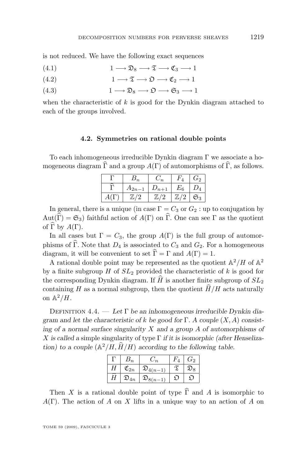<span id="page-43-0"></span>is not reduced. We have the following exact sequences

- (4.1)  $1 \longrightarrow \mathfrak{D}_8 \longrightarrow \mathfrak{T} \longrightarrow \mathfrak{C}_3 \longrightarrow 1$
- (4.2)  $1 \longrightarrow \mathfrak{T} \longrightarrow \mathfrak{O} \longrightarrow \mathfrak{C}_2 \longrightarrow 1$
- (4.3)  $1 \longrightarrow \mathfrak{D}_8 \longrightarrow \mathfrak{O} \longrightarrow \mathfrak{S}_3 \longrightarrow 1$

when the characteristic of  $k$  is good for the Dynkin diagram attached to each of the groups involved.

#### **4.2. Symmetries on rational double points**

To each inhomogeneous irreducible Dynkin diagram Γ we associate a homogeneous diagram  $\hat{\Gamma}$  and a group  $A(\Gamma)$  of automorphisms of  $\hat{\Gamma}$ , as follows.

|              | 'n        |         | $G_2$            |
|--------------|-----------|---------|------------------|
| $(A_{2n-1})$ | $v_{n+1}$ | $E_{6}$ |                  |
| 7/9<br>Щ     | 77. I V   | 77.19   | $\mathfrak{S}_3$ |

In general, there is a unique (in case  $\Gamma = C_3$  or  $G_2$ : up to conjugation by  $Aut(\widehat{\Gamma}) = \mathfrak{S}_3$  faithful action of  $A(\Gamma)$  on  $\widehat{\Gamma}$ . One can see  $\Gamma$  as the quotient of  $\widehat{\Gamma}$  by  $A(\Gamma)$ .

In all cases but  $\Gamma = C_3$ , the group  $A(\Gamma)$  is the full group of automorphisms of  $\widehat{\Gamma}$ . Note that  $D_4$  is associated to  $C_3$  and  $G_2$ . For a homogeneous diagram, it will be convenient to set  $\hat{\Gamma} = \Gamma$  and  $A(\Gamma) = 1$ .

A rational double point may be represented as the quotient  $\mathbb{A}^2/H$  of  $\mathbb{A}^2$ by a finite subgroup H of  $SL_2$  provided the characteristic of k is good for the corresponding Dynkin diagram. If  $\hat{H}$  is another finite subgroup of  $SL_2$ containing H as a normal subgroup, then the quotient  $\widehat{H}/H$  acts naturally on  $\mathbb{A}^2/H$ .

Definition 4.4. — *Let* Γ *be an inhomogeneous irreducible Dynkin diagram and let the characteristic of* k *be good for* Γ*. A couple* (X, A) *consisting of a normal surface singularity* X *and a group* A *of automorphisms of* X *is called a* simple singularity of type Γ *if it is isomorphic (after Henselization)* to a couple  $(\mathbb{A}^2 / H, \hat{H} / H)$  according to the following table.

|   | $\cdot_n$           | $\sqrt{n}$              | $G_2$ |
|---|---------------------|-------------------------|-------|
| Н | $\mathfrak{C}_{2n}$ | $\mathfrak{D}_{4(n-1)}$ |       |
| Η | $\mathfrak{D}_{4n}$ | $\mathfrak{D}_{8(n-1)}$ |       |

Then X is a rational double point of type  $\widehat{\Gamma}$  and A is isomorphic to  $A(\Gamma)$ . The action of A on X lifts in a unique way to an action of A on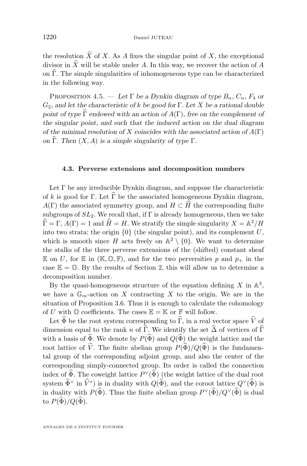<span id="page-44-0"></span>the resolution  $\widetilde{X}$  of X. As A fixes the singular point of X, the exceptional divisor in  $\widetilde{X}$  will be stable under A. In this way, we recover the action of A on  $\hat{\Gamma}$ . The simple singularities of inhomogeneous type can be characterized in the following way.

PROPOSITION 4.5. — Let  $\Gamma$  be a Dynkin diagram of type  $B_n$ ,  $C_n$ ,  $F_4$  or G2*, and let the characteristic of* k *be good for* Γ*. Let* X *be a rational double point of type*  $\widehat{\Gamma}$  *endowed with an action of*  $A(\Gamma)$ *, free on the complement of the singular point, and such that the induced action on the dual diagram of the minimal resolution of* X *coincides with the associated action of* A(Γ) *on*  $\widehat{\Gamma}$ *. Then*  $(X, A)$  *is a simple singularity of type*  $\Gamma$ *.* 

#### **4.3. Perverse extensions and decomposition numbers**

Let  $\Gamma$  be any irreducible Dynkin diagram, and suppose the characteristic of k is good for Γ. Let  $\widehat{\Gamma}$  be the associated homogeneous Dynkin diagram,  $A(\Gamma)$  the associated symmetry group, and  $H \subset \widehat{H}$  the corresponding finite subgroups of  $SL_2$ . We recall that, if  $\Gamma$  is already homogeneous, then we take  $\widehat{\Gamma} = \Gamma$ ,  $A(\Gamma) = 1$  and  $\widehat{H} = H$ . We stratify the simple singularity  $X = \mathbb{A}^2 / H$ into two strata: the origin  $\{0\}$  (the singular point), and its complement U, which is smooth since H acts freely on  $\mathbb{A}^2 \setminus \{0\}$ . We want to determine the stalks of the three perverse extensions of the (shifted) constant sheaf E on U, for E in ( $\mathbb{K}, \mathbb{O}, \mathbb{F}$ ), and for the two perversities p and  $p_+$  in the case  $\mathbb{E} = \mathbb{O}$ . By the results of Section [2,](#page-4-0) this will allow us to determine a decomposition number.

By the quasi-homogeneous structure of the equation defining X in  $\mathbb{A}^3$ , we have a  $\mathbb{G}_m$ -action on X contracting X to the origin. We are in the situation of Proposition [3.6.](#page-39-0) Thus it is enough to calculate the cohomology of U with  $\mathbb O$  coefficients. The cases  $\mathbb E = \mathbb K$  or  $\mathbb F$  will follow.

Let  $\widehat{\Phi}$  be the root system corresponding to  $\widehat{\Gamma}$ , in a real vector space  $\widehat{V}$  of dimension equal to the rank n of  $\widehat{\Gamma}$ . We identify the set  $\widehat{\Delta}$  of vertices of  $\widehat{\Gamma}$ with a basis of  $\widehat{\Phi}$ . We denote by  $P(\widehat{\Phi})$  and  $Q(\widehat{\Phi})$  the weight lattice and the root lattice of  $\hat{V}$ . The finite abelian group  $P(\hat{\Phi})/Q(\hat{\Phi})$  is the fundamental group of the corresponding adjoint group, and also the center of the corresponding simply-connected group. Its order is called the connection index of  $\widehat{\Phi}$ . The coweight lattice  $P^{\vee}(\widehat{\Phi})$  (the weight lattice of the dual root system  $\widehat{\Phi}^{\vee}$  in  $\widehat{V}^*$ ) is in duality with  $Q(\widehat{\Phi})$ , and the coroot lattice  $Q^{\vee}(\widehat{\Phi})$  is in duality with  $P(\widehat{\Phi})$ . Thus the finite abelian group  $P^{\vee}(\widehat{\Phi})/Q^{\vee}(\widehat{\Phi})$  is dual to  $P(\widehat{\Phi})/Q(\widehat{\Phi})$ .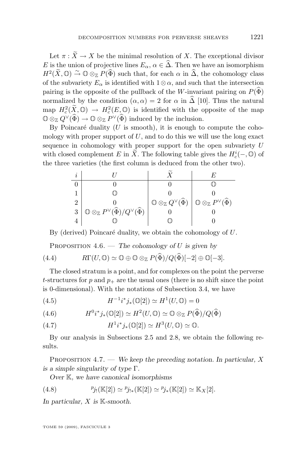<span id="page-45-0"></span>Let  $\pi : \widetilde{X} \to X$  be the minimal resolution of X. The exceptional divisor E is the union of projective lines  $E_{\alpha}$ ,  $\alpha \in \widehat{\Delta}$ . Then we have an isomorphism  $H^2(\widetilde{X}, \mathbb{O}) \stackrel{\sim}{\rightarrow} \mathbb{O} \otimes_{\mathbb{Z}} P(\widehat{\Phi})$  such that, for each  $\alpha$  in  $\widehat{\Delta}$ , the cohomology class of the subvariety  $E_{\alpha}$  is identified with  $1\otimes \alpha$ , and such that the intersection pairing is the opposite of the pullback of the W-invariant pairing on  $P(\Phi)$ normalized by the condition  $(\alpha, \alpha) = 2$  for  $\alpha$  in  $\widehat{\Delta}$  [\[10\]](#page-52-0). Thus the natural map  $H_c^2(\tilde{X}, \mathbb{O}) \to H_c^2(E, \mathbb{O})$  is identified with the opposite of the map  $\mathbb{O} \otimes_{\mathbb{Z}} Q^{\vee}(\widehat{\Phi}) \to \mathbb{O} \otimes_{\mathbb{Z}} P^{\vee}(\widehat{\Phi})$  induced by the inclusion.

By Poincaré duality  $(U \text{ is smooth})$ , it is enough to compute the cohomology with proper support of  $U$ , and to do this we will use the long exact sequence in cohomology with proper support for the open subvariety U with closed complement E in  $\tilde{X}$ . The following table gives the  $H_c^i(-, \mathbb{O})$  of the three varieties (the first column is deduced from the other two).

| i |                                                                               |                                                                                                                            |  |
|---|-------------------------------------------------------------------------------|----------------------------------------------------------------------------------------------------------------------------|--|
|   |                                                                               |                                                                                                                            |  |
|   |                                                                               |                                                                                                                            |  |
| 2 |                                                                               | $\mathbb{O} \otimes_{\mathbb{Z}} Q^{\vee}(\widehat{\Phi}) \bigm  \mathbb{O} \otimes_{\mathbb{Z}} P^{\vee}(\widehat{\Phi})$ |  |
| 3 | $\mathbb{O}\otimes_{\mathbb{Z}}P^\vee(\widehat{\Phi})/Q^\vee(\widehat{\Phi})$ |                                                                                                                            |  |
|   |                                                                               |                                                                                                                            |  |

By (derived) Poincaré duality, we obtain the cohomology of U.

Proposition 4.6. — *The cohomology of* U *is given by*

(4.4) 
$$
R\Gamma(U, \mathbb{O}) \simeq \mathbb{O} \oplus \mathbb{O} \otimes_{\mathbb{Z}} P(\widehat{\Phi})/Q(\widehat{\Phi})[-2] \oplus \mathbb{O}[-3].
$$

The closed stratum is a point, and for complexes on the point the perverse t-structures for p and  $p_+$  are the usual ones (there is no shift since the point is 0-dimensional). With the notations of Subsection [3.4,](#page-39-0) we have

(4.5) 
$$
H^{-1}i^*j_*(\mathbb{O}[2]) \simeq H^1(U,\mathbb{O}) = 0
$$

(4.6) 
$$
H^0 i^* j_* (\mathbb{O}[2]) \simeq H^2(U, \mathbb{O}) \simeq \mathbb{O} \otimes_{\mathbb{Z}} P(\widehat{\Phi})/Q(\widehat{\Phi})
$$

(4.7) 
$$
H^1 i^* j_* (\mathbb{O}[2]) \simeq H^3 (U, \mathbb{O}) \simeq \mathbb{O}.
$$

By our analysis in Subsections [2.5](#page-22-0) and [2.8,](#page-30-0) we obtain the following results.

Proposition 4.7. — *We keep the preceding notation. In particular,* X *is a simple singularity of type* Γ*.*

*Over* K*, we have canonical isomorphisms*

(4.8) 
$$
{}^{p}j_{!}(\mathbb{K}[2]) \simeq {}^{p}j_{!*}(\mathbb{K}[2]) \simeq {}^{p}j_{*}(\mathbb{K}[2]) \simeq \mathbb{K}_{X}[2].
$$

*In particular,* X *is* K*-smooth.*

TOME 59 (2009), FASCICULE 3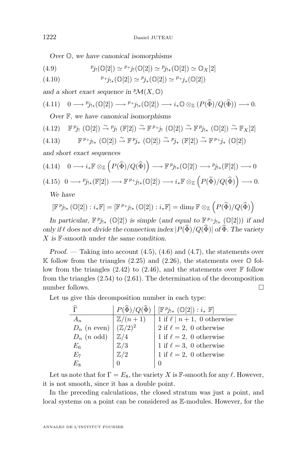*Over* O*, we have canonical isomorphisms*

(4.9) 
$$
p_{j_!}(\mathbb{O}[2]) \simeq {}^{p_+}j_!(\mathbb{O}[2]) \simeq {}^{p_{j_{!*}}}(\mathbb{O}[2]) \simeq \mathbb{O}_X[2]
$$

(4.10) 
$$
{}^{p_+}j_{!*}(\mathbb{O}[2]) \simeq {}^{p_j}{}_{*}(\mathbb{O}[2]) \simeq {}^{p_+}j_*(\mathbb{O}[2])
$$

and a short exact sequence in  ${}^p\mathcal{M}(X,\mathbb{O})$ 

$$
(4.11) \quad 0 \longrightarrow {}^{p}j_{!*}(\mathbb{O}[2]) \longrightarrow {}^{p}+j_{!*}(\mathbb{O}[2]) \longrightarrow i_*\mathbb{O} \otimes_{\mathbb{Z}} (P(\widehat{\Phi})/Q(\widehat{\Phi})) \longrightarrow 0.
$$

*Over* F*, we have canonical isomorphisms*

$$
(4.12) \quad \mathbb{F}^{p_{j}}_{\mathbf{1}} (\mathbb{O}[2]) \xrightarrow{\sim} {^{p_{j}}} (\mathbb{F}[2]) \xrightarrow{\sim} \mathbb{F}^{p_{+}}_{j} \mathbb{I} (\mathbb{O}[2]) \xrightarrow{\sim} \mathbb{F}^{p_{j}}_{j} \mathbb{I} (\mathbb{O}[2]) \xrightarrow{\sim} \mathbb{F}_{X}[2]
$$

$$
(4.13) \t\t\t\t \mathbb{F}^{p_{+}}j_{!*}\t\t(\mathbb{O}[2]) \stackrel{\sim}{\to} \mathbb{F}^{p_{j_{*}}}\t\t(\mathbb{O}[2]) \stackrel{\sim}{\to} {^{p_{j_{*}}}}\t\t(\mathbb{F}[2]) \stackrel{\sim}{\to} \mathbb{F}^{p_{+}}j_{*}\t\t(\mathbb{O}[2])
$$

*and short exact sequences*

$$
(4.14) \quad 0 \longrightarrow i_*\mathbb{F} \otimes_{\mathbb{Z}} \left( P(\widehat{\Phi})/Q(\widehat{\Phi}) \right) \longrightarrow \mathbb{F}^p j_{!*}(\mathbb{Q}[2]) \longrightarrow p_{j_{!*}}(\mathbb{F}[2]) \longrightarrow 0
$$

$$
(4.15) \quad 0 \longrightarrow {}^{p}j_{!*}(\mathbb{F}[2]) \longrightarrow \mathbb{F}^{p_{+}}j_{!*}(\mathbb{O}[2]) \longrightarrow i_*\mathbb{F} \otimes_{\mathbb{Z}} \left( P(\widehat{\Phi})/Q(\widehat{\Phi}) \right) \longrightarrow 0.
$$

*We have*

$$
[\mathbb{F}^p j_{!*}(\mathbb{O}[2]): i_* \mathbb{F}] = [\mathbb{F}^{p_{+}} j_{!*}(\mathbb{O}[2]): i_* \mathbb{F}] = \dim_{\mathbb{F}} \mathbb{F} \otimes_{\mathbb{Z}} (P(\widehat{\Phi})/Q(\widehat{\Phi}))
$$

*In particular,*  $\mathbb{F}^p j_{!*}$  ( $\mathbb{O}[2]$ ) *is simple* (*and equal to*  $\mathbb{F}^{p_*} j_{!*}$  ( $\mathbb{O}[2]$ )) *if and only if*  $\ell$  *does not divide the connection index*  $|P(\hat{\Phi})/Q(\hat{\Phi})|$  *of*  $\hat{\Phi}$ *. The variety* X *is* F*-smooth under the same condition.*

*Proof.* — Taking into account  $(4.5)$ ,  $(4.6)$  and  $(4.7)$ , the statements over K follow from the triangles  $(2.25)$  and  $(2.26)$ , the statements over  $\mathbb{O}$  follow from the triangles  $(2.42)$  to  $(2.46)$ , and the statements over  $\mathbb F$  follow from the triangles [\(2.54\)](#page-31-0) to [\(2.61\)](#page-31-0). The determination of the decomposition number follows.

Let us give this decomposition number in each type:

|                        | $P(\Phi)/Q(\widehat{\Phi})$ | $[\mathbb{F}^{p_{j_{!*}}}(\mathbb{O}[2]):i_*\mathbb{F}]$ |
|------------------------|-----------------------------|----------------------------------------------------------|
| $A_n$                  | $\mathbb{Z}/(n+1)$          | 1 if $\ell \mid n+1$ , 0 otherwise                       |
| $D_n$ ( <i>n</i> even) | $(\mathbb{Z}/2)^2$          | 2 if $\ell = 2$ , 0 otherwise                            |
| $D_n$ ( <i>n</i> odd)  | $\mathbb{Z}/4$              | 1 if $\ell = 2$ , 0 otherwise                            |
| $E_6$                  | $\mathbb{Z}/3$              | 1 if $\ell = 3$ , 0 otherwise                            |
| $E_7$                  | $\mathbb{Z}/2$              | 1 if $\ell = 2$ , 0 otherwise                            |
| $E_8\,$                |                             |                                                          |

Let us note that for  $\Gamma = E_8$ , the variety X is F-smooth for any  $\ell$ . However, it is not smooth, since it has a double point.

In the preceding calculations, the closed stratum was just a point, and local systems on a point can be considered as E-modules. However, for the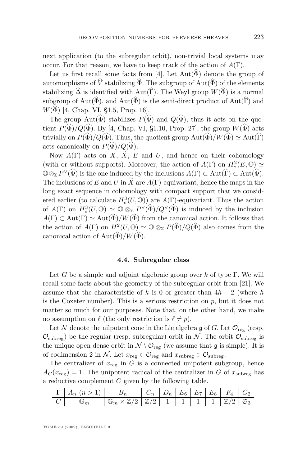next application (to the subregular orbit), non-trivial local systems may occur. For that reason, we have to keep track of the action of  $A(\Gamma)$ .

Let us first recall some facts from [\[4\]](#page-52-0). Let  $Aut(\widehat{\Phi})$  denote the group of automorphisms of  $\hat{V}$  stabilizing  $\hat{\Phi}$ . The subgroup of Aut( $\hat{\Phi}$ ) of the elements stabilizing  $\widehat{\Delta}$  is identified with Aut( $\widehat{\Gamma}$ ). The Weyl group  $W(\widehat{\Phi})$  is a normal subgroup of Aut( $\widehat{\Phi}$ ), and Aut( $\widehat{\Phi}$ ) is the semi-direct product of Aut( $\widehat{\Gamma}$ ) and  $W(\hat{\Phi})$  [\[4,](#page-52-0) Chap. VI, §1.5, Prop. 16].

The group  $Aut(\widehat{\Phi})$  stabilizes  $P(\widehat{\Phi})$  and  $Q(\widehat{\Phi})$ , thus it acts on the quotient  $P(\widehat{\Phi})/Q(\widehat{\Phi})$ . By [\[4,](#page-52-0) Chap. VI, §1.10, Prop. 27], the group  $W(\widehat{\Phi})$  acts trivially on  $P(\widehat{\Phi})/Q(\widehat{\Phi})$ . Thus, the quotient group  $Aut(\widehat{\Phi})/W(\widehat{\Phi}) \simeq Aut(\widehat{\Gamma})$ acts canonically on  $P(\widehat{\Phi})/Q(\widehat{\Phi})$ .

Now  $A(\Gamma)$  acts on X,  $\widetilde{X}$ , E and U, and hence on their cohomology (with or without supports). Moreover, the action of  $A(\Gamma)$  on  $H_c^2(E, \mathbb{O}) \simeq$  $\mathbb{O}\otimes_{\mathbb{Z}}P^{\vee}(\widehat{\Phi})$  is the one induced by the inclusions  $A(\Gamma)\subset \text{Aut}(\widehat{\Phi})$ . The inclusions of E and U in  $\widetilde{X}$  are  $A(\Gamma)$ -equivariant, hence the maps in the long exact sequence in cohomology with compact support that we considered earlier (to calculate  $H_c^3(U, \mathbb{O}))$  are  $A(\Gamma)$ -equivariant. Thus the action of  $A(\Gamma)$  on  $H_c^3(U, \mathbb{O}) \simeq \mathbb{O} \otimes_{\mathbb{Z}} P^{\vee}(\widehat{\Phi})/Q^{\vee}(\widehat{\Phi})$  is induced by the inclusion  $A(\Gamma) \subset \text{Aut}(\Gamma) \simeq \text{Aut}(\widehat{\Phi})/W(\widehat{\Phi})$  from the canonical action. It follows that the action of  $A(\Gamma)$  on  $H^2(U, \mathbb{O}) \simeq \mathbb{O} \otimes_{\mathbb{Z}} P(\widehat{\Phi})/Q(\widehat{\Phi})$  also comes from the canonical action of  $Aut(\widehat{\Phi})/W(\widehat{\Phi})$ .

#### **4.4. Subregular class**

Let G be a simple and adjoint algebraic group over k of type  $\Gamma$ . We will recall some facts about the geometry of the subregular orbit from [\[21\]](#page-53-0). We assume that the characteristic of k is 0 or greater than  $4h-2$  (where h is the Coxeter number). This is a serious restriction on  $p$ , but it does not matter so much for our purposes. Note that, on the other hand, we make no assumption on  $\ell$  (the only restriction is  $\ell \neq p$ ).

Let N denote the nilpotent cone in the Lie algebra  $\mathfrak g$  of G. Let  $\mathcal O_{reg}$  (resp.  $\mathcal{O}_{\text{subreg}}$ ) be the regular (resp. subregular) orbit in N. The orbit  $\mathcal{O}_{\text{subreg}}$  is the unique open dense orbit in  $\mathcal{N} \setminus \mathcal{O}_{reg}$  (we assume that  $\mathfrak{g}$  is simple). It is of codimension 2 in N. Let  $x_{\text{reg}} \in \mathcal{O}_{\text{reg}}$  and  $x_{\text{subreg}} \in \mathcal{O}_{\text{subreg}}$ .

The centralizer of  $x_{\text{reg}}$  in G is a connected unipotent subgroup, hence  $A_G(x_{\text{reg}}) = 1$ . The unipotent radical of the centralizer in G of  $x_{\text{subreg}}$  has a reductive complement  $C$  given by the following table.

| $\Gamma   A_n (n > 1)   B_n   C_n   D_n   E_6   E_7   E_8   F_4   G_2$ |  |  |  |  |
|------------------------------------------------------------------------|--|--|--|--|
| $C \quad \mathbb{G}_m$                                                 |  |  |  |  |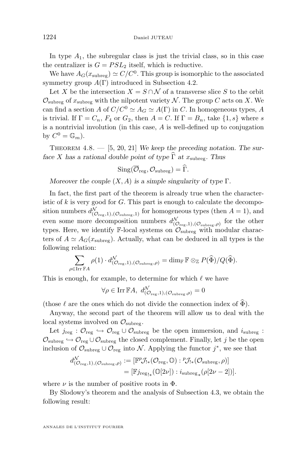In type  $A_1$ , the subregular class is just the trivial class, so in this case the centralizer is  $G = PSL<sub>2</sub>$  itself, which is reductive.

We have  $A_G(x_{\text{subreg}}) \simeq C/C^0$ . This group is isomorphic to the associated symmetry group  $A(\Gamma)$  introduced in Subsection [4.2.](#page-43-0)

Let X be the intersection  $X = S \cap \mathcal{N}$  of a transverse slice S to the orbit  $\mathcal{O}_{\text{subreg}}$  of  $x_{\text{subreg}}$  with the nilpotent variety N. The group C acts on X. We can find a section A of  $C/C^0 \simeq A_G \simeq A(\Gamma)$  in C. In homogeneous types, A is trivial. If  $\Gamma = C_n$ ,  $F_4$  or  $G_2$ , then  $A = C$ . If  $\Gamma = B_n$ , take  $\{1, s\}$  where s is a nontrivial involution (in this case, A is well-defined up to conjugation by  $C^0 = \mathbb{G}_m$ .

THEOREM 4.8. — [\[5,](#page-52-0) [20,](#page-53-0) [21\]](#page-53-0) We keep the preceding notation. The sur*face* X has a rational double point of type  $\widehat{\Gamma}$  at  $x_{\text{subreg}}$ . Thus

$$
\mathrm{Sing}(\overline{\mathcal{O}}_{\mathrm{reg}}, \mathcal{O}_{\mathrm{subreg}}) = \widehat{\Gamma}.
$$

*Moreover the couple* (X, A) *is a simple singularity of type* Γ*.*

In fact, the first part of the theorem is already true when the characteristic of  $k$  is very good for  $G$ . This part is enough to calculate the decomposition numbers  $d_{(\mathcal{O}_{reg},1),(\mathcal{O}_{subreg},1)}^{\mathcal{N}}$  for homogeneous types (then  $A=1$ ), and even some more decomposition numbers  $d_{(\mathcal{O}_{reg},1),(\mathcal{O}_{subreg},\rho)}^{\mathcal{N}}$  for the other types. Here, we identify  $\mathbb{F}\text{-local systems on } \overbrace{O_{\text{subreg}}}$  with modular characters of  $A \simeq A_G(x_{\text{subreg}})$ . Actually, what can be deduced in all types is the following relation:

$$
\sum_{\rho \in \text{Irr }\mathbb{F} A} \rho(1) \cdot d^{\mathcal{N}}_{(\mathcal{O}_{\text{reg}},1),(\mathcal{O}_{\text{subreg}},\rho)} = \dim_{\mathbb{F}} \mathbb{F} \otimes_{\mathbb{Z}} P(\widehat{\Phi})/Q(\widehat{\Phi}).
$$

This is enough, for example, to determine for which  $\ell$  we have

$$
\forall \rho \in \text{Irr }\mathbb{F}A, \ d_{(\mathcal{O}_{\text{reg}},1),(\mathcal{O}_{\text{subreg}},\rho)}^{\mathcal{N}} = 0
$$

(those  $\ell$  are the ones which do not divide the connection index of  $\widehat{\Phi}$ ).

Anyway, the second part of the theorem will allow us to deal with the local systems involved on  $\mathcal{O}_{\text{subreg}}$ .

Let  $j_{reg}$ :  $\mathcal{O}_{reg} \hookrightarrow \mathcal{O}_{reg} \cup \mathcal{O}_{subreg}$  be the open immersion, and  $i_{subreg}$ :  $\mathcal{O}_{\text{subreg}} \hookrightarrow \mathcal{O}_{\text{reg}} \cup \mathcal{O}_{\text{subreg}}$  the closed complement. Finally, let j be the open inclusion of  $\mathcal{O}_{\text{subreg}} \cup \mathcal{O}_{\text{reg}}$  into N. Applying the functor  $j^*$ , we see that

$$
d_{(\mathcal{O}_{\text{reg}},1),(\mathcal{O}_{\text{subreg}},\rho)}^{ \mathcal{N}} := [\mathbb{F}^p \mathcal{J}_{!*}(\mathcal{O}_{\text{reg}}, \mathbb{O}) : {}^p \mathcal{J}_{!*}(\mathcal{O}_{\text{subreg}}, \rho)]
$$
  
= [\mathbb{F}^j\_{\text{reg}\_{!\*}}(\mathbb{O}[2\nu]) : i\_{\text{subreg}\_{!\*}}(\rho[2\nu-2])].

where  $\nu$  is the number of positive roots in  $\Phi$ .

By Slodowy's theorem and the analysis of Subsection [4.3,](#page-44-0) we obtain the following result:

ANNALES DE L'INSTITUT FOURIER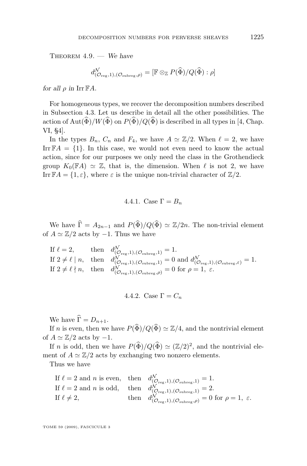Theorem 4.9. — *We have*

$$
d_{(\mathcal{O}_{\mathrm{reg}},1),(\mathcal{O}_{\mathrm{subreg}},\rho)}^{\mathcal{N}}=[\mathbb{F}\otimes_{\mathbb{Z}}P(\widehat{\Phi})/Q(\widehat{\Phi}):\rho]
$$

*for all*  $\rho$  *in* Irr  $\mathbb{F}A$ *.* 

For homogeneous types, we recover the decomposition numbers described in Subsection [4.3.](#page-44-0) Let us describe in detail all the other possibilities. The action of Aut $(\widehat{\Phi})/W(\widehat{\Phi})$  on  $P(\widehat{\Phi})/Q(\widehat{\Phi})$  is described in all types in [\[4,](#page-52-0) Chap. VI, §4].

In the types  $B_n$ ,  $C_n$  and  $F_4$ , we have  $A \simeq \mathbb{Z}/2$ . When  $\ell = 2$ , we have Irr  $\mathbb{F}A = \{1\}$ . In this case, we would not even need to know the actual action, since for our purposes we only need the class in the Grothendieck group  $K_0(\mathbb{F}A) \simeq \mathbb{Z}$ , that is, the dimension. When  $\ell$  is not 2, we have Irr  $\mathbb{F}A = \{1, \varepsilon\}$ , where  $\varepsilon$  is the unique non-trivial character of  $\mathbb{Z}/2$ .

4.4.1. Case 
$$
\Gamma = B_n
$$

We have  $\hat{\Gamma} = A_{2n-1}$  and  $P(\hat{\Phi}) / Q(\hat{\Phi}) \simeq \mathbb{Z}/2n$ . The non-trivial element of  $A \simeq \mathbb{Z}/2$  acts by -1. Thus we have

If  $\ell = 2$ , then  $d_{(\mathcal{O}_{reg},1),(\mathcal{O}_{subreg},1)}^{\mathcal{N}} = 1$ . If  $2 \neq \ell \mid n$ , then  $d_{(\mathcal{O}_{reg},1),(\mathcal{O}_{subreg},1)}^{\mathcal{N}} = 0$  and  $d_{(\mathcal{O}_{reg},1),(\mathcal{O}_{subreg},\varepsilon)}^{\mathcal{N}} = 1$ . If  $2 \neq \ell \nmid n$ , then  $d_{(\mathcal{O}_{reg},1),(\mathcal{O}_{subreg},\rho)}^{\mathcal{N}} = 0$  for  $\rho = 1, \varepsilon$ .

4.4.2. Case 
$$
\Gamma = C_n
$$

We have  $\widehat{\Gamma} = D_{n+1}$ .

If n is even, then we have  $P(\widehat{\Phi})/Q(\widehat{\Phi}) \simeq \mathbb{Z}/4$ , and the nontrivial element of  $A \simeq \mathbb{Z}/2$  acts by  $-1$ .

If *n* is odd, then we have  $P(\widehat{\Phi})/Q(\widehat{\Phi}) \simeq (\mathbb{Z}/2)^2$ , and the nontrivial element of  $A \simeq \mathbb{Z}/2$  acts by exchanging two nonzero elements.

Thus we have

If 
$$
\ell = 2
$$
 and *n* is even, then  $d_{(\mathcal{O}_{reg},1),(\mathcal{O}_{subreg},1)}^{\mathcal{N}} = 1$ .  
\nIf  $\ell = 2$  and *n* is odd, then  $d_{(\mathcal{O}_{reg},1),(\mathcal{O}_{subreg},1)}^{\mathcal{N}} = 2$ .  
\nIf  $\ell \neq 2$ , then  $d_{(\mathcal{O}_{reg},1),(\mathcal{O}_{subreg},\rho)}^{\mathcal{N}} = 0$  for  $\rho = 1$ ,  $\varepsilon$ .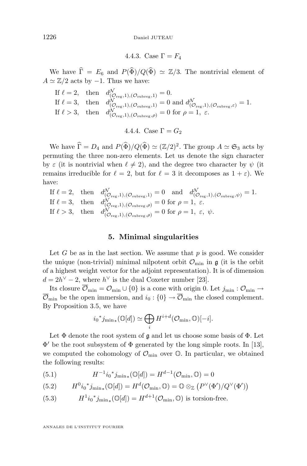4.4.3. Case 
$$
\Gamma = F_4
$$

<span id="page-50-0"></span>We have  $\hat{\Gamma} = E_6$  and  $P(\hat{\Phi}) / Q(\hat{\Phi}) \simeq \mathbb{Z}/3$ . The nontrivial element of  $A \simeq \mathbb{Z}/2$  acts by -1. Thus we have:

If 
$$
\ell = 2
$$
, then  $d_{(O_{\text{reg}},1), (O_{\text{subreg}},1)}^{\mathcal{N}} = 0$ .  
\nIf  $\ell = 3$ , then  $d_{(O_{\text{reg}},1), (O_{\text{subreg}},1)}^{\mathcal{N}} = 0$  and  $d_{(O_{\text{reg}},1), (O_{\text{subreg}},\varepsilon)}^{\mathcal{N}} = 1$ .  
\nIf  $\ell > 3$ , then  $d_{(O_{\text{reg}},1), (O_{\text{subreg}},\rho)}^{\mathcal{N}} = 0$  for  $\rho = 1$ ,  $\varepsilon$ .

4.4.4. Case 
$$
\Gamma = G_2
$$

We have  $\widehat{\Gamma} = D_4$  and  $P(\widehat{\Phi}) / Q(\widehat{\Phi}) \simeq (\mathbb{Z}/2)^2$ . The group  $A \simeq \mathfrak{S}_3$  acts by permuting the three non-zero elements. Let us denote the sign character by  $\varepsilon$  (it is nontrivial when  $\ell \neq 2$ ), and the degree two character by  $\psi$  (it remains irreducible for  $\ell = 2$ , but for  $\ell = 3$  it decomposes as  $1 + \varepsilon$ ). We have:

If 
$$
\ell = 2
$$
, then  $d_{(\mathcal{O}_{reg},1),(\mathcal{O}_{subreg},1)}^{\mathcal{N}} = 0$  and  $d_{(\mathcal{O}_{reg},1),(\mathcal{O}_{subreg},\psi)}^{\mathcal{N}} = 1$ .  
\nIf  $\ell = 3$ , then  $d_{(\mathcal{O}_{reg},1),(\mathcal{O}_{subreg},\rho)}^{\mathcal{N}} = 0$  for  $\rho = 1$ ,  $\varepsilon$ .  
\nIf  $\ell > 3$ , then  $d_{(\mathcal{O}_{reg},1),(\mathcal{O}_{subreg},\rho)}^{\mathcal{N}} = 0$  for  $\rho = 1$ ,  $\varepsilon$ ,  $\psi$ .

#### **5. Minimal singularities**

Let  $G$  be as in the last section. We assume that  $p$  is good. We consider the unique (non-trivial) minimal nilpotent orbit  $\mathcal{O}_{\text{min}}$  in  $\mathfrak{g}$  (it is the orbit of a highest weight vector for the adjoint representation). It is of dimension  $d = 2h^{\vee} - 2$ , where  $h^{\vee}$  is the dual Coxeter number [\[23\]](#page-53-0).

Its closure  $\overline{\mathcal{O}}_{\min} = \mathcal{O}_{\min} \cup \{0\}$  is a cone with origin 0. Let  $j_{\min} : \mathcal{O}_{\min} \to$  $\overline{\mathcal{O}}_{\min}$  be the open immersion, and  $i_0: \{0\} \to \overline{\mathcal{O}}_{\min}$  the closed complement. By Proposition [3.5,](#page-39-0) we have

$$
i_0^*j_{\min*}(\mathbb{O}[d]) \simeq \bigoplus_i H^{i+d}(\mathcal{O}_{\min}, \mathbb{O})[-i].
$$

Let  $\Phi$  denote the root system of  $\mathfrak g$  and let us choose some basis of  $\Phi$ . Let  $\Phi'$  be the root subsystem of  $\Phi$  generated by the long simple roots. In [\[13\]](#page-52-0), we computed the cohomology of  $\mathcal{O}_{\text{min}}$  over  $\mathbb{O}$ . In particular, we obtained the following results:

(5.1) 
$$
H^{-1}i_0^*j_{\min*}(\mathbb{O}[d]) = H^{d-1}(\mathcal{O}_{\min}, \mathbb{O}) = 0
$$

(5.2) 
$$
H^0i_0^*j_{\min*}(\mathbb{O}[d]) = H^d(\mathcal{O}_{\min}, \mathbb{O}) = \mathbb{O} \otimes_{\mathbb{Z}} (P^{\vee}(\Phi')/Q^{\vee}(\Phi'))
$$

(5.3) 
$$
H^1i_0^*j_{\min*}(\mathbb{O}[d]) = H^{d+1}(\mathcal{O}_{\min}, \mathbb{O})
$$
 is torsion-free.

ANNALES DE L'INSTITUT FOURIER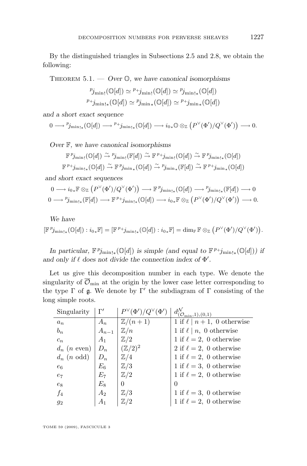By the distinguished triangles in Subsections [2.5](#page-22-0) and [2.8,](#page-30-0) we obtain the following:

Theorem 5.1. — *Over* O*, we have canonical isomorphisms*

$$
{}^{p}j_{\min!}(\mathbb{O}[d]) \simeq {}^{p}j_{\min!}(\mathbb{O}[d]) \simeq {}^{p}j_{\min!*}(\mathbb{O}[d])
$$
  

$$
{}^{p}j_{\min!*}(\mathbb{O}[d]) \simeq {}^{p}j_{\min*}(\mathbb{O}[d]) \simeq {}^{p}j_{\min*}(\mathbb{O}[d])
$$

*and a short exact sequence*

 $0 \longrightarrow {\displaystyle \mathop{p}_{\mathrm{min}}}_* (\mathbb{O}[d]) \longrightarrow {\displaystyle \mathop{p}_{\mathrm{+}}j_{\mathrm{min}}}_* (\mathbb{O}[d]) \longrightarrow i_{0*} \mathbb{O} \otimes_{\mathbb{Z}} \left( P^{\vee}(\Phi')/Q^{\vee}(\Phi') \right) \longrightarrow 0.$ 

*Over* F*, we have canonical isomorphisms*

$$
\mathbb{F}^p j_{\min}(\mathbb{O}[d]) \xrightarrow{\sim} {^p j_{\min}}(\mathbb{F}[d]) \xrightarrow{\sim} \mathbb{F}^p j_{\min}(\mathbb{O}[d]) \xrightarrow{\sim} \mathbb{F}^p j_{\min\ast}(\mathbb{O}[d])
$$
  

$$
\mathbb{F}^p j_{\min\ast}(\mathbb{O}[d]) \xrightarrow{\sim} \mathbb{F}^p j_{\min\ast}(\mathbb{O}[d]) \xrightarrow{\sim} {^p j_{\min\ast}}(\mathbb{F}[d]) \xrightarrow{\sim} \mathbb{F}^p j_{\min\ast}(\mathbb{O}[d])
$$

*and short exact sequences*

$$
0 \longrightarrow i_{0*} \mathbb{F} \otimes_{\mathbb{Z}} (P^{\vee}(\Phi')/Q^{\vee}(\Phi')) \longrightarrow \mathbb{F}^p j_{\min\{*\}}(\mathbb{Q}[d]) \longrightarrow p_{j_{\min\{*\}}}(\mathbb{F}[d]) \longrightarrow 0
$$
  

$$
0 \longrightarrow p_{j_{\min\{*\}}}(\mathbb{F}[d]) \longrightarrow \mathbb{F}^{p+j_{\min\{*\}}}(\mathbb{Q}[d]) \longrightarrow i_{0*} \mathbb{F} \otimes_{\mathbb{Z}} (P^{\vee}(\Phi')/Q^{\vee}(\Phi')) \longrightarrow 0.
$$

*We have*

$$
[\mathbb{F}^p j_{\min\mathbf{1}_{\ast}}(\mathbb{O}[d]):i_0{}_\ast\mathbb{F}] = [\mathbb{F}^{\,p}+j_{\min\mathbf{1}_{\ast}}(\mathbb{O}[d]):i_0{}_\ast\mathbb{F}] = \dim_\mathbb{F} \mathbb{F} \otimes_{\mathbb{Z}} \left(P^\vee(\Phi')/Q^\vee(\Phi')\right).
$$

*In particular,*  $\mathbb{F}^p j_{\min\{*\}}(\mathbb{O}[d])$  *is simple (and equal to*  $\mathbb{F}^{p+j_{\min\{*\}}}(0[d])$ *) if* and only if  $\ell$  does not divide the connection index of  $\Phi'$ .

Let us give this decomposition number in each type. We denote the singularity of  $\overline{\mathcal{O}}_{\text{min}}$  at the origin by the lower case letter corresponding to the type  $\Gamma$  of  $\mathfrak g$ . We denote by  $\Gamma'$  the subdiagram of  $\Gamma$  consisting of the long simple roots.

| Singularity            | $\Gamma'$      | $P^{\vee}(\Phi')/Q^{\vee}$<br>$(\Phi')$ | $d^{\mathcal{N}}_{(\mathcal{O}_{\min},1),(0,1)}$ |
|------------------------|----------------|-----------------------------------------|--------------------------------------------------|
| $a_n$                  | $A_n$          | $\mathbb{Z}/(n+1)$                      | 1 if $\ell \mid n+1$ , 0 otherwise               |
| $b_n$                  | $A_{n-1}$      | $\mathbb{Z}/n$                          | 1 if $\ell \mid n, 0$ otherwise                  |
| $c_n$                  | A <sub>1</sub> | $\mathbb{Z}/2$                          | 1 if $\ell = 2$ , 0 otherwise                    |
| $d_n$ ( <i>n</i> even) | $D_n$          | $(\mathbb{Z}/2)^2$                      | 2 if $\ell = 2$ , 0 otherwise                    |
| $d_n$ ( <i>n</i> odd)  | $D_n$          | $\mathbb{Z}/4$                          | 1 if $\ell = 2$ , 0 otherwise                    |
| $e_6$                  | $E_6$          | $\mathbb{Z}/3$                          | 1 if $\ell = 3$ , 0 otherwise                    |
| $e_7$                  | $E_7$          | $\mathbb{Z}/2$                          | 1 if $\ell = 2$ , 0 otherwise                    |
| $e_8$                  | $E_8$          | 0                                       | $\Omega$                                         |
| $f_4$                  | $A_2$          | $\mathbb{Z}/3$                          | 1 if $\ell = 3$ , 0 otherwise                    |
| $g_2$                  | $A_1$          | $\mathbb{Z}/2$                          | 1 if $\ell = 2$ , 0 otherwise                    |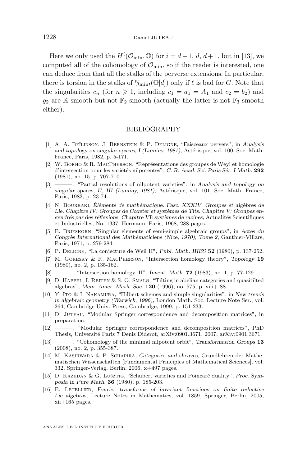<span id="page-52-0"></span>Here we only used the  $H^i(\mathcal{O}_{\text{min}}, \mathbb{O})$  for  $i = d - 1, d, d + 1$ , but in [13], we computed all of the cohomology of  $\mathcal{O}_{\text{min}}$ , so if the reader is interested, one can deduce from that all the stalks of the perverse extensions. In particular, there is torsion in the stalks of  $p_{j_{\min}!}(\mathbb{O}[d])$  only if  $\ell$  is bad for  $G$ . Note that the singularities  $c_n$  (for  $n \ge 1$ , including  $c_1 = a_1 = A_1$  and  $c_2 = b_2$ ) and  $g_2$  are K-smooth but not  $\mathbb{F}_2$ -smooth (actually the latter is not  $\mathbb{F}_3$ -smooth either).

#### BIBLIOGRAPHY

- [1] A. A. Be˘ılinson, J. Bernstein & P. Deligne, "Faisceaux pervers", in *Analysis and topology on singular spaces, I (Luminy, 1981)*, Astérisque, vol. 100, Soc. Math. France, Paris, 1982, p. 5-171.
- [2] W. Borho & R. MacPherson, "Représentations des groupes de Weyl et homologie d'intersection pour les variétés nilpotentes", *C. R. Acad. Sci. Paris Sér. I Math.* **292** (1981), no. 15, p. 707-710.
- [3] ——— , "Partial resolutions of nilpotent varieties", in *Analysis and topology on singular spaces, II, III (Luminy, 1981)*, Astérisque, vol. 101, Soc. Math. France, Paris, 1983, p. 23-74.
- [4] N. Bourbaki, *Éléments de mathématique. Fasc. XXXIV. Groupes et algèbres de Lie. Chapitre IV: Groupes de Coxeter et systèmes de Tits. Chapitre V: Groupes engendrés par des réflexions. Chapitre VI: systèmes de racines*, Actualités Scientifiques et Industrielles, No. 1337, Hermann, Paris, 1968, 288 pages.
- [5] E. Brieskorn, "Singular elements of semi-simple algebraic groups", in *Actes du Congrès International des Mathématiciens (Nice, 1970), Tome 2*, Gauthier-Villars, Paris, 1971, p. 279-284.
- [6] P. Deligne, "La conjecture de Weil II", *Publ. Math. IHES* **52** (1980), p. 137-252.
- [7] M. Goresky & R. MacPherson, "Intersection homology theory", *Topology* **19** (1980), no. 2, p. 135-162.
- $\qquad$ , "Intersection homology. II", *Invent. Math.* **72** (1983), no. 1, p. 77-129.
- [9] D. HAPPEL, I. REITEN  $& S. O. SMAL\varnothing$ , "Tilting in abelian categories and quasitilted algebras", *Mem. Amer. Math. Soc.* **120** (1996), no. 575, p. viii+ 88.
- [10] Y. Ito & I. Nakamura, "Hilbert schemes and simple singularities", in *New trends in algebraic geometry (Warwick, 1996)*, London Math. Soc. Lecture Note Ser., vol. 264, Cambridge Univ. Press, Cambridge, 1999, p. 151-233.
- [11] D. Juteau, "Modular Springer correspondence and decomposition matrices", in preparation.
- [12] ——— , "Modular Springer correspondence and decomposition matrices", PhD Thesis, Université Paris 7 Denis Diderot, arXiv:0901.3671, 2007, arXiv:0901.3671.
- [13] ——— , "Cohomology of the minimal nilpotent orbit", *Transformation Groups* **13** (2008), no. 2, p. 355-387.
- [14] M. Kashiwara & P. Schapira, *Categories and sheaves*, Grundlehren der Mathematischen Wissenschaften [Fundamental Principles of Mathematical Sciences], vol. 332, Springer-Verlag, Berlin, 2006, x+497 pages.
- [15] D. Kazhdan & G. Lusztig, "Schubert varieties and Poincaré duality", *Proc. Symposia in Pure Math.* **36** (1980), p. 185-203.
- [16] E. Letellier, *Fourier transforms of invariant functions on finite reductive Lie algebras*, Lecture Notes in Mathematics, vol. 1859, Springer, Berlin, 2005, xii+165 pages.